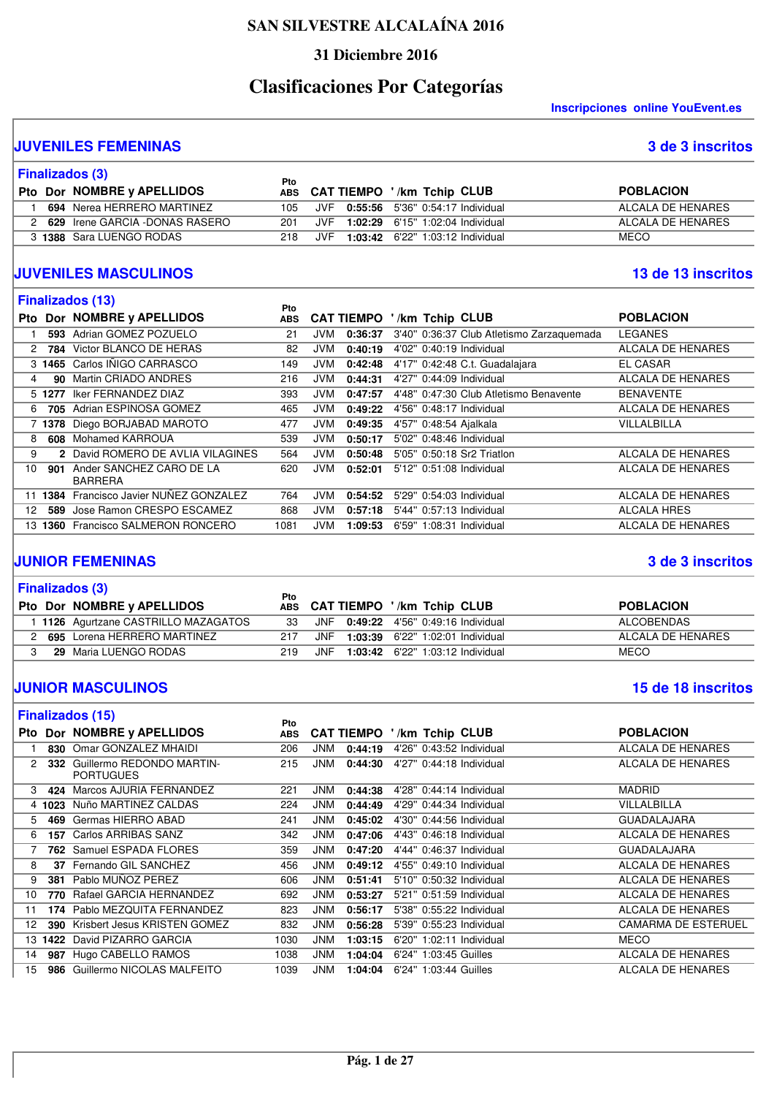#### **31 Diciembre 2016**

# **Clasificaciones Por Categorías**

**Inscripciones online YouEvent.es** 

#### **JUVENILES FEMENINAS 3 de 3 inscritos**

|  | Finalizados (3)                | Pto  |     |                                      |                   |
|--|--------------------------------|------|-----|--------------------------------------|-------------------|
|  | Pto Dor NOMBRE y APELLIDOS     |      |     | ABS CAT TIEMPO '/km Tchip CLUB       | <b>POBLACION</b>  |
|  | 694 Nerea HERRERO MARTINEZ     | 105. |     | JVF 0:55:56 5'36" 0:54:17 Individual | ALCALA DE HENARES |
|  | 629 Irene GARCIA -DONAS RASERO | 201  |     | JVF 1:02:29 6'15" 1:02:04 Individual | ALCALA DE HENARES |
|  | 3 1388 Sara LUENGO RODAS       | 218  | JVF | 1:03:42 6'22" 1:03:12 Individual     | <b>MECO</b>       |

#### **JUVENILES MASCULINOS 13 de 13 inscritos**

|  | 13 de 13 inscritos |  |
|--|--------------------|--|

|            |        | <b>Finalizados (13)</b>                    | <b>Pto</b> |            |                   |       |                |                                           |                          |
|------------|--------|--------------------------------------------|------------|------------|-------------------|-------|----------------|-------------------------------------------|--------------------------|
| <b>Pto</b> |        | Dor NOMBRE y APELLIDOS                     | <b>ABS</b> |            | <b>CAT TIEMPO</b> |       | /km Tchip CLUB |                                           | <b>POBLACION</b>         |
|            | 593    | Adrian GOMEZ POZUELO                       | 21         | JVM        | 0:36:37           |       |                | 3'40" 0:36:37 Club Atletismo Zarzaguemada | LEGANES                  |
| 2          | 784    | Victor BLANCO DE HERAS                     | 82         | <b>JVM</b> | 0:40:19           |       |                | 4'02" 0:40:19 Individual                  | <b>ALCALA DE HENARES</b> |
|            | 3 1465 | Carlos IÑIGO CARRASCO                      | 149        | JVM.       | 0:42:48           |       |                | 4'17" 0:42:48 C.t. Guadalajara            | <b>EL CASAR</b>          |
| 4          | 90.    | Martin CRIADO ANDRES                       | 216        | JVM        | 0:44:31           |       |                | 4'27" 0:44:09 Individual                  | ALCALA DE HENARES        |
|            | 5 1277 | <b>Iker FERNANDEZ DIAZ</b>                 | 393        | JVM        | 0:47:57           |       |                | 4'48" 0:47:30 Club Atletismo Benavente    | <b>BENAVENTE</b>         |
| 6          | 705    | Adrian ESPINOSA GOMEZ                      | 465        | JVM.       | 0:49:22           |       |                | 4'56" 0:48:17 Individual                  | <b>ALCALA DE HENARES</b> |
|            | 1378   | Diego BORJABAD MAROTO                      | 477        | JVM        | 0:49:35           |       |                | 4'57" 0:48:54 Ajalkala                    | VILLALBILLA              |
| 8          | 608    | Mohamed KARROUA                            | 539        | <b>JVM</b> | 0:50:17           |       |                | 5'02" 0:48:46 Individual                  |                          |
| 9          |        | 2 David ROMERO DE AVLIA VILAGINES          | 564        | JVM        | 0:50:48           |       |                | 5'05" 0:50:18 Sr2 Triatlon                | ALCALA DE HENARES        |
| 10         | 901    | Ander SANCHEZ CARO DE LA<br><b>BARRERA</b> | 620        | JVM        | 0:52:01           |       |                | 5'12" 0:51:08 Individual                  | <b>ALCALA DE HENARES</b> |
| 11         | 1384   | Francisco Javier NUÑEZ GONZALEZ            | 764        | <b>JVM</b> | 0:54:52           | 5'29" |                | 0:54:03 Individual                        | <b>ALCALA DE HENARES</b> |
| 12         | 589    | Jose Ramon CRESPO ESCAMEZ                  | 868        | JVM        | 0:57:18           |       |                | 5'44" 0:57:13 Individual                  | ALCALA HRES              |
| 13.        |        | <b>1360 Francisco SALMERON RONCERO</b>     | 1081       | JVM.       | 1:09:53           |       |                | 6'59" 1:08:31 Individual                  | <b>ALCALA DE HENARES</b> |

#### **JUNIOR FEMENINAS 3 de 3 inscritos**

|  | <b>Finalizados (3)</b>             | Pto |      |                                         |                   |
|--|------------------------------------|-----|------|-----------------------------------------|-------------------|
|  | Pto Dor NOMBRE y APELLIDOS         |     |      | ABS CAT TIEMPO '/km Tchip CLUB          | <b>POBLACION</b>  |
|  | 1126 Agurtzane CASTRILLO MAZAGATOS | 33  |      | JNF 0:49:22 4'56" 0:49:16 Individual    | ALCOBENDAS        |
|  | 695 Lorena HERRERO MARTINEZ        | 217 | JNF  | 1:03:39 6'22" 1:02:01 Individual        | ALCALA DE HENARES |
|  | 29 Maria LUENGO RODAS              | 219 | .INF | <b>1:03:42</b> 6'22" 1:03:12 Individual | <b>MECO</b>       |

#### **JUNIOR MASCULINOS 15 de 18 inscritos**

|     |                | <b>Finalizados (15)</b>                       | Pto        |            |                   |                          |                            |
|-----|----------------|-----------------------------------------------|------------|------------|-------------------|--------------------------|----------------------------|
| Pto |                | Dor NOMBRE y APELLIDOS                        | <b>ABS</b> |            | <b>CAT TIEMPO</b> | /km Tchip CLUB           | <b>POBLACION</b>           |
|     |                | 830 Omar GONZALEZ MHAIDI                      | 206        | <b>JNM</b> | 0:44:19           | 4'26" 0:43:52 Individual | ALCALA DE HENARES          |
| 2   | 332            | Guillermo REDONDO MARTIN-<br><b>PORTUGUES</b> | 215        | <b>JNM</b> | 0:44:30           | 4'27" 0:44:18 Individual | ALCALA DE HENARES          |
| 3   | 424            | Marcos AJURIA FERNANDEZ                       | 221        | <b>JNM</b> | 0:44:38           | 4'28" 0:44:14 Individual | <b>MADRID</b>              |
|     | 4 1023         | Nuño MARTINEZ CALDAS                          | 224        | JNM        | 0:44:49           | 4'29" 0:44:34 Individual | VILLALBILLA                |
| 5   | 469            | Germas HIERRO ABAD                            | 241        | <b>JNM</b> | 0:45:02           | 4'30" 0:44:56 Individual | <b>GUADALAJARA</b>         |
| 6   | 157            | Carlos ARRIBAS SANZ                           | 342        | <b>JNM</b> | 0:47:06           | 4'43" 0:46:18 Individual | ALCALA DE HENARES          |
|     |                | 762 Samuel ESPADA FLORES                      | 359        | <b>JNM</b> | 0:47:20           | 4'44" 0:46:37 Individual | <b>GUADALAJARA</b>         |
| 8   |                | 37 Fernando GIL SANCHEZ                       | 456        | <b>JNM</b> | 0:49:12           | 4'55" 0:49:10 Individual | ALCALA DE HENARES          |
| 9   | 381            | Pablo MUÑOZ PEREZ                             | 606        | <b>JNM</b> | 0:51:41           | 5'10" 0:50:32 Individual | ALCALA DE HENARES          |
| 10  | 770            | Rafael GARCIA HERNANDEZ                       | 692        | <b>JNM</b> | 0:53:27           | 5'21" 0:51:59 Individual | ALCALA DE HENARES          |
| 11  | 174            | Pablo MEZQUITA FERNANDEZ                      | 823        | <b>JNM</b> | 0:56:17           | 5'38" 0:55:22 Individual | ALCALA DE HENARES          |
| 12. | 390            | Krisbert Jesus KRISTEN GOMEZ                  | 832        | <b>JNM</b> | 0:56:28           | 5'39" 0:55:23 Individual | <b>CAMARMA DE ESTERUEL</b> |
|     | 13 <b>1422</b> | David PIZARRO GARCIA                          | 1030       | <b>JNM</b> | 1:03:15           | 6'20" 1:02:11 Individual | <b>MECO</b>                |
| 14  | 987            | Hugo CABELLO RAMOS                            | 1038       | <b>JNM</b> | 1:04:04           | 6'24" 1:03:45 Guilles    | ALCALA DE HENARES          |
| 15  |                | 986 Guillermo NICOLAS MALFEITO                | 1039       | <b>JNM</b> | 1:04:04           | 6'24" 1:03:44 Guilles    | <b>ALCALA DE HENARES</b>   |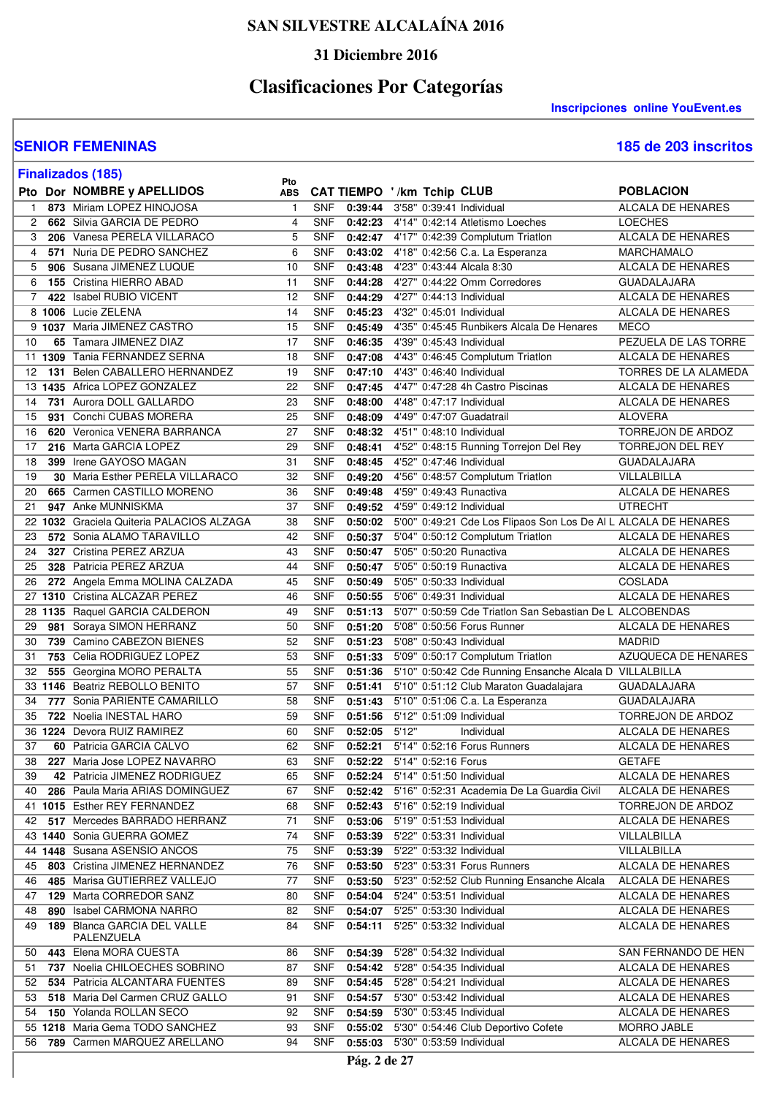### **31 Diciembre 2016**

# **Clasificaciones Por Categorías**

**Inscripciones online YouEvent.es** 

| 185 de 203 inscritos |  |  |  |
|----------------------|--|--|--|
|----------------------|--|--|--|

|              |     | <b>Finalizados (185)</b>                                               |                   |                          |                    |                                                                                                     |                                        |
|--------------|-----|------------------------------------------------------------------------|-------------------|--------------------------|--------------------|-----------------------------------------------------------------------------------------------------|----------------------------------------|
|              |     | Pto Dor NOMBRE y APELLIDOS                                             | Pto<br><b>ABS</b> |                          |                    | <b>CAT TIEMPO '/km Tchip CLUB</b>                                                                   | <b>POBLACION</b>                       |
| $\mathbf{1}$ |     | 873 Miriam LOPEZ HINOJOSA                                              | $\overline{1}$    | <b>SNF</b>               | 0:39:44            | 3'58" 0:39:41 Individual                                                                            | <b>ALCALA DE HENARES</b>               |
| 2            |     | 662 Silvia GARCIA DE PEDRO                                             | 4                 | <b>SNF</b>               | 0:42:23            | 4'14" 0:42:14 Atletismo Loeches                                                                     | <b>LOECHES</b>                         |
| 3            |     | 206 Vanesa PERELA VILLARACO                                            | 5                 | <b>SNF</b>               | 0:42:47            | 4'17" 0:42:39 Complutum Triatlon                                                                    | ALCALA DE HENARES                      |
| 4            |     | 571 Nuria DE PEDRO SANCHEZ                                             | 6                 | <b>SNF</b>               | 0:43:02            | 4'18" 0:42:56 C.a. La Esperanza                                                                     | MARCHAMALO                             |
| 5            |     | 906 Susana JIMENEZ LUQUE                                               | 10                | <b>SNF</b>               | 0:43:48            | 4'23" 0:43:44 Alcala 8:30                                                                           | ALCALA DE HENARES                      |
| 6            |     | <b>155</b> Cristina HIERRO ABAD                                        | 11                | <b>SNF</b>               | 0:44:28            | 4'27" 0:44:22 Omm Corredores                                                                        | <b>GUADALAJARA</b>                     |
| 7            |     | 422 Isabel RUBIO VICENT                                                | 12                | <b>SNF</b>               | 0:44:29            | 4'27" 0:44:13 Individual                                                                            | <b>ALCALA DE HENARES</b>               |
|              |     | 8 1006 Lucie ZELENA                                                    | 14                | <b>SNF</b>               | 0:45:23            | 4'32" 0:45:01 Individual                                                                            | <b>ALCALA DE HENARES</b>               |
|              |     | 9 1037 Maria JIMENEZ CASTRO                                            | 15                | <b>SNF</b>               | 0:45:49            | 4'35" 0:45:45 Runbikers Alcala De Henares                                                           | <b>MECO</b>                            |
| 10           |     | 65 Tamara JIMENEZ DIAZ                                                 | 17                | <b>SNF</b>               | 0:46:35            | 4'39" 0:45:43 Individual                                                                            | PEZUELA DE LAS TORRE                   |
|              |     | 11 1309 Tania FERNANDEZ SERNA                                          | 18                | <b>SNF</b>               | 0:47:08            | 4'43" 0:46:45 Complutum Triatlon                                                                    | ALCALA DE HENARES                      |
| 12           |     | 131 Belen CABALLERO HERNANDEZ                                          | 19                | <b>SNF</b>               | 0:47:10            | 4'43" 0:46:40 Individual                                                                            | TORRES DE LA ALAMEDA                   |
|              |     | 13 1435 Africa LOPEZ GONZALEZ                                          | 22                | <b>SNF</b>               | 0:47:45            | 4'47" 0:47:28 4h Castro Piscinas                                                                    | ALCALA DE HENARES                      |
| 14           |     | 731 Aurora DOLL GALLARDO                                               | 23                | <b>SNF</b>               | 0:48:00            | 4'48" 0:47:17 Individual                                                                            | ALCALA DE HENARES                      |
| 15           |     | 931 Conchi CUBAS MORERA                                                | 25                | <b>SNF</b>               | 0:48:09            | 4'49" 0:47:07 Guadatrail                                                                            | <b>ALOVERA</b>                         |
| 16           |     | 620 Veronica VENERA BARRANCA                                           | 27                | <b>SNF</b>               | 0:48:32            | 4'51" 0:48:10 Individual                                                                            | TORREJON DE ARDOZ                      |
| 17           |     | 216 Marta GARCIA LOPEZ                                                 | 29                | <b>SNF</b>               | 0:48:41            | 4'52" 0:48:15 Running Torrejon Del Rey                                                              | TORREJON DEL REY                       |
| 18           |     | 399 Irene GAYOSO MAGAN                                                 | 31                | <b>SNF</b>               | 0:48:45            | 4'52" 0:47:46 Individual                                                                            | <b>GUADALAJARA</b>                     |
| 19           |     | <b>30 Maria Esther PERELA VILLARACO</b>                                | 32                | <b>SNF</b>               | 0:49:20            | 4'56" 0:48:57 Complutum Triatlon                                                                    | VILLALBILLA                            |
| 20           |     | 665 Carmen CASTILLO MORENO                                             | 36                | <b>SNF</b>               | 0:49:48            | 4'59" 0:49:43 Runactiva                                                                             | <b>ALCALA DE HENARES</b>               |
| 21           |     | 947 Anke MUNNISKMA                                                     | 37                | <b>SNF</b><br><b>SNF</b> | 0:49:52<br>0:50:02 | 4'59" 0:49:12 Individual                                                                            | <b>UTRECHT</b>                         |
|              |     | 22 1032 Graciela Quiteria PALACIOS ALZAGA<br>572 Sonia ALAMO TARAVILLO | 38<br>42          | <b>SNF</b>               | 0:50:37            | 5'00" 0:49:21 Cde Los Flipaos Son Los De AI L ALCALA DE HENARES<br>5'04" 0:50:12 Complutum Triatlon |                                        |
| 23<br>24     |     | 327 Cristina PEREZ ARZUA                                               | 43                | <b>SNF</b>               | 0:50:47            | 5'05" 0:50:20 Runactiva                                                                             | ALCALA DE HENARES<br>ALCALA DE HENARES |
| 25           |     | 328 Patricia PEREZ ARZUA                                               | 44                | <b>SNF</b>               | 0:50:47            | 5'05" 0:50:19 Runactiva                                                                             | ALCALA DE HENARES                      |
| 26           |     | 272 Angela Emma MOLINA CALZADA                                         | 45                | <b>SNF</b>               | 0:50:49            | 5'05" 0:50:33 Individual                                                                            | <b>COSLADA</b>                         |
|              |     | 27 1310 Cristina ALCAZAR PEREZ                                         | 46                | <b>SNF</b>               | 0:50:55            | 5'06" 0:49:31 Individual                                                                            | ALCALA DE HENARES                      |
|              |     | 28 1135 Raquel GARCIA CALDERON                                         | 49                | <b>SNF</b>               | 0:51:13            | 5'07" 0:50:59 Cde Triatlon San Sebastian De L ALCOBENDAS                                            |                                        |
| 29           | 981 | Soraya SIMON HERRANZ                                                   | 50                | <b>SNF</b>               | 0:51:20            | 5'08" 0:50:56 Forus Runner                                                                          | ALCALA DE HENARES                      |
| 30           |     | 739 Camino CABEZON BIENES                                              | 52                | <b>SNF</b>               | 0:51:23            | 5'08" 0:50:43 Individual                                                                            | <b>MADRID</b>                          |
| 31           |     | 753 Celia RODRIGUEZ LOPEZ                                              | 53                | <b>SNF</b>               | 0:51:33            | 5'09" 0:50:17 Complutum Triatlon                                                                    | AZUQUECA DE HENARES                    |
| 32           |     | 555 Georgina MORO PERALTA                                              | 55                | <b>SNF</b>               | 0:51:36            | 5'10" 0:50:42 Cde Running Ensanche Alcala D VILLALBILLA                                             |                                        |
|              |     | 33 1146 Beatriz REBOLLO BENITO                                         | 57                | <b>SNF</b>               | 0:51:41            | 5'10" 0:51:12 Club Maraton Guadalajara                                                              | <b>GUADALAJARA</b>                     |
| 34           |     | 777 Sonia PARIENTE CAMARILLO                                           | 58                | <b>SNF</b>               | 0:51:43            | 5'10" 0:51:06 C.a. La Esperanza                                                                     | <b>GUADALAJARA</b>                     |
| 35           |     | 722 Noelia INESTAL HARO                                                | 59                | <b>SNF</b>               | 0:51:56            | 5'12" 0:51:09 Individual                                                                            | TORREJON DE ARDOZ                      |
|              |     | 36 1224 Devora RUIZ RAMIREZ                                            | 60                | <b>SNF</b>               | 0:52:05            | 5'12"<br>Individual                                                                                 | ALCALA DE HENARES                      |
|              |     | 37 60 Patricia GARCIA CALVO                                            | 62                |                          |                    | SNF 0:52:21 5'14" 0:52:16 Forus Runners                                                             | <b>ALCALA DE HENARES</b>               |
| 38           |     | 227 Maria Jose LOPEZ NAVARRO                                           | 63                | <b>SNF</b>               |                    | 0:52:22 5'14" 0:52:16 Forus                                                                         | <b>GETAFE</b>                          |
| 39           |     | 42 Patricia JIMENEZ RODRIGUEZ                                          | 65                | <b>SNF</b>               | 0:52:24            | 5'14" 0:51:50 Individual                                                                            | ALCALA DE HENARES                      |
| 40           |     | 286 Paula Maria ARIAS DOMINGUEZ                                        | 67                | <b>SNF</b>               | 0:52:42            | 5'16" 0:52:31 Academia De La Guardia Civil                                                          | ALCALA DE HENARES                      |
|              |     | 41 1015 Esther REY FERNANDEZ                                           | 68                | <b>SNF</b>               | 0:52:43            | 5'16" 0:52:19 Individual                                                                            | TORREJON DE ARDOZ                      |
| 42           |     | 517 Mercedes BARRADO HERRANZ                                           | 71                | <b>SNF</b>               | 0:53:06            | 5'19" 0:51:53 Individual                                                                            | ALCALA DE HENARES                      |
|              |     | 43 1440 Sonia GUERRA GOMEZ                                             | 74                | <b>SNF</b>               | 0:53:39            | 5'22" 0:53:31 Individual                                                                            | VILLALBILLA                            |
|              |     | 44 1448 Susana ASENSIO ANCOS                                           | 75                | <b>SNF</b>               | 0:53:39            | 5'22" 0:53:32 Individual                                                                            | VILLALBILLA                            |
| 45           |     | 803 Cristina JIMENEZ HERNANDEZ                                         | 76                | <b>SNF</b>               | 0:53:50            | 5'23" 0:53:31 Forus Runners                                                                         | ALCALA DE HENARES                      |
| 46           |     | 485 Marisa GUTIERREZ VALLEJO                                           | 77                | <b>SNF</b>               | 0:53:50            | 5'23" 0:52:52 Club Running Ensanche Alcala                                                          | ALCALA DE HENARES                      |
| 47           |     | 129 Marta CORREDOR SANZ                                                | 80                | <b>SNF</b>               | 0:54:04            | 5'24" 0:53:51 Individual                                                                            | ALCALA DE HENARES                      |
| 48           |     | 890 Isabel CARMONA NARRO                                               | 82                | <b>SNF</b>               | 0:54:07            | 5'25" 0:53:30 Individual                                                                            | ALCALA DE HENARES                      |
| 49           |     | 189 Blanca GARCIA DEL VALLE<br>PALENZUELA                              | 84                | <b>SNF</b>               | 0:54:11            | 5'25" 0:53:32 Individual                                                                            | ALCALA DE HENARES                      |
| 50           |     | 443 Elena MORA CUESTA                                                  | 86                | <b>SNF</b>               | 0:54:39            | 5'28" 0:54:32 Individual                                                                            | SAN FERNANDO DE HEN                    |
| 51           |     | 737 Noelia CHILOECHES SOBRINO                                          | 87                | <b>SNF</b>               | 0:54:42            | 5'28" 0:54:35 Individual                                                                            | <b>ALCALA DE HENARES</b>               |
| 52           |     | <b>534 Patricia ALCANTARA FUENTES</b>                                  | 89                | <b>SNF</b>               | 0:54:45            | 5'28" 0:54:21 Individual                                                                            | ALCALA DE HENARES                      |
| 53           |     | 518 Maria Del Carmen CRUZ GALLO                                        | 91                | <b>SNF</b>               | 0:54:57            | 5'30" 0:53:42 Individual                                                                            | ALCALA DE HENARES                      |
| 54           |     | 150 Yolanda ROLLAN SECO                                                | 92                | <b>SNF</b>               | 0:54:59            | 5'30" 0:53:45 Individual                                                                            | ALCALA DE HENARES                      |
|              |     | 55 1218 Maria Gema TODO SANCHEZ                                        | 93                | <b>SNF</b>               |                    | 0:55:02 5'30" 0:54:46 Club Deportivo Cofete                                                         | MORRO JABLE                            |
| 56           |     | 789 Carmen MARQUEZ ARELLANO                                            | 94                | <b>SNF</b>               | 0:55:03            | 5'30" 0:53:59 Individual                                                                            | ALCALA DE HENARES                      |
|              |     |                                                                        |                   |                          | Pág. 2 de 27       |                                                                                                     |                                        |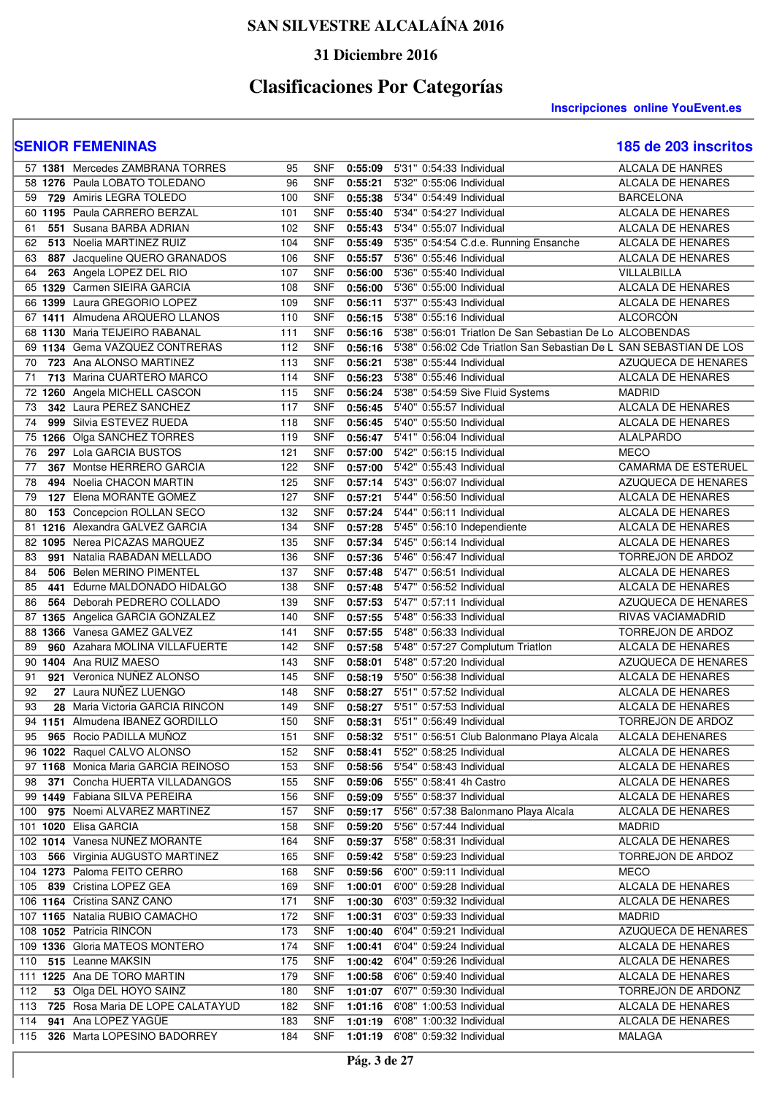### **31 Diciembre 2016**

# **Clasificaciones Por Categorías**

**Inscripciones online YouEvent.es** 

|     | 57 1381 Mercedes ZAMBRANA TORRES                                  | 95         | <b>SNF</b>               | 0:55:09            | 5'31" 0:54:33 Individual                                                             | <b>ALCALA DE HANRES</b>  |
|-----|-------------------------------------------------------------------|------------|--------------------------|--------------------|--------------------------------------------------------------------------------------|--------------------------|
|     | 58 1276 Paula LOBATO TOLEDANO                                     | 96         | <b>SNF</b>               | 0:55:21            | 5'32" 0:55:06 Individual                                                             | ALCALA DE HENARES        |
| 59  | 729 Amiris LEGRA TOLEDO                                           | 100        | <b>SNF</b>               | 0:55:38            | 5'34" 0:54:49 Individual                                                             | <b>BARCELONA</b>         |
|     | 60 1195 Paula CARRERO BERZAL                                      | 101        | <b>SNF</b>               | 0:55:40            | 5'34" 0:54:27 Individual                                                             | ALCALA DE HENARES        |
| 61  | 551 Susana BARBA ADRIAN                                           | 102        | <b>SNF</b>               | 0:55:43            | 5'34" 0:55:07 Individual                                                             | ALCALA DE HENARES        |
| 62  | 513 Noelia MARTINEZ RUIZ                                          | 104        | <b>SNF</b>               | 0:55:49            | 5'35" 0:54:54 C.d.e. Running Ensanche                                                | ALCALA DE HENARES        |
| 63  | 887 Jacqueline QUERO GRANADOS                                     | 106        | <b>SNF</b>               | 0:55:57            | 5'36" 0:55:46 Individual                                                             | ALCALA DE HENARES        |
| 64  | 263 Angela LOPEZ DEL RIO                                          | 107        | <b>SNF</b>               | 0:56:00            | 5'36" 0:55:40 Individual                                                             | VILLALBILLA              |
|     | 65 1329 Carmen SIEIRA GARCIA                                      | 108        | <b>SNF</b>               | 0:56:00            | 5'36" 0:55:00 Individual                                                             | <b>ALCALA DE HENARES</b> |
|     | 66 1399 Laura GREGORIO LOPEZ                                      | 109        | <b>SNF</b>               | 0:56:11            | 5'37" 0:55:43 Individual                                                             | ALCALA DE HENARES        |
|     |                                                                   |            |                          |                    |                                                                                      | <b>ALCORCON</b>          |
|     | 67 1411 Almudena ARQUERO LLANOS<br>68 1130 Maria TEIJEIRO RABANAL | 110<br>111 | <b>SNF</b><br><b>SNF</b> | 0:56:15<br>0:56:16 | 5'38" 0:55:16 Individual<br>5'38" 0:56:01 Triatlon De San Sebastian De Lo ALCOBENDAS |                          |
|     | 69 1134 Gema VAZQUEZ CONTRERAS                                    |            |                          |                    |                                                                                      |                          |
|     |                                                                   | 112        | <b>SNF</b>               | 0:56:16            | 5'38" 0:56:02 Cde Triatlon San Sebastian De L SAN SEBASTIAN DE LOS                   |                          |
| 70  | 723 Ana ALONSO MARTINEZ                                           | 113        | <b>SNF</b>               | 0:56:21            | 5'38" 0:55:44 Individual                                                             | AZUQUECA DE HENARES      |
| 71  | 713 Marina CUARTERO MARCO                                         | 114        | <b>SNF</b>               | 0:56:23            | 5'38" 0:55:46 Individual                                                             | <b>ALCALA DE HENARES</b> |
|     | 72 1260 Angela MICHELL CASCON                                     | 115        | <b>SNF</b>               | 0:56:24            | 5'38" 0:54:59 Sive Fluid Systems                                                     | <b>MADRID</b>            |
| 73  | 342 Laura PEREZ SANCHEZ                                           | 117        | <b>SNF</b>               | 0:56:45            | 5'40" 0:55:57 Individual                                                             | ALCALA DE HENARES        |
| 74  | 999 Silvia ESTEVEZ RUEDA                                          | 118        | <b>SNF</b>               | 0:56:45            | 5'40" 0:55:50 Individual                                                             | <b>ALCALA DE HENARES</b> |
|     | 75 1266 Olga SANCHEZ TORRES                                       | 119        | <b>SNF</b>               | 0:56:47            | 5'41" 0:56:04 Individual                                                             | ALALPARDO                |
| 76  | 297 Lola GARCIA BUSTOS                                            | 121        | <b>SNF</b>               | 0:57:00            | 5'42" 0:56:15 Individual                                                             | <b>MECO</b>              |
| 77  | 367 Montse HERRERO GARCIA                                         | 122        | <b>SNF</b>               | 0:57:00            | 5'42" 0:55:43 Individual                                                             | CAMARMA DE ESTERUEL      |
| 78  | 494 Noelia CHACON MARTIN                                          | 125        | <b>SNF</b>               | 0:57:14            | 5'43" 0:56:07 Individual                                                             | AZUQUECA DE HENARES      |
| 79  | 127 Elena MORANTE GOMEZ                                           | 127        | <b>SNF</b>               | 0:57:21            | 5'44" 0:56:50 Individual                                                             | <b>ALCALA DE HENARES</b> |
| 80  | 153 Concepcion ROLLAN SECO                                        | 132        | <b>SNF</b>               | 0:57:24            | 5'44" 0:56:11 Individual                                                             | ALCALA DE HENARES        |
|     | 81 1216 Alexandra GALVEZ GARCIA                                   | 134        | <b>SNF</b>               | 0:57:28            | 5'45" 0:56:10 Independiente                                                          | ALCALA DE HENARES        |
|     | 82 1095 Nerea PICAZAS MARQUEZ                                     | 135        | <b>SNF</b>               | 0:57:34            | 5'45" 0:56:14 Individual                                                             | ALCALA DE HENARES        |
| 83  | 991 Natalia RABADAN MELLADO                                       | 136        | <b>SNF</b>               | 0:57:36            | 5'46" 0:56:47 Individual                                                             | TORREJON DE ARDOZ        |
| 84  | 506 Belen MERINO PIMENTEL                                         | 137        | <b>SNF</b>               | 0:57:48            | 5'47" 0:56:51 Individual                                                             | ALCALA DE HENARES        |
| 85  | 441 Edurne MALDONADO HIDALGO                                      | 138        | <b>SNF</b>               | 0:57:48            | 5'47" 0:56:52 Individual                                                             | ALCALA DE HENARES        |
| 86  | 564 Deborah PEDRERO COLLADO                                       | 139        | <b>SNF</b>               | 0:57:53            | 5'47" 0:57:11 Individual                                                             | AZUQUECA DE HENARES      |
|     | 87 1365 Angelica GARCIA GONZALEZ                                  | 140        | <b>SNF</b>               | 0:57:55            | 5'48" 0:56:33 Individual                                                             | RIVAS VACIAMADRID        |
|     | 88 1366 Vanesa GAMEZ GALVEZ                                       | 141        | <b>SNF</b>               | 0:57:55            | 5'48" 0:56:33 Individual                                                             | TORREJON DE ARDOZ        |
| 89  | 960 Azahara MOLINA VILLAFUERTE                                    | 142        | <b>SNF</b>               | 0:57:58            | 5'48" 0:57:27 Complutum Triatlon                                                     | ALCALA DE HENARES        |
| 90  | 1404 Ana RUIZ MAESO                                               | 143        | <b>SNF</b>               | 0:58:01            | 5'48" 0:57:20 Individual                                                             | AZUQUECA DE HENARES      |
| 91  | 921 Veronica NUÑEZ ALONSO                                         | 145        | <b>SNF</b>               | 0:58:19            | 5'50" 0:56:38 Individual                                                             | <b>ALCALA DE HENARES</b> |
| 92  | 27 Laura NUÑEZ LUENGO                                             | 148        | <b>SNF</b>               | 0:58:27            | 5'51" 0:57:52 Individual                                                             | ALCALA DE HENARES        |
| 93  | 28 Maria Victoria GARCIA RINCON                                   | 149        | <b>SNF</b>               | 0:58:27            | 5'51" 0:57:53 Individual                                                             | <b>ALCALA DE HENARES</b> |
|     | 94 1151 Almudena IBANEZ GORDILLO                                  | 150        | <b>SNF</b>               | 0:58:31            | 5'51" 0:56:49 Individual                                                             | <b>TORREJON DE ARDOZ</b> |
| 95  | 965 Rocio PADILLA MUÑOZ                                           | 151        | <b>SNF</b>               |                    | 0:58:32 5'51" 0:56:51 Club Balonmano Playa Alcala                                    | ALCALA DEHENARES         |
|     | 96 1022 Raquel CALVO ALONSO                                       | 152        | <b>SNF</b>               | 0:58:41            | 5'52" 0:58:25 Individual                                                             | ALCALA DE HENARES        |
|     | 97 1168 Monica Maria GARCIA REINOSO                               | 153        | <b>SNF</b>               | 0:58:56            | 5'54" 0:58:43 Individual                                                             | ALCALA DE HENARES        |
| 98  | 371 Concha HUERTA VILLADANGOS                                     | 155        | <b>SNF</b>               | 0:59:06            | 5'55" 0:58:41 4h Castro                                                              | ALCALA DE HENARES        |
|     | 99 1449 Fabiana SILVA PEREIRA                                     | 156        | <b>SNF</b>               |                    | 0:59:09 5'55" 0:58:37 Individual                                                     | ALCALA DE HENARES        |
| 100 | 975 Noemi ALVAREZ MARTINEZ                                        | 157        | <b>SNF</b>               | 0:59:17            | 5'56" 0:57:38 Balonmano Playa Alcala                                                 | ALCALA DE HENARES        |
|     | 101 1020 Elisa GARCIA                                             | 158        | <b>SNF</b>               | 0:59:20            | 5'56" 0:57:44 Individual                                                             | <b>MADRID</b>            |
|     | 102 1014 Vanesa NUÑEZ MORANTE                                     | 164        | <b>SNF</b>               | 0:59:37            | 5'58" 0:58:31 Individual                                                             | ALCALA DE HENARES        |
| 103 | 566 Virginia AUGUSTO MARTINEZ                                     | 165        | <b>SNF</b>               | 0:59:42            | 5'58" 0:59:23 Individual                                                             | TORREJON DE ARDOZ        |
|     | 104 1273 Paloma FEITO CERRO                                       | 168        | <b>SNF</b>               | 0:59:56            | 6'00" 0:59:11 Individual                                                             | <b>MECO</b>              |
| 105 | 839 Cristina LOPEZ GEA                                            | 169        | <b>SNF</b>               | 1:00:01            | 6'00" 0:59:28 Individual                                                             | <b>ALCALA DE HENARES</b> |
|     | 106 1164 Cristina SANZ CANO                                       | 171        | <b>SNF</b>               | 1:00:30            | 6'03" 0:59:32 Individual                                                             | ALCALA DE HENARES        |
|     | 107 1165 Natalia RUBIO CAMACHO                                    | 172        | <b>SNF</b>               | 1:00:31            | 6'03" 0:59:33 Individual                                                             | <b>MADRID</b>            |
|     | 108 1052 Patricia RINCON                                          | 173        | <b>SNF</b>               | 1:00:40            | 6'04" 0:59:21 Individual                                                             | AZUQUECA DE HENARES      |
|     | 109 1336 Gloria MATEOS MONTERO                                    | 174        | <b>SNF</b>               | 1:00:41            | 6'04" 0:59:24 Individual                                                             | ALCALA DE HENARES        |
| 110 | 515 Leanne MAKSIN                                                 | 175        | <b>SNF</b>               | 1:00:42            | 6'04" 0:59:26 Individual                                                             | ALCALA DE HENARES        |
|     | 111 1225 Ana DE TORO MARTIN                                       | 179        | <b>SNF</b>               | 1:00:58            | 6'06" 0:59:40 Individual                                                             | ALCALA DE HENARES        |
| 112 | 53 Olga DEL HOYO SAINZ                                            | 180        | <b>SNF</b>               | 1:01:07            | 6'07" 0:59:30 Individual                                                             | TORREJON DE ARDONZ       |
| 113 | 725 Rosa Maria DE LOPE CALATAYUD                                  | 182        | <b>SNF</b>               | 1:01:16            | 6'08" 1:00:53 Individual                                                             | ALCALA DE HENARES        |
| 114 | 941 Ana LOPEZ YAGÜE                                               | 183        | <b>SNF</b>               | 1:01:19            | 6'08" 1:00:32 Individual                                                             | ALCALA DE HENARES        |
| 115 | 326 Marta LOPESINO BADORREY                                       | 184        | <b>SNF</b>               | 1:01:19            | 6'08" 0:59:32 Individual                                                             | MALAGA                   |
|     |                                                                   |            |                          |                    |                                                                                      |                          |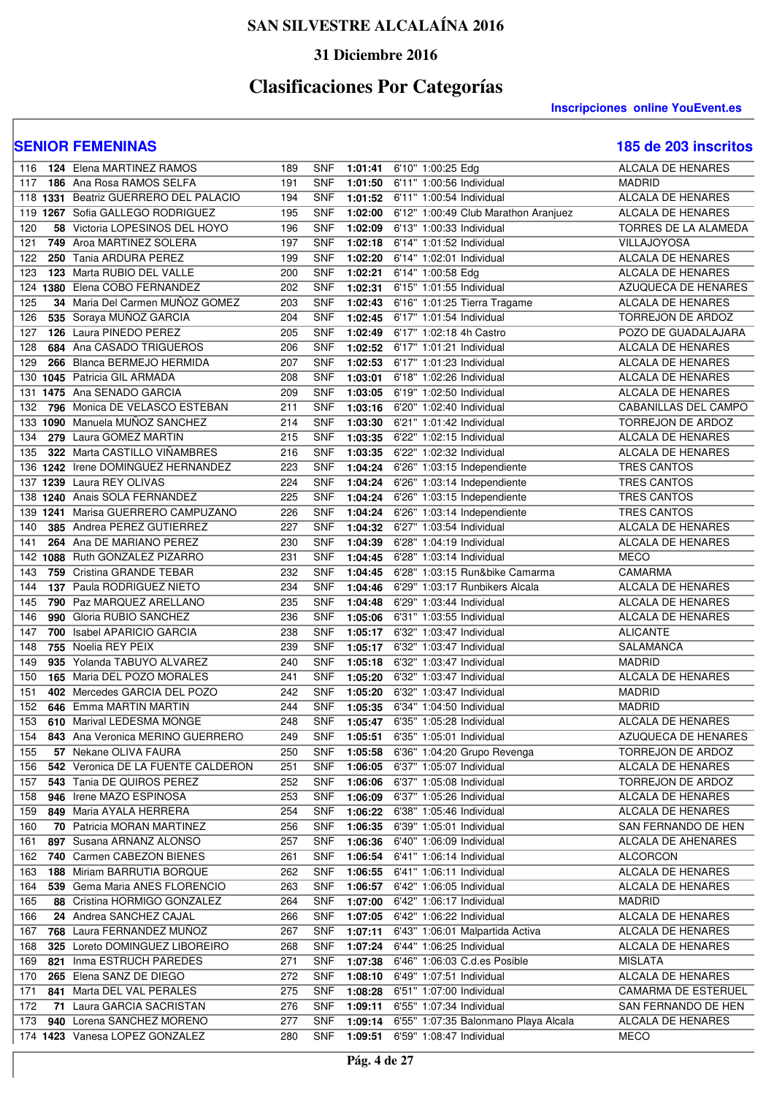### **31 Diciembre 2016**

# **Clasificaciones Por Categorías**

**Inscripciones online YouEvent.es** 

| 116        | <b>124 Elena MARTINEZ RAMOS</b>       | 189 | <b>SNF</b> |         | 1:01:41 6'10" 1:00:25 Edg            | <b>ALCALA DE HENARES</b>    |
|------------|---------------------------------------|-----|------------|---------|--------------------------------------|-----------------------------|
| 117        | 186 Ana Rosa RAMOS SELFA              | 191 | <b>SNF</b> | 1:01:50 | 6'11" 1:00:56 Individual             | <b>MADRID</b>               |
|            | 118 1331 Beatriz GUERRERO DEL PALACIO | 194 | <b>SNF</b> | 1:01:52 | 6'11" 1:00:54 Individual             | ALCALA DE HENARES           |
|            | 119 1267 Sofia GALLEGO RODRIGUEZ      | 195 | <b>SNF</b> | 1:02:00 | 6'12" 1:00:49 Club Marathon Aranjuez | ALCALA DE HENARES           |
| 120        | 58 Victoria LOPESINOS DEL HOYO        | 196 | <b>SNF</b> | 1:02:09 | 6'13" 1:00:33 Individual             | <b>TORRES DE LA ALAMEDA</b> |
| 121        | 749 Aroa MARTINEZ SOLERA              | 197 | <b>SNF</b> | 1:02:18 | 6'14" 1:01:52 Individual             | VILLAJOYOSA                 |
| 122        | 250 Tania ARDURA PEREZ                | 199 | <b>SNF</b> | 1:02:20 | 6'14" 1:02:01 Individual             | <b>ALCALA DE HENARES</b>    |
| 123        | 123 Marta RUBIO DEL VALLE             | 200 | <b>SNF</b> | 1:02:21 | 6'14" 1:00:58 Edg                    | <b>ALCALA DE HENARES</b>    |
| 124        | 1380 Elena COBO FERNANDEZ             | 202 | <b>SNF</b> | 1:02:31 | 6'15" 1:01:55 Individual             | AZUQUECA DE HENARES         |
| 125        | 34 Maria Del Carmen MUNOZ GOMEZ       | 203 | <b>SNF</b> | 1:02:43 | 6'16" 1:01:25 Tierra Tragame         | ALCALA DE HENARES           |
| 126        | 535 Soraya MUÑOZ GARCIA               | 204 | <b>SNF</b> | 1:02:45 | 6'17" 1:01:54 Individual             | TORREJON DE ARDOZ           |
| 127        | 126 Laura PINEDO PEREZ                | 205 | <b>SNF</b> | 1:02:49 | 6'17" 1:02:18 4h Castro              | POZO DE GUADALAJARA         |
| 128        | 684 Ana CASADO TRIGUEROS              | 206 | <b>SNF</b> | 1:02:52 | 6'17" 1:01:21 Individual             | ALCALA DE HENARES           |
| 129        | 266 Blanca BERMEJO HERMIDA            | 207 | <b>SNF</b> | 1:02:53 | 6'17" 1:01:23 Individual             | ALCALA DE HENARES           |
| 130        | 1045 Patricia GIL ARMADA              | 208 | <b>SNF</b> | 1:03:01 | 6'18" 1:02:26 Individual             | ALCALA DE HENARES           |
| 131        | 1475 Ana SENADO GARCIA                | 209 | <b>SNF</b> | 1:03:05 | 6'19" 1:02:50 Individual             | ALCALA DE HENARES           |
| 132        | 796 Monica DE VELASCO ESTEBAN         | 211 | <b>SNF</b> | 1:03:16 | 6'20" 1:02:40 Individual             | CABANILLAS DEL CAMPO        |
|            | 133 1090 Manuela MUÑOZ SANCHEZ        | 214 | <b>SNF</b> | 1:03:30 | 6'21" 1:01:42 Individual             | TORREJON DE ARDOZ           |
| 134        | 279 Laura GOMEZ MARTIN                | 215 | <b>SNF</b> | 1:03:35 | 6'22" 1:02:15 Individual             | ALCALA DE HENARES           |
| 135        | 322 Marta CASTILLO VIÑAMBRES          | 216 | <b>SNF</b> | 1:03:35 | 6'22" 1:02:32 Individual             | ALCALA DE HENARES           |
|            | 136 1242 Irene DOMINGUEZ HERNANDEZ    | 223 | <b>SNF</b> | 1:04:24 | 6'26" 1:03:15 Independiente          | TRES CANTOS                 |
|            | 137 1239 Laura REY OLIVAS             | 224 | <b>SNF</b> | 1:04:24 | 6'26" 1:03:14 Independiente          | TRES CANTOS                 |
|            | 138 1240 Anais SOLA FERNANDEZ         | 225 | <b>SNF</b> | 1:04:24 | 6'26" 1:03:15 Independiente          | <b>TRES CANTOS</b>          |
|            | 139 1241 Marisa GUERRERO CAMPUZANO    | 226 | <b>SNF</b> | 1:04:24 | 6'26" 1:03:14 Independiente          | TRES CANTOS                 |
| 140        | 385 Andrea PEREZ GUTIERREZ            | 227 | <b>SNF</b> | 1:04:32 | 6'27" 1:03:54 Individual             | ALCALA DE HENARES           |
| 141        | 264 Ana DE MARIANO PEREZ              | 230 | <b>SNF</b> | 1:04:39 | 6'28" 1:04:19 Individual             | ALCALA DE HENARES           |
|            | 142 1088 Ruth GONZALEZ PIZARRO        | 231 | <b>SNF</b> | 1:04:45 | 6'28" 1:03:14 Individual             | <b>MECO</b>                 |
| 143        | 759 Cristina GRANDE TEBAR             | 232 | <b>SNF</b> | 1:04:45 | 6'28" 1:03:15 Run&bike Camarma       | CAMARMA                     |
| 144        | 137 Paula RODRIGUEZ NIETO             | 234 | <b>SNF</b> | 1:04:46 | 6'29" 1:03:17 Runbikers Alcala       | ALCALA DE HENARES           |
| 145        | 790 Paz MARQUEZ ARELLANO              | 235 | <b>SNF</b> | 1:04:48 | 6'29" 1:03:44 Individual             | ALCALA DE HENARES           |
| 146        | 990 Gloria RUBIO SANCHEZ              | 236 | <b>SNF</b> | 1:05:06 | 6'31" 1:03:55 Individual             | ALCALA DE HENARES           |
| 147        | <b>700</b> Isabel APARICIO GARCIA     | 238 | <b>SNF</b> | 1:05:17 | 6'32" 1:03:47 Individual             | <b>ALICANTE</b>             |
| 148        | 755 Noelia REY PEIX                   | 239 | <b>SNF</b> | 1:05:17 | 6'32" 1:03:47 Individual             | SALAMANCA                   |
| 149        | 935 Yolanda TABUYO ALVAREZ            | 240 | <b>SNF</b> | 1:05:18 | 6'32" 1:03:47 Individual             | <b>MADRID</b>               |
| 150        | 165 Maria DEL POZO MORALES            | 241 | <b>SNF</b> | 1:05:20 | 6'32" 1:03:47 Individual             | <b>ALCALA DE HENARES</b>    |
| 151        | 402 Mercedes GARCIA DEL POZO          | 242 | <b>SNF</b> | 1:05:20 | 6'32" 1:03:47 Individual             | <b>MADRID</b>               |
| 152        | 646 Emma MARTIN MARTIN                | 244 | <b>SNF</b> | 1:05:35 | 6'34" 1:04:50 Individual             | <b>MADRID</b>               |
| 153        | 610 Marival LEDESMA MONGE             | 248 | <b>SNF</b> | 1:05:47 | 6'35" 1:05:28 Individual             | <b>ALCALA DE HENARES</b>    |
| 154        | 843 Ana Veronica MERINO GUERRERO      | 249 | <b>SNF</b> | 1:05:51 | 6'35" 1:05:01 Individual             | AZUQUECA DE HENARES         |
| 155        | 57 Nekane OLIVA FAURA                 | 250 | <b>SNF</b> | 1:05:58 | 6'36" 1:04:20 Grupo Revenga          | TORREJON DE ARDOZ           |
| 156        | 542 Veronica DE LA FUENTE CALDERON    | 251 | <b>SNF</b> | 1:06:05 | 6'37" 1:05:07 Individual             | ALCALA DE HENARES           |
| 157        | 543 Tania DE QUIROS PEREZ             | 252 | <b>SNF</b> | 1:06:06 | 6'37" 1:05:08 Individual             | TORREJON DE ARDOZ           |
| 158        | 946 Irene MAZO ESPINOSA               | 253 | <b>SNF</b> | 1:06:09 | 6'37" 1:05:26 Individual             | ALCALA DE HENARES           |
| 159        | 849 Maria AYALA HERRERA               | 254 | <b>SNF</b> | 1:06:22 | 6'38" 1:05:46 Individual             | ALCALA DE HENARES           |
| 160        | <b>70</b> Patricia MORAN MARTINEZ     | 256 | <b>SNF</b> | 1:06:35 | 6'39" 1:05:01 Individual             | SAN FERNANDO DE HEN         |
| 161        | 897 Susana ARNANZ ALONSO              | 257 | <b>SNF</b> | 1:06:36 | 6'40" 1:06:09 Individual             | ALCALA DE AHENARES          |
| 162        | 740 Carmen CABEZON BIENES             | 261 | <b>SNF</b> | 1:06:54 | 6'41" 1:06:14 Individual             | <b>ALCORCON</b>             |
| 163        | 188 Miriam BARRUTIA BORQUE            | 262 | <b>SNF</b> | 1:06:55 | 6'41" 1:06:11 Individual             | ALCALA DE HENARES           |
| 164        | 539 Gema Maria ANES FLORENCIO         | 263 | <b>SNF</b> | 1:06:57 | 6'42" 1:06:05 Individual             | ALCALA DE HENARES           |
| 165        | 88 Cristina HORMIGO GONZALEZ          | 264 | <b>SNF</b> | 1:07:00 | 6'42" 1:06:17 Individual             | MADRID                      |
| 166        | 24 Andrea SANCHEZ CAJAL               | 266 | <b>SNF</b> | 1:07:05 | 6'42" 1:06:22 Individual             | ALCALA DE HENARES           |
| 167        | 768 Laura FERNANDEZ MUÑOZ             | 267 | <b>SNF</b> | 1:07:11 | 6'43" 1:06:01 Malpartida Activa      | ALCALA DE HENARES           |
| 168        | 325 Loreto DOMINGUEZ LIBOREIRO        | 268 | <b>SNF</b> | 1:07:24 | 6'44" 1:06:25 Individual             | ALCALA DE HENARES           |
| 169<br>821 | Inma ESTRUCH PAREDES                  | 271 | <b>SNF</b> | 1:07:38 | 6'46" 1:06:03 C.d.es Posible         | <b>MISLATA</b>              |
| 170        | 265 Elena SANZ DE DIEGO               | 272 | <b>SNF</b> | 1:08:10 | 6'49" 1:07:51 Individual             | ALCALA DE HENARES           |
| 171        | 841 Marta DEL VAL PERALES             | 275 | <b>SNF</b> | 1:08:28 | 6'51" 1:07:00 Individual             | CAMARMA DE ESTERUEL         |
| 172        | 71 Laura GARCIA SACRISTAN             | 276 | <b>SNF</b> | 1:09:11 | 6'55" 1:07:34 Individual             | SAN FERNANDO DE HEN         |
| 173        | 940 Lorena SANCHEZ MORENO             | 277 | <b>SNF</b> | 1:09:14 | 6'55" 1:07:35 Balonmano Playa Alcala | ALCALA DE HENARES           |
|            | 174 1423 Vanesa LOPEZ GONZALEZ        | 280 | <b>SNF</b> | 1:09:51 | 6'59" 1:08:47 Individual             | <b>MECO</b>                 |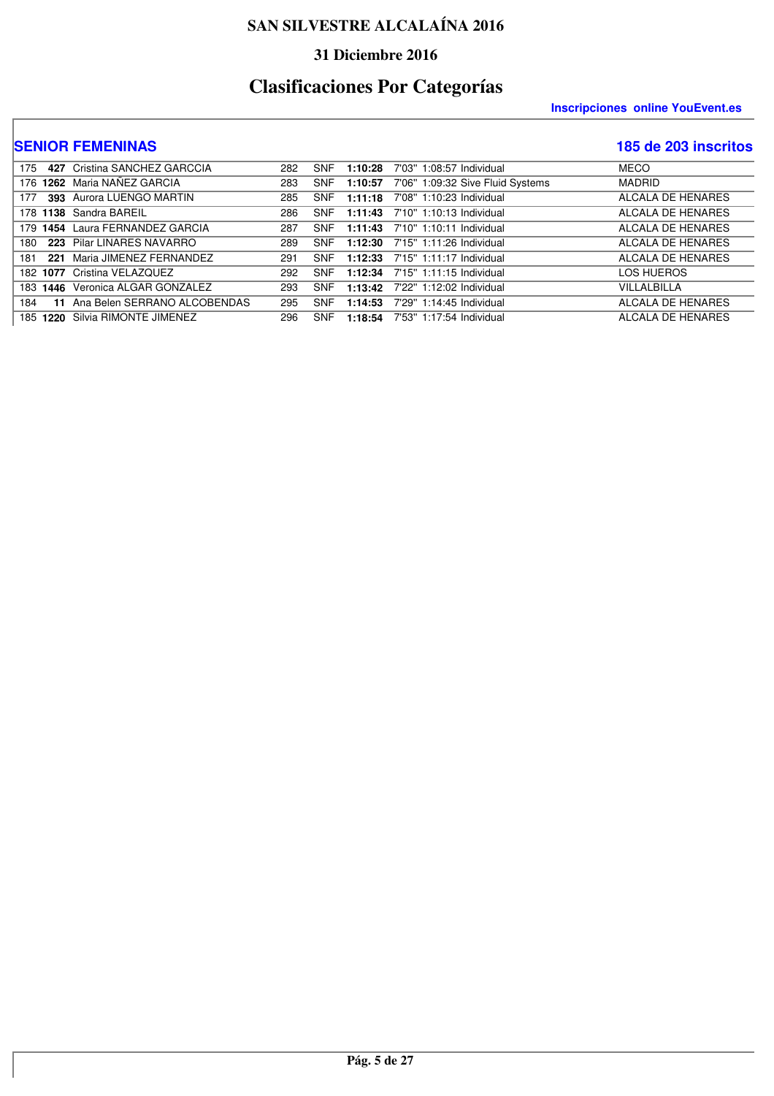### **31 Diciembre 2016**

# **Clasificaciones Por Categorías**

#### **Inscripciones online YouEvent.es**

| 175 | 427 Cristina SANCHEZ GARCCIA     | 282 | <b>SNF</b> | 1:10:28 | 7'03" 1:08:57 Individual         | <b>MECO</b>       |
|-----|----------------------------------|-----|------------|---------|----------------------------------|-------------------|
|     | 176 1262 Maria NAÑEZ GARCIA      | 283 | <b>SNF</b> | 1:10:57 | 7'06" 1:09:32 Sive Fluid Systems | <b>MADRID</b>     |
| 177 | 393 Aurora LUENGO MARTIN         | 285 | <b>SNF</b> | 1:11:18 | 7'08" 1:10:23 Individual         | ALCALA DE HENARES |
|     | 178 1138 Sandra BAREIL           | 286 | <b>SNF</b> |         | 1:11:43 7'10" 1:10:13 Individual | ALCALA DE HENARES |
|     | 179 1454 Laura FERNANDEZ GARCIA  | 287 | <b>SNF</b> |         | 1:11:43 7'10" 1:10:11 Individual | ALCALA DE HENARES |
|     | 180 223 Pilar LINARES NAVARRO    | 289 | <b>SNF</b> |         | 1:12:30 7'15" 1:11:26 Individual | ALCALA DE HENARES |
| 181 | 221 Maria JIMENEZ FERNANDEZ      | 291 | <b>SNF</b> |         | 1:12:33 7'15" 1:11:17 Individual | ALCALA DE HENARES |
|     | 182 1077 Cristina VELAZQUEZ      | 292 | <b>SNF</b> |         | 1:12:34 7'15" 1:11:15 Individual | LOS HUEROS        |
|     | 183 1446 Veronica ALGAR GONZALEZ | 293 | <b>SNF</b> | 1:13:42 | 7'22" 1:12:02 Individual         | VILLALBILLA       |
| 184 | 11 Ana Belen SERRANO ALCOBENDAS  | 295 | <b>SNF</b> | 1:14:53 | 7'29" 1:14:45 Individual         | ALCALA DE HENARES |
|     | 185 1220 Silvia RIMONTE JIMENEZ  | 296 | <b>SNF</b> | 1:18:54 | 7'53" 1:17:54 Individual         | ALCALA DE HENARES |
|     |                                  |     |            |         |                                  |                   |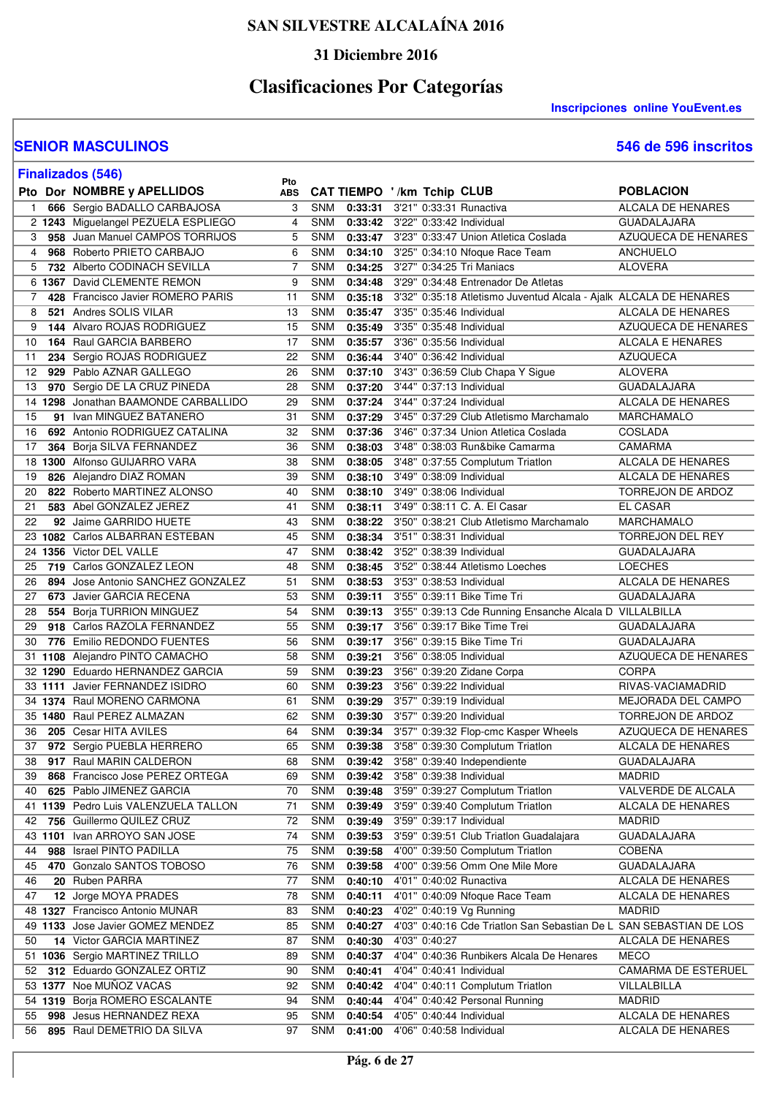### **31 Diciembre 2016**

# **Clasificaciones Por Categorías**

**Inscripciones online YouEvent.es** 

#### **SENIOR MASCULINOS 546 de 596 inscritos**

ľ

| 546 de 596 inscritos |
|----------------------|
|----------------------|

|              | <b>Finalizados (546)</b>            | Pto |            |         |                                                                    |                          |
|--------------|-------------------------------------|-----|------------|---------|--------------------------------------------------------------------|--------------------------|
|              | Pto Dor NOMBRE y APELLIDOS          | ABS |            |         | CAT TIEMPO '/km Tchip CLUB                                         | <b>POBLACION</b>         |
| $\mathbf{1}$ | 666 Sergio BADALLO CARBAJOSA        | 3   | <b>SNM</b> | 0:33:31 | 3'21" 0:33:31 Runactiva                                            | ALCALA DE HENARES        |
|              | 2 1243 Miguelangel PEZUELA ESPLIEGO | 4   | <b>SNM</b> | 0:33:42 | 3'22" 0:33:42 Individual                                           | <b>GUADALAJARA</b>       |
| 3            | 958 Juan Manuel CAMPOS TORRIJOS     | 5   | <b>SNM</b> | 0:33:47 | 3'23" 0:33:47 Union Atletica Coslada                               | AZUQUECA DE HENARES      |
| 4            | 968 Roberto PRIETO CARBAJO          | 6   | <b>SNM</b> | 0:34:10 | 3'25" 0:34:10 Nfoque Race Team                                     | <b>ANCHUELO</b>          |
| 5            | 732 Alberto CODINACH SEVILLA        | 7   | <b>SNM</b> | 0:34:25 | 3'27" 0:34:25 Tri Maniacs                                          | <b>ALOVERA</b>           |
|              | 6 1367 David CLEMENTE REMON         | 9   | <b>SNM</b> | 0:34:48 | 3'29" 0:34:48 Entrenador De Atletas                                |                          |
| 7            | 428 Francisco Javier ROMERO PARIS   | 11  | <b>SNM</b> | 0:35:18 | 3'32" 0:35:18 Atletismo Juventud Alcala - Ajalk ALCALA DE HENARES  |                          |
| 8            | 521 Andres SOLIS VILAR              | 13  | <b>SNM</b> | 0:35:47 | 3'35" 0:35:46 Individual                                           | ALCALA DE HENARES        |
| 9            | 144 Alvaro ROJAS RODRIGUEZ          | 15  | <b>SNM</b> | 0:35:49 | 3'35" 0:35:48 Individual                                           | AZUQUECA DE HENARES      |
| 10           | 164 Raul GARCIA BARBERO             | 17  | <b>SNM</b> | 0:35:57 | 3'36" 0:35:56 Individual                                           | ALCALA E HENARES         |
| 11           | 234 Sergio ROJAS RODRIGUEZ          | 22  | <b>SNM</b> | 0:36:44 | 3'40" 0:36:42 Individual                                           | <b>AZUQUECA</b>          |
| 12           | 929 Pablo AZNAR GALLEGO             | 26  | <b>SNM</b> | 0:37:10 | 3'43" 0:36:59 Club Chapa Y Sigue                                   | <b>ALOVERA</b>           |
| 13           | 970 Sergio DE LA CRUZ PINEDA        | 28  | <b>SNM</b> | 0:37:20 | 3'44" 0:37:13 Individual                                           | <b>GUADALAJARA</b>       |
| 14           | 1298 Jonathan BAAMONDE CARBALLIDO   | 29  | <b>SNM</b> | 0:37:24 | 3'44" 0:37:24 Individual                                           | ALCALA DE HENARES        |
| 15           | 91 Ivan MINGUEZ BATANERO            | 31  | <b>SNM</b> | 0:37:29 | 3'45" 0:37:29 Club Atletismo Marchamalo                            | <b>MARCHAMALO</b>        |
| 16           | 692 Antonio RODRIGUEZ CATALINA      | 32  | <b>SNM</b> | 0:37:36 | 3'46" 0:37:34 Union Atletica Coslada                               | <b>COSLADA</b>           |
| 17           | 364 Borja SILVA FERNANDEZ           | 36  | <b>SNM</b> | 0:38:03 | 3'48" 0:38:03 Run&bike Camarma                                     | CAMARMA                  |
| 18           | 1300 Alfonso GUIJARRO VARA          | 38  | <b>SNM</b> | 0:38:05 | 3'48" 0:37:55 Complutum Triatlon                                   | <b>ALCALA DE HENARES</b> |
| 19<br>826    | Alejandro DIAZ ROMAN                | 39  | <b>SNM</b> | 0:38:10 | 3'49" 0:38:09 Individual                                           | <b>ALCALA DE HENARES</b> |
| 20           | 822 Roberto MARTINEZ ALONSO         | 40  | <b>SNM</b> | 0:38:10 | 3'49" 0:38:06 Individual                                           | TORREJON DE ARDOZ        |
| 21           | 583 Abel GONZALEZ JEREZ             | 41  | <b>SNM</b> | 0:38:11 | 3'49" 0:38:11 C. A. El Casar                                       | <b>EL CASAR</b>          |
| 22           | 92 Jaime GARRIDO HUETE              | 43  | <b>SNM</b> | 0:38:22 | 3'50" 0:38:21 Club Atletismo Marchamalo                            | MARCHAMALO               |
| 23           | 1082 Carlos ALBARRAN ESTEBAN        | 45  | <b>SNM</b> | 0:38:34 | 3'51" 0:38:31 Individual                                           | <b>TORREJON DEL REY</b>  |
|              | 24 1356 Victor DEL VALLE            | 47  | <b>SNM</b> | 0:38:42 | 3'52" 0:38:39 Individual                                           | <b>GUADALAJARA</b>       |
| 25           | 719 Carlos GONZALEZ LEON            | 48  | <b>SNM</b> | 0:38:45 | 3'52" 0:38:44 Atletismo Loeches                                    | <b>LOECHES</b>           |
| 26           | 894 Jose Antonio SANCHEZ GONZALEZ   | 51  | <b>SNM</b> | 0:38:53 | 3'53" 0:38:53 Individual                                           | ALCALA DE HENARES        |
| 27           | 673 Javier GARCIA RECENA            | 53  | <b>SNM</b> | 0:39:11 | 3'55" 0:39:11 Bike Time Tri                                        | <b>GUADALAJARA</b>       |
| 28           | 554 Borja TURRION MINGUEZ           | 54  | <b>SNM</b> | 0:39:13 | 3'55" 0:39:13 Cde Running Ensanche Alcala D VILLALBILLA            |                          |
| 29           | 918 Carlos RAZOLA FERNANDEZ         | 55  | <b>SNM</b> | 0:39:17 | 3'56" 0:39:17 Bike Time Trei                                       | <b>GUADALAJARA</b>       |
| 30           | 776 Emilio REDONDO FUENTES          | 56  | <b>SNM</b> | 0:39:17 | 3'56" 0:39:15 Bike Time Tri                                        | <b>GUADALAJARA</b>       |
| 31           | 1108 Alejandro PINTO CAMACHO        | 58  | <b>SNM</b> | 0:39:21 | 3'56" 0:38:05 Individual                                           | AZUQUECA DE HENARES      |
|              | 32 1290 Eduardo HERNANDEZ GARCIA    | 59  | <b>SNM</b> | 0:39:23 | 3'56" 0:39:20 Zidane Corpa                                         | <b>CORPA</b>             |
|              | 33 1111 Javier FERNANDEZ ISIDRO     | 60  | <b>SNM</b> | 0:39:23 | 3'56" 0:39:22 Individual                                           | RIVAS-VACIAMADRID        |
|              | 34 1374 Raul MORENO CARMONA         | 61  | <b>SNM</b> | 0:39:29 | 3'57" 0:39:19 Individual                                           | MEJORADA DEL CAMPO       |
|              | 35 1480 Raul PEREZ ALMAZAN          | 62  | <b>SNM</b> | 0:39:30 | 3'57" 0:39:20 Individual                                           | TORREJON DE ARDOZ        |
| 36           | 205 Cesar HITA AVILES               | 64  | <b>SNM</b> | 0:39:34 | 3'57" 0:39:32 Flop-cmc Kasper Wheels                               | AZUQUECA DE HENARES      |
| 37           | 972 Sergio PUEBLA HERRERO           | 65  | <b>SNM</b> | 0:39:38 | 3'58" 0:39:30 Complutum Triatlon                                   | ALCALA DE HENARES        |
| 38           | 917 Raul MARIN CALDERON             | 68  | SNM        |         | 0:39:42 3'58" 0:39:40 Independiente                                | <b>GUADALAJARA</b>       |
| 39           | 868 Francisco Jose PEREZ ORTEGA     | 69  | <b>SNM</b> | 0:39:42 | 3'58" 0:39:38 Individual                                           | <b>MADRID</b>            |
| 40           | 625 Pablo JIMENEZ GARCIA            | 70  | <b>SNM</b> | 0:39:48 | 3'59" 0:39:27 Complutum Triatlon                                   | VALVERDE DE ALCALA       |
| 41           | 1139 Pedro Luis VALENZUELA TALLON   | 71  | <b>SNM</b> | 0:39:49 | 3'59" 0:39:40 Complutum Triatlon                                   | ALCALA DE HENARES        |
| 42           | 756 Guillermo QUILEZ CRUZ           | 72  | <b>SNM</b> | 0:39:49 | 3'59" 0:39:17 Individual                                           | <b>MADRID</b>            |
|              | 43 1101 Ivan ARROYO SAN JOSE        | 74  | <b>SNM</b> | 0:39:53 | 3'59" 0:39:51 Club Triatlon Guadalajara                            | <b>GUADALAJARA</b>       |
| 44<br>988    | Israel PINTO PADILLA                | 75  | <b>SNM</b> | 0:39:58 | 4'00" 0:39:50 Complutum Triatlon                                   | <b>COBEÑA</b>            |
| 45           | 470 Gonzalo SANTOS TOBOSO           | 76  | <b>SNM</b> | 0:39:58 | 4'00" 0:39:56 Omm One Mile More                                    | <b>GUADALAJARA</b>       |
| 46           | 20 Ruben PARRA                      | 77  | <b>SNM</b> | 0:40:10 | 4'01" 0:40:02 Runactiva                                            | ALCALA DE HENARES        |
| 47           | 12 Jorge MOYA PRADES                | 78  | <b>SNM</b> | 0:40:11 | 4'01" 0:40:09 Nfoque Race Team                                     | ALCALA DE HENARES        |
|              | 48 1327 Francisco Antonio MUNAR     | 83  | SNM        | 0:40:23 | 4'02" 0:40:19 Vg Running                                           | <b>MADRID</b>            |
|              | 49 1133 Jose Javier GOMEZ MENDEZ    | 85  | <b>SNM</b> | 0:40:27 | 4'03" 0:40:16 Cde Triatlon San Sebastian De L SAN SEBASTIAN DE LOS |                          |
| 50           | 14 Victor GARCIA MARTINEZ           | 87  | <b>SNM</b> | 0:40:30 | 4'03" 0:40:27                                                      | ALCALA DE HENARES        |
|              | 51 1036 Sergio MARTINEZ TRILLO      | 89  | <b>SNM</b> | 0:40:37 | 4'04" 0:40:36 Runbikers Alcala De Henares                          | <b>MECO</b>              |
| 52           | 312 Eduardo GONZALEZ ORTIZ          | 90  | <b>SNM</b> | 0:40:41 | 4'04" 0:40:41 Individual                                           | CAMARMA DE ESTERUEL      |
|              | 53 1377 Noe MUÑOZ VACAS             | 92  | <b>SNM</b> | 0:40:42 | 4'04" 0:40:11 Complutum Triatlon                                   | VILLALBILLA              |
|              | 54 1319 Borja ROMERO ESCALANTE      | 94  | <b>SNM</b> | 0:40:44 | 4'04" 0:40:42 Personal Running                                     | <b>MADRID</b>            |
| 55           | 998 Jesus HERNANDEZ REXA            | 95  | SNM        | 0:40:54 | 4'05" 0:40:44 Individual                                           | ALCALA DE HENARES        |
| 56           | 895 Raul DEMETRIO DA SILVA          | 97  | SNM        | 0:41:00 | 4'06" 0:40:58 Individual                                           | ALCALA DE HENARES        |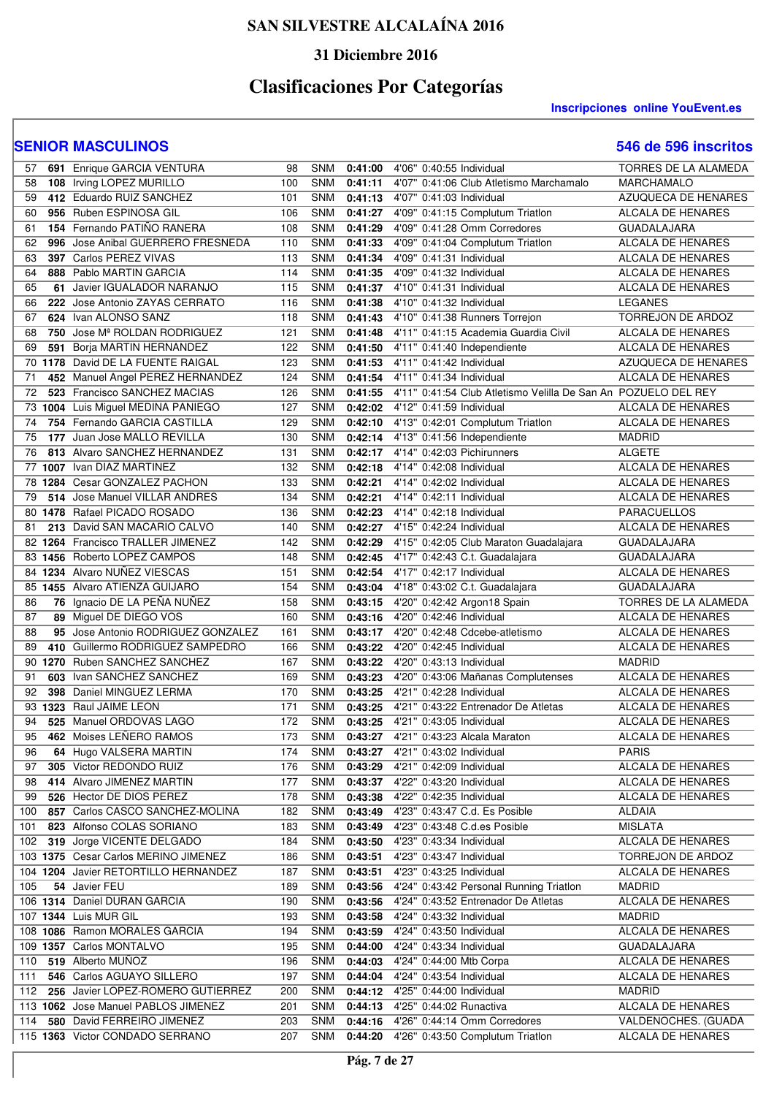### **31 Diciembre 2016**

# **Clasificaciones Por Categorías**

#### **Inscripciones online YouEvent.es**

| 57        | 691 Enrique GARCIA VENTURA               | 98  | <b>SNM</b> | 0:41:00 | 4'06" 0:40:55 Individual                                       | <b>TORRES DE LA ALAMEDA</b> |
|-----------|------------------------------------------|-----|------------|---------|----------------------------------------------------------------|-----------------------------|
| 58        | 108 Irving LOPEZ MURILLO                 | 100 | <b>SNM</b> | 0:41:11 | 4'07" 0:41:06 Club Atletismo Marchamalo                        | MARCHAMALO                  |
| 59        | 412 Eduardo RUIZ SANCHEZ                 | 101 | <b>SNM</b> | 0:41:13 | 4'07" 0:41:03 Individual                                       | <b>AZUQUECA DE HENARES</b>  |
| 60        | 956 Ruben ESPINOSA GIL                   | 106 | <b>SNM</b> | 0:41:27 | 4'09" 0:41:15 Complutum Triatlon                               | ALCALA DE HENARES           |
| 61        | 154 Fernando PATIÑO RANERA               | 108 | <b>SNM</b> | 0:41:29 | 4'09" 0:41:28 Omm Corredores                                   | <b>GUADALAJARA</b>          |
| 62        | 996 Jose Anibal GUERRERO FRESNEDA        | 110 | <b>SNM</b> | 0:41:33 | 4'09" 0:41:04 Complutum Triatlon                               | ALCALA DE HENARES           |
| 63        | 397 Carlos PEREZ VIVAS                   | 113 | <b>SNM</b> | 0:41:34 | 4'09" 0:41:31 Individual                                       | ALCALA DE HENARES           |
| 64        | 888 Pablo MARTIN GARCIA                  | 114 | <b>SNM</b> | 0:41:35 | 4'09" 0:41:32 Individual                                       | ALCALA DE HENARES           |
| 65        | 61 Javier IGUALADOR NARANJO              | 115 | <b>SNM</b> | 0:41:37 | 4'10" 0:41:31 Individual                                       | ALCALA DE HENARES           |
| 66        | 222 Jose Antonio ZAYAS CERRATO           | 116 | <b>SNM</b> | 0:41:38 | 4'10" 0:41:32 Individual                                       | <b>LEGANES</b>              |
| 67        | 624 Ivan ALONSO SANZ                     | 118 | <b>SNM</b> | 0:41:43 | 4'10" 0:41:38 Runners Torrejon                                 | TORREJON DE ARDOZ           |
| 68        | 750 Jose M <sup>ª</sup> ROLDAN RODRIGUEZ | 121 | <b>SNM</b> | 0:41:48 | 4'11" 0:41:15 Academia Guardia Civil                           | ALCALA DE HENARES           |
| 69<br>591 | Borja MARTIN HERNANDEZ                   | 122 | <b>SNM</b> | 0:41:50 | 4'11" 0:41:40 Independiente                                    | <b>ALCALA DE HENARES</b>    |
| 70        | 1178 David DE LA FUENTE RAIGAL           | 123 | SNM        | 0:41:53 | 4'11" 0:41:42 Individual                                       | AZUQUECA DE HENARES         |
| 71        | 452 Manuel Angel PEREZ HERNANDEZ         | 124 | <b>SNM</b> | 0:41:54 | 4'11" 0:41:34 Individual                                       | ALCALA DE HENARES           |
| 72        | 523 Francisco SANCHEZ MACIAS             | 126 | <b>SNM</b> | 0:41:55 | 4'11" 0:41:54 Club Atletismo Velilla De San An POZUELO DEL REY |                             |
|           | 73 1004 Luis Miguel MEDINA PANIEGO       | 127 | SNM        | 0:42:02 | 4'12" 0:41:59 Individual                                       | ALCALA DE HENARES           |
| 74        | 754 Fernando GARCIA CASTILLA             | 129 | <b>SNM</b> | 0:42:10 | 4'13" 0:42:01 Complutum Triatlon                               | <b>ALCALA DE HENARES</b>    |
| 75        | 177 Juan Jose MALLO REVILLA              | 130 | <b>SNM</b> | 0:42:14 | 4'13" 0:41:56 Independiente                                    | MADRID                      |
| 76        | 813 Alvaro SANCHEZ HERNANDEZ             | 131 | <b>SNM</b> | 0:42:17 | 4'14" 0:42:03 Pichirunners                                     | ALGETE                      |
| 77        | 1007 Ivan DIAZ MARTINEZ                  | 132 | <b>SNM</b> | 0:42:18 | 4'14" 0:42:08 Individual                                       | ALCALA DE HENARES           |
|           | 78 1284 Cesar GONZALEZ PACHON            | 133 | SNM        | 0:42:21 | 4'14" 0:42:02 Individual                                       | ALCALA DE HENARES           |
| 79        | 514 Jose Manuel VILLAR ANDRES            | 134 | SNM        | 0:42:21 | 4'14" 0:42:11 Individual                                       | ALCALA DE HENARES           |
|           | 80 1478 Rafael PICADO ROSADO             | 136 | <b>SNM</b> | 0:42:23 | 4'14" 0:42:18 Individual                                       | PARACUELLOS                 |
| 81        | 213 David SAN MACARIO CALVO              | 140 | <b>SNM</b> | 0:42:27 | 4'15" 0:42:24 Individual                                       | ALCALA DE HENARES           |
|           | 82 1264 Francisco TRALLER JIMENEZ        | 142 | <b>SNM</b> | 0:42:29 | 4'15" 0:42:05 Club Maraton Guadalajara                         | <b>GUADALAJARA</b>          |
|           | 83 1456 Roberto LOPEZ CAMPOS             | 148 | <b>SNM</b> | 0:42:45 | 4'17" 0:42:43 C.t. Guadalajara                                 | <b>GUADALAJARA</b>          |
|           | 84 1234 Alvaro NUÑEZ VIESCAS             | 151 | SNM        | 0:42:54 | 4'17" 0:42:17 Individual                                       | ALCALA DE HENARES           |
|           | 85 1455 Alvaro ATIENZA GUIJARO           | 154 | <b>SNM</b> | 0:43:04 | 4'18" 0:43:02 C.t. Guadalajara                                 | <b>GUADALAJARA</b>          |
| 86        | 76 Ignacio DE LA PEÑA NUÑEZ              | 158 | SNM        | 0:43:15 | 4'20" 0:42:42 Argon18 Spain                                    | TORRES DE LA ALAMEDA        |
| 87        | 89 Miguel DE DIEGO VOS                   | 160 | <b>SNM</b> | 0:43:16 | 4'20" 0:42:46 Individual                                       | ALCALA DE HENARES           |
| 88        | 95 Jose Antonio RODRIGUEZ GONZALEZ       | 161 | <b>SNM</b> | 0:43:17 | 4'20" 0:42:48 Cdcebe-atletismo                                 | ALCALA DE HENARES           |
| 89        | 410 Guillermo RODRIGUEZ SAMPEDRO         | 166 | <b>SNM</b> | 0:43:22 | 4'20" 0:42:45 Individual                                       | <b>ALCALA DE HENARES</b>    |
|           | 90 1270 Ruben SANCHEZ SANCHEZ            | 167 | <b>SNM</b> | 0:43:22 | 4'20" 0:43:13 Individual                                       | <b>MADRID</b>               |
| 91        | 603 Ivan SANCHEZ SANCHEZ                 | 169 | SNM        | 0:43:23 | 4'20" 0:43:06 Mañanas Complutenses                             | <b>ALCALA DE HENARES</b>    |
| 92        | 398 Daniel MINGUEZ LERMA                 | 170 | <b>SNM</b> | 0:43:25 | 4'21" 0:42:28 Individual                                       | <b>ALCALA DE HENARES</b>    |
|           | 93 1323 Raul JAIME LEON                  | 171 | <b>SNM</b> | 0:43:25 | 4'21" 0:43:22 Entrenador De Atletas                            | ALCALA DE HENARES           |
| 94        | 525 Manuel ORDOVAS LAGO                  | 172 | <b>SNM</b> | 0:43:25 | 4'21" 0:43:05 Individual                                       | <b>ALCALA DE HENARES</b>    |
| 95        | 462 Moises LEÑERO RAMOS                  | 173 | SNM        |         | 0:43:27 4'21" 0:43:23 Alcala Maraton                           | ALCALA DE HENARES           |
| 96        | 64 Hugo VALSERA MARTIN                   | 174 | SNM        |         | 0:43:27 4'21" 0:43:02 Individual                               | <b>PARIS</b>                |
| 97        | 305 Victor REDONDO RUIZ                  | 176 | SNM        | 0:43:29 | 4'21" 0:42:09 Individual                                       | ALCALA DE HENARES           |
| 98        | 414 Alvaro JIMENEZ MARTIN                | 177 | <b>SNM</b> | 0:43:37 | 4'22" 0:43:20 Individual                                       | ALCALA DE HENARES           |
| 99        | 526 Hector DE DIOS PEREZ                 | 178 | <b>SNM</b> | 0:43:38 | 4'22" 0:42:35 Individual                                       | ALCALA DE HENARES           |
| 100       | 857 Carlos CASCO SANCHEZ-MOLINA          | 182 | <b>SNM</b> | 0:43:49 | 4'23" 0:43:47 C.d. Es Posible                                  | <b>ALDAIA</b>               |
| 101       | 823 Alfonso COLAS SORIANO                | 183 | <b>SNM</b> | 0:43:49 | 4'23" 0:43:48 C.d.es Posible                                   | <b>MISLATA</b>              |
| 102       | 319 Jorge VICENTE DELGADO                | 184 | <b>SNM</b> | 0:43:50 | 4'23" 0:43:34 Individual                                       | ALCALA DE HENARES           |
|           | 103 1375 Cesar Carlos MERINO JIMENEZ     | 186 | SNM        | 0:43:51 | 4'23" 0:43:47 Individual                                       | <b>TORREJON DE ARDOZ</b>    |
| 104       | 1204 Javier RETORTILLO HERNANDEZ         | 187 | <b>SNM</b> | 0:43:51 | 4'23" 0:43:25 Individual                                       | ALCALA DE HENARES           |
| 105       | 54 Javier FEU                            | 189 | <b>SNM</b> | 0:43:56 | 4'24" 0:43:42 Personal Running Triatlon                        | MADRID                      |
|           | 106 1314 Daniel DURAN GARCIA             | 190 | <b>SNM</b> | 0:43:56 | 4'24" 0:43:52 Entrenador De Atletas                            | ALCALA DE HENARES           |
|           | 107 1344 Luis MUR GIL                    | 193 | <b>SNM</b> | 0:43:58 | 4'24" 0:43:32 Individual                                       | <b>MADRID</b>               |
|           | 108 1086 Ramon MORALES GARCIA            | 194 | <b>SNM</b> | 0:43:59 | 4'24" 0:43:50 Individual                                       | ALCALA DE HENARES           |
|           | 109 1357 Carlos MONTALVO                 | 195 | <b>SNM</b> | 0:44:00 | 4'24" 0:43:34 Individual                                       | <b>GUADALAJARA</b>          |
| 110       | 519 Alberto MUÑOZ                        | 196 | <b>SNM</b> | 0:44:03 | 4'24" 0:44:00 Mtb Corpa                                        | ALCALA DE HENARES           |
| 111       | 546 Carlos AGUAYO SILLERO                | 197 | <b>SNM</b> | 0:44:04 | 4'24" 0:43:54 Individual                                       | ALCALA DE HENARES           |
| 112       | 256 Javier LOPEZ-ROMERO GUTIERREZ        | 200 | <b>SNM</b> |         | 0:44:12 4'25" 0:44:00 Individual                               | <b>MADRID</b>               |
|           | 113 1062 Jose Manuel PABLOS JIMENEZ      | 201 | <b>SNM</b> | 0:44:13 | 4'25" 0:44:02 Runactiva                                        | ALCALA DE HENARES           |
| 114       | 580 David FERREIRO JIMENEZ               | 203 | <b>SNM</b> | 0:44:16 | 4'26" 0:44:14 Omm Corredores                                   | VALDENOCHES. (GUADA         |
|           | 115 1363 Victor CONDADO SERRANO          | 207 | SNM        |         | 0:44:20 4'26" 0:43:50 Complutum Triatlon                       | ALCALA DE HENARES           |
|           |                                          |     |            |         |                                                                |                             |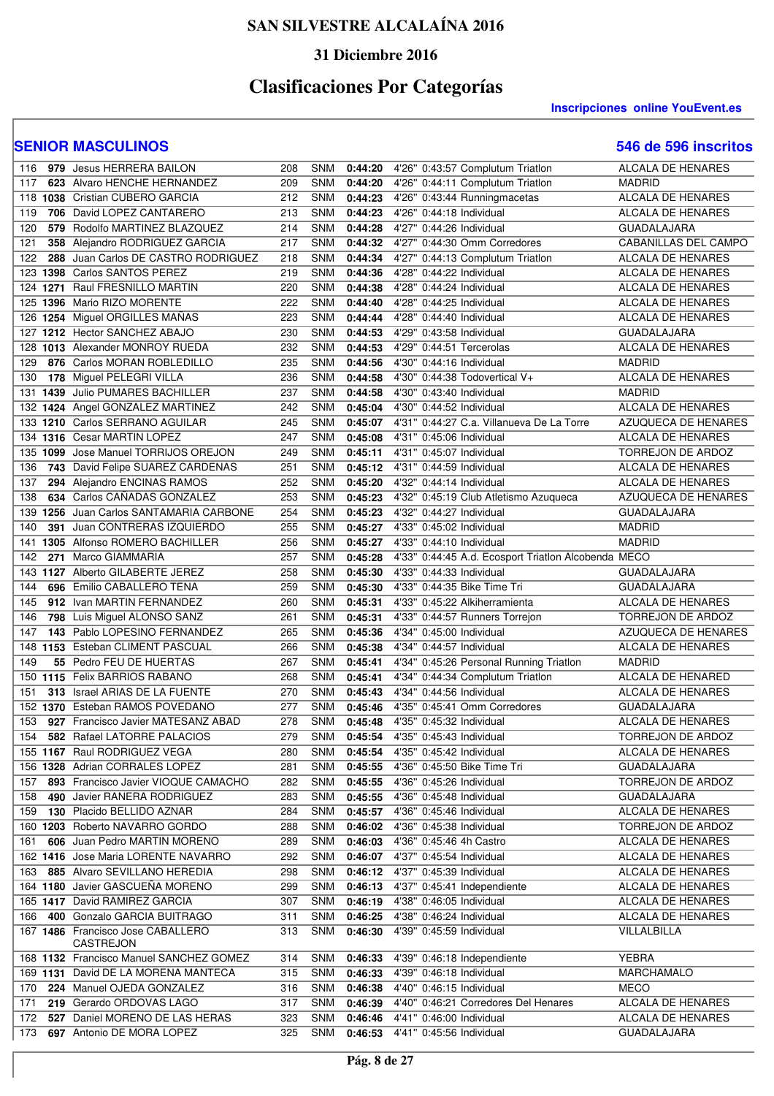### **31 Diciembre 2016**

# **Clasificaciones Por Categorías**

#### **Inscripciones online YouEvent.es**

| 116 | 979 Jesus HERRERA BAILON                                            | 208        | <b>SNM</b>               | 0:44:20            | 4'26" 0:43:57 Complutum Triatlon                     | <b>ALCALA DE HENARES</b>               |
|-----|---------------------------------------------------------------------|------------|--------------------------|--------------------|------------------------------------------------------|----------------------------------------|
| 117 | 623 Alvaro HENCHE HERNANDEZ                                         | 209        | <b>SNM</b>               | 0:44:20            | 4'26" 0:44:11 Complutum Triatlon                     | <b>MADRID</b>                          |
|     | 118 1038 Cristian CUBERO GARCIA                                     | 212        | <b>SNM</b>               | 0:44:23            | 4'26" 0:43:44 Runningmacetas                         | ALCALA DE HENARES                      |
| 119 | 706 David LOPEZ CANTARERO                                           | 213        | <b>SNM</b>               | 0:44:23            | 4'26" 0:44:18 Individual                             | ALCALA DE HENARES                      |
| 120 | 579 Rodolfo MARTINEZ BLAZQUEZ                                       | 214        | <b>SNM</b>               | 0:44:28            | 4'27" 0:44:26 Individual                             | <b>GUADALAJARA</b>                     |
| 121 | 358 Alejandro RODRIGUEZ GARCIA                                      | 217        | <b>SNM</b>               | 0:44:32            | 4'27" 0:44:30 Omm Corredores                         | CABANILLAS DEL CAMPO                   |
| 122 | 288 Juan Carlos DE CASTRO RODRIGUEZ                                 | 218        | <b>SNM</b>               | 0:44:34            | 4'27" 0:44:13 Complutum Triatlon                     | ALCALA DE HENARES                      |
| 123 | 1398 Carlos SANTOS PEREZ                                            | 219        | <b>SNM</b>               | 0:44:36            | 4'28" 0:44:22 Individual                             | ALCALA DE HENARES                      |
| 124 | 1271 Raul FRESNILLO MARTIN                                          | 220        | <b>SNM</b>               | 0:44:38            | 4'28" 0:44:24 Individual                             | ALCALA DE HENARES                      |
| 125 | 1396 Mario RIZO MORENTE                                             | 222        | <b>SNM</b>               | 0:44:40            | 4'28" 0:44:25 Individual                             | ALCALA DE HENARES                      |
|     | 126 1254 Miguel ORGILLES MAÑAS                                      | 223        | <b>SNM</b>               | 0:44:44            | 4'28" 0:44:40 Individual                             | ALCALA DE HENARES                      |
|     | 127 1212 Hector SANCHEZ ABAJO                                       | 230        | <b>SNM</b>               | 0:44:53            | 4'29" 0:43:58 Individual                             | <b>GUADALAJARA</b>                     |
| 128 | 1013 Alexander MONROY RUEDA                                         | 232        | <b>SNM</b>               | 0:44:53            | 4'29" 0:44:51 Tercerolas                             | ALCALA DE HENARES                      |
| 129 | 876 Carlos MORAN ROBLEDILLO                                         | 235        | <b>SNM</b>               | 0:44:56            | 4'30" 0:44:16 Individual                             | <b>MADRID</b>                          |
| 130 | 178 Miguel PELEGRI VILLA                                            | 236        | <b>SNM</b>               | 0:44:58            | 4'30" 0:44:38 Todovertical V+                        | ALCALA DE HENARES                      |
| 131 | <b>1439</b> Julio PUMARES BACHILLER                                 | 237        | <b>SNM</b>               | 0:44:58            | 4'30" 0:43:40 Individual                             | <b>MADRID</b>                          |
|     | 132 1424 Angel GONZALEZ MARTINEZ                                    | 242        | SNM                      | 0:45:04            | 4'30" 0:44:52 Individual                             | ALCALA DE HENARES                      |
|     | 133 1210 Carlos SERRANO AGUILAR                                     | 245        | SNM                      | 0:45:07            | 4'31" 0:44:27 C.a. Villanueva De La Torre            | <b>AZUQUECA DE HENARES</b>             |
|     | 134 1316 Cesar MARTIN LOPEZ                                         | 247        | SNM                      | 0:45:08            | 4'31" 0:45:06 Individual                             | ALCALA DE HENARES                      |
|     | 135 1099 Jose Manuel TORRIJOS OREJON                                | 249        | <b>SNM</b>               | 0:45:11            | 4'31" 0:45:07 Individual                             | <b>TORREJON DE ARDOZ</b>               |
| 136 | 743 David Felipe SUAREZ CARDENAS                                    | 251        | <b>SNM</b>               | 0:45:12            | 4'31" 0:44:59 Individual                             | ALCALA DE HENARES                      |
| 137 | 294 Alejandro ENCINAS RAMOS                                         | 252        | <b>SNM</b>               | 0:45:20            | 4'32" 0:44:14 Individual                             | ALCALA DE HENARES                      |
| 138 | 634 Carlos CAÑADAS GONZALEZ                                         | 253        | <b>SNM</b>               | 0:45:23            | 4'32" 0:45:19 Club Atletismo Azugueca                | AZUQUECA DE HENARES                    |
|     | 139 1256 Juan Carlos SANTAMARIA CARBONE                             | 254        | <b>SNM</b>               | 0:45:23            | 4'32" 0:44:27 Individual                             | <b>GUADALAJARA</b>                     |
| 140 | 391 Juan CONTRERAS IZQUIERDO                                        | 255        | <b>SNM</b>               | 0:45:27            | 4'33" 0:45:02 Individual                             | <b>MADRID</b>                          |
|     | 141 1305 Alfonso ROMERO BACHILLER                                   | 256        | <b>SNM</b>               | 0:45:27            | 4'33" 0:44:10 Individual                             | <b>MADRID</b>                          |
| 142 | 271 Marco GIAMMARIA                                                 | 257        | <b>SNM</b>               | 0:45:28            | 4'33" 0:44:45 A.d. Ecosport Triatlon Alcobenda MECO  |                                        |
|     | 143 1127 Alberto GILABERTE JEREZ                                    | 258        | <b>SNM</b>               | 0:45:30            | 4'33" 0:44:33 Individual                             | <b>GUADALAJARA</b>                     |
| 144 | 696 Emilio CABALLERO TENA                                           | 259        | <b>SNM</b>               | 0:45:30            | 4'33" 0:44:35 Bike Time Tri                          | <b>GUADALAJARA</b>                     |
| 145 | 912 Ivan MARTIN FERNANDEZ                                           | 260        | <b>SNM</b>               | 0:45:31            | 4'33" 0:45:22 Alkiherramienta                        | ALCALA DE HENARES                      |
| 146 | 798 Luis Miguel ALONSO SANZ                                         | 261        | <b>SNM</b>               | 0:45:31            | 4'33" 0:44:57 Runners Torrejon                       | TORREJON DE ARDOZ                      |
| 147 | 143 Pablo LOPESINO FERNANDEZ                                        | 265        | <b>SNM</b>               | 0:45:36            | 4'34" 0:45:00 Individual                             | AZUQUECA DE HENARES                    |
| 148 | 1153 Esteban CLIMENT PASCUAL                                        | 266        | <b>SNM</b>               | 0:45:38            | 4'34" 0:44:57 Individual                             | ALCALA DE HENARES                      |
| 149 | 55 Pedro FEU DE HUERTAS                                             | 267        | <b>SNM</b>               | 0:45:41            | 4'34" 0:45:26 Personal Running Triatlon              | <b>MADRID</b>                          |
|     | 150 1115 Felix BARRIOS RABANO                                       | 268        | <b>SNM</b>               | 0:45:41            | 4'34" 0:44:34 Complutum Triatlon                     | ALCALA DE HENARED                      |
| 151 | 313 Israel ARIAS DE LA FUENTE                                       | 270        | <b>SNM</b>               | 0:45:43            | 4'34" 0:44:56 Individual                             | ALCALA DE HENARES                      |
|     | 152 1370 Esteban RAMOS POVEDANO                                     | 277        | <b>SNM</b>               | 0:45:46            | 4'35" 0:45:41 Omm Corredores                         | <b>GUADALAJARA</b>                     |
| 153 | 927 Francisco Javier MATESANZ ABAD                                  | 278        | <b>SNM</b>               | 0:45:48            | 4'35" 0:45:32 Individual                             | <b>ALCALA DE HENARES</b>               |
| 154 | 582 Rafael LATORRE PALACIOS                                         | 279        | <b>SNM</b>               | 0:45:54            | 4'35" 0:45:43 Individual                             | <b>TORREJON DE ARDOZ</b>               |
|     | 155 1167 Raul RODRIGUEZ VEGA                                        | 280        | SNM                      | 0:45:54            | 4'35" 0:45:42 Individual                             | ALCALA DE HENARES                      |
|     | 156 1328 Adrian CORRALES LOPEZ                                      | 281        | <b>SNM</b>               | 0:45:55            | 4'36" 0:45:50 Bike Time Tri                          | <b>GUADALAJARA</b>                     |
| 157 | 893 Francisco Javier VIOQUE CAMACHO                                 | 282        | <b>SNM</b>               | 0:45:55            | 4'36" 0:45:26 Individual                             | TORREJON DE ARDOZ                      |
| 158 | 490 Javier RANERA RODRIGUEZ                                         | 283        | <b>SNM</b>               | 0:45:55            | 4'36" 0:45:48 Individual                             | <b>GUADALAJARA</b>                     |
| 159 | 130 Placido BELLIDO AZNAR                                           | 284        | <b>SNM</b>               | 0:45:57            | 4'36" 0:45:46 Individual                             | ALCALA DE HENARES                      |
|     | 160 1203 Roberto NAVARRO GORDO                                      | 288        | <b>SNM</b>               | 0:46:02            | 4'36" 0:45:38 Individual                             | TORREJON DE ARDOZ                      |
| 161 | 606 Juan Pedro MARTIN MORENO<br>162 1416 Jose Maria LORENTE NAVARRO | 289        | <b>SNM</b>               | 0:46:03            | 4'36" 0:45:46 4h Castro                              | ALCALA DE HENARES                      |
|     |                                                                     | 292        | <b>SNM</b>               | 0:46:07            | 4'37" 0:45:54 Individual                             | ALCALA DE HENARES                      |
| 163 | 885 Alvaro SEVILLANO HEREDIA                                        | 298        | <b>SNM</b>               |                    | 0:46:12 4'37" 0:45:39 Individual                     | ALCALA DE HENARES                      |
|     | 164 1180 Javier GASCUEÑA MORENO                                     | 299        | <b>SNM</b>               | 0:46:13            | 4'37" 0:45:41 Independiente                          | ALCALA DE HENARES                      |
|     | 165 1417 David RAMIREZ GARCIA<br>400 Gonzalo GARCIA BUITRAGO        | 307<br>311 | <b>SNM</b><br><b>SNM</b> | 0:46:19<br>0:46:25 | 4'38" 0:46:05 Individual<br>4'38" 0:46:24 Individual | ALCALA DE HENARES<br>ALCALA DE HENARES |
| 166 | 167 1486 Francisco Jose CABALLERO                                   | 313        | <b>SNM</b>               | 0:46:30            | 4'39" 0:45:59 Individual                             | VILLALBILLA                            |
|     | CASTREJON                                                           |            |                          |                    |                                                      |                                        |
|     | 168 1132 Francisco Manuel SANCHEZ GOMEZ                             | 314        | SNM                      | 0:46:33            | 4'39" 0:46:18 Independiente                          | <b>YEBRA</b>                           |
|     | 169 1131 David DE LA MORENA MANTECA                                 | 315        | <b>SNM</b>               | 0:46:33            | 4'39" 0:46:18 Individual                             | MARCHAMALO                             |
| 170 | 224 Manuel OJEDA GONZALEZ                                           | 316        | <b>SNM</b>               | 0:46:38            | 4'40" 0:46:15 Individual                             | <b>MECO</b>                            |
| 171 | 219 Gerardo ORDOVAS LAGO                                            | 317        | <b>SNM</b>               | 0:46:39            | 4'40" 0:46:21 Corredores Del Henares                 | ALCALA DE HENARES                      |
| 172 | 527 Daniel MORENO DE LAS HERAS                                      | 323        | <b>SNM</b>               | 0:46:46            | 4'41" 0:46:00 Individual                             | ALCALA DE HENARES                      |
| 173 | 697 Antonio DE MORA LOPEZ                                           | 325        | SNM                      |                    | 0:46:53 4'41" 0:45:56 Individual                     | <b>GUADALAJARA</b>                     |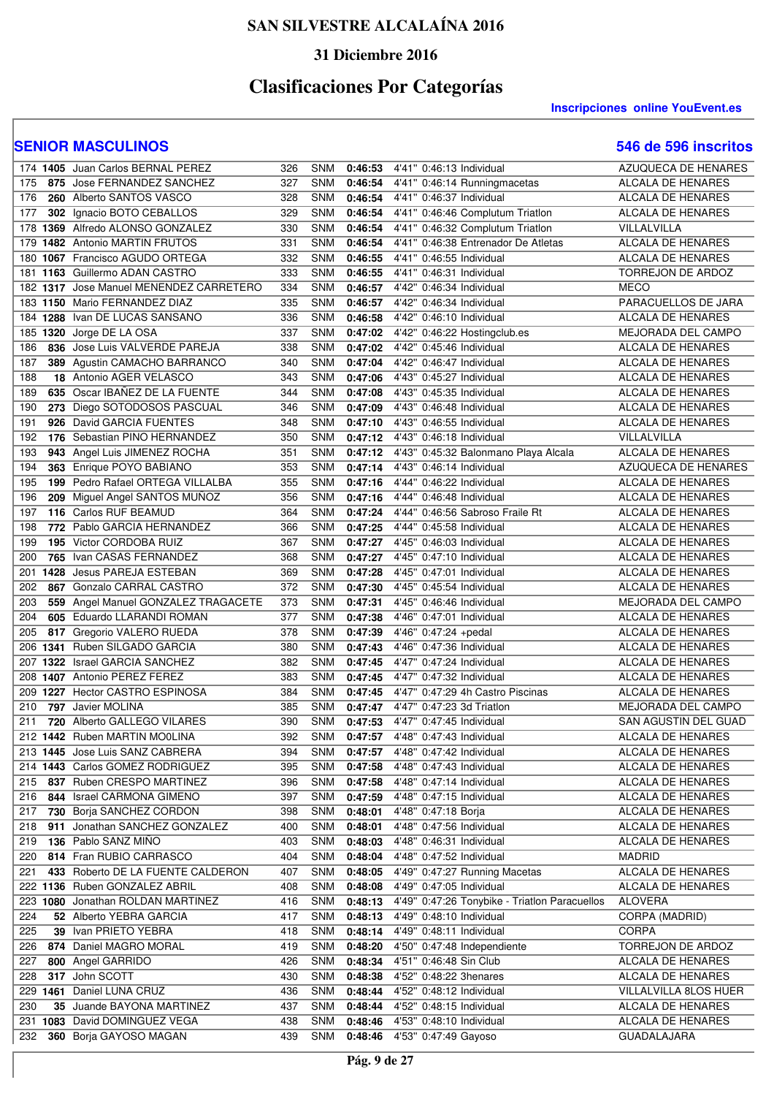### **31 Diciembre 2016**

# **Clasificaciones Por Categorías**

#### **Inscripciones online YouEvent.es**

|     | 174 1405 Juan Carlos BERNAL PEREZ       | 326 | <b>SNM</b> | 0:46:53 | 4'41" 0:46:13 Individual                      | AZUQUECA DE HENARES                     |
|-----|-----------------------------------------|-----|------------|---------|-----------------------------------------------|-----------------------------------------|
| 175 | 875 Jose FERNANDEZ SANCHEZ              | 327 | <b>SNM</b> | 0:46:54 | 4'41" 0:46:14 Runningmacetas                  | ALCALA DE HENARES                       |
| 176 | 260 Alberto SANTOS VASCO                | 328 | <b>SNM</b> | 0:46:54 | 4'41" 0:46:37 Individual                      | <b>ALCALA DE HENARES</b>                |
| 177 | 302 Ignacio BOTO CEBALLOS               | 329 | <b>SNM</b> | 0:46:54 | 4'41" 0:46:46 Complutum Triatlon              | ALCALA DE HENARES                       |
| 178 | 1369 Alfredo ALONSO GONZALEZ            | 330 | <b>SNM</b> | 0:46:54 | 4'41" 0:46:32 Complutum Triatlon              | VILLALVILLA                             |
| 179 | 1482 Antonio MARTIN FRUTOS              | 331 | <b>SNM</b> | 0:46:54 | 4'41" 0:46:38 Entrenador De Atletas           | ALCALA DE HENARES                       |
|     | 180 1067 Francisco AGUDO ORTEGA         | 332 | <b>SNM</b> | 0:46:55 | 4'41" 0:46:55 Individual                      | ALCALA DE HENARES                       |
|     | 181 1163 Guillermo ADAN CASTRO          | 333 | SNM        | 0:46:55 | 4'41" 0:46:31 Individual                      | TORREJON DE ARDOZ                       |
|     | 182 1317 Jose Manuel MENENDEZ CARRETERO | 334 | <b>SNM</b> | 0:46:57 | 4'42" 0:46:34 Individual                      | MECO                                    |
|     | 183 1150 Mario FERNANDEZ DIAZ           | 335 | <b>SNM</b> | 0:46:57 | 4'42" 0:46:34 Individual                      | PARACUELLOS DE JARA                     |
|     | 184 1288 Ivan DE LUCAS SANSANO          | 336 | <b>SNM</b> | 0:46:58 | 4'42" 0:46:10 Individual                      | ALCALA DE HENARES                       |
| 185 | 1320 Jorge DE LA OSA                    | 337 | <b>SNM</b> | 0:47:02 | 4'42" 0:46:22 Hostingclub.es                  | MEJORADA DEL CAMPO                      |
| 186 | 836 Jose Luis VALVERDE PAREJA           | 338 | <b>SNM</b> | 0:47:02 | 4'42" 0:45:46 Individual                      | ALCALA DE HENARES                       |
| 187 | 389 Agustin CAMACHO BARRANCO            | 340 | SNM        | 0:47:04 | 4'42" 0:46:47 Individual                      | ALCALA DE HENARES                       |
| 188 | 18 Antonio AGER VELASCO                 | 343 | <b>SNM</b> | 0:47:06 | 4'43" 0:45:27 Individual                      | ALCALA DE HENARES                       |
| 189 | 635 Oscar IBANEZ DE LA FUENTE           | 344 | <b>SNM</b> | 0:47:08 | 4'43" 0:45:35 Individual                      | <b>ALCALA DE HENARES</b>                |
| 190 | 273 Diego SOTODOSOS PASCUAL             | 346 | SNM        | 0:47:09 | 4'43" 0:46:48 Individual                      | ALCALA DE HENARES                       |
| 191 | 926 David GARCIA FUENTES                | 348 | SNM        | 0:47:10 | 4'43" 0:46:55 Individual                      | ALCALA DE HENARES                       |
| 192 | 176 Sebastian PINO HERNANDEZ            | 350 | <b>SNM</b> | 0:47:12 | 4'43" 0:46:18 Individual                      | VILLALVILLA                             |
| 193 | 943 Angel Luis JIMENEZ ROCHA            | 351 | <b>SNM</b> | 0:47:12 | 4'43" 0:45:32 Balonmano Playa Alcala          | ALCALA DE HENARES                       |
| 194 | 363 Enrique POYO BABIANO                | 353 | <b>SNM</b> | 0:47:14 | 4'43" 0:46:14 Individual                      | AZUQUECA DE HENARES                     |
| 195 | 199 Pedro Rafael ORTEGA VILLALBA        | 355 | <b>SNM</b> | 0:47:16 | 4'44" 0:46:22 Individual                      | ALCALA DE HENARES                       |
| 196 | 209 Miguel Angel SANTOS MUÑOZ           | 356 | <b>SNM</b> | 0:47:16 | 4'44" 0:46:48 Individual                      | <b>ALCALA DE HENARES</b>                |
| 197 | 116 Carlos RUF BEAMUD                   | 364 | SNM        | 0:47:24 | 4'44" 0:46:56 Sabroso Fraile Rt               | ALCALA DE HENARES                       |
| 198 | 772 Pablo GARCIA HERNANDEZ              | 366 | <b>SNM</b> | 0:47:25 | 4'44" 0:45:58 Individual                      | ALCALA DE HENARES                       |
| 199 | 195 Victor CORDOBA RUIZ                 | 367 | <b>SNM</b> | 0:47:27 | 4'45" 0:46:03 Individual                      | ALCALA DE HENARES                       |
| 200 | 765 Ivan CASAS FERNANDEZ                | 368 | <b>SNM</b> | 0:47:27 | 4'45" 0:47:10 Individual                      | ALCALA DE HENARES                       |
| 201 | 1428 Jesus PAREJA ESTEBAN               | 369 | <b>SNM</b> | 0:47:28 | 4'45" 0:47:01 Individual                      | ALCALA DE HENARES                       |
| 202 | 867 Gonzalo CARRAL CASTRO               | 372 | SNM        | 0:47:30 | 4'45" 0:45:54 Individual                      | ALCALA DE HENARES                       |
| 203 | 559 Angel Manuel GONZALEZ TRAGACETE     | 373 | <b>SNM</b> | 0:47:31 | 4'45" 0:46:46 Individual                      | <b>MEJORADA DEL CAMPO</b>               |
| 204 | 605 Eduardo LLARANDI ROMAN              | 377 | <b>SNM</b> | 0:47:38 | 4'46" 0:47:01 Individual                      | ALCALA DE HENARES                       |
| 205 | 817 Gregorio VALERO RUEDA               | 378 | <b>SNM</b> | 0:47:39 | 4'46" 0:47:24 +pedal                          | ALCALA DE HENARES                       |
| 206 | 1341 Ruben SILGADO GARCIA               | 380 | <b>SNM</b> | 0:47:43 | 4'46" 0:47:36 Individual                      | ALCALA DE HENARES                       |
|     | 207 1322 Israel GARCIA SANCHEZ          | 382 | <b>SNM</b> | 0:47:45 | 4'47" 0:47:24 Individual                      | <b>ALCALA DE HENARES</b>                |
| 208 | 1407 Antonio PEREZ FEREZ                | 383 | <b>SNM</b> | 0:47:45 | 4'47" 0:47:32 Individual                      | <b>ALCALA DE HENARES</b>                |
| 209 | 1227 Hector CASTRO ESPINOSA             | 384 | <b>SNM</b> | 0:47:45 | 4'47" 0:47:29 4h Castro Piscinas              | <b>ALCALA DE HENARES</b>                |
| 210 | 797 Javier MOLINA                       | 385 | <b>SNM</b> | 0:47:47 | 4'47" 0:47:23 3d Triatlon                     | <b>MEJORADA DEL CAMPO</b>               |
| 211 | 720 Alberto GALLEGO VILARES             | 390 | <b>SNM</b> | 0:47:53 | 4'47" 0:47:45 Individual                      | SAN AGUSTIN DEL GUAD                    |
|     | 212 1442 Ruben MARTIN MOOLINA           | 392 | SNM        | 0:47:57 | 4'48" 0:47:43 Individual                      | <b>ALCALA DE HENARES</b>                |
|     | 213 1445 Jose Luis SANZ CABRERA         | 394 | SNM        | 0:47:57 | 4'48" 0:47:42 Individual                      | ALCALA DE HENARES                       |
|     | 214 1443 Carlos GOMEZ RODRIGUEZ         | 395 | <b>SNM</b> | 0:47:58 | 4'48" 0:47:43 Individual                      | ALCALA DE HENARES                       |
| 215 | 837 Ruben CRESPO MARTINEZ               | 396 | <b>SNM</b> | 0:47:58 | 4'48" 0:47:14 Individual                      | ALCALA DE HENARES                       |
| 216 | 844 Israel CARMONA GIMENO               | 397 | <b>SNM</b> | 0:47:59 | 4'48" 0:47:15 Individual                      | ALCALA DE HENARES                       |
| 217 | 730 Borja SANCHEZ CORDON                | 398 | <b>SNM</b> | 0:48:01 | 4'48" 0:47:18 Borja                           | ALCALA DE HENARES                       |
| 218 | 911 Jonathan SANCHEZ GONZALEZ           | 400 | <b>SNM</b> | 0:48:01 | 4'48" 0:47:56 Individual                      | ALCALA DE HENARES                       |
| 219 | 136 Pablo SANZ MIÑO                     | 403 | <b>SNM</b> | 0:48:03 | 4'48" 0:46:31 Individual                      | ALCALA DE HENARES                       |
| 220 | 814 Fran RUBIO CARRASCO                 | 404 | <b>SNM</b> | 0:48:04 | 4'48" 0:47:52 Individual                      | <b>MADRID</b>                           |
| 221 | 433 Roberto DE LA FUENTE CALDERON       | 407 | <b>SNM</b> | 0:48:05 | 4'49" 0:47:27 Running Macetas                 | ALCALA DE HENARES                       |
|     | 222 1136 Ruben GONZALEZ ABRIL           | 408 | <b>SNM</b> | 0:48:08 | 4'49" 0:47:05 Individual                      | ALCALA DE HENARES                       |
|     | 223 1080 Jonathan ROLDAN MARTINEZ       | 416 | <b>SNM</b> | 0:48:13 | 4'49" 0:47:26 Tonybike - Triatlon Paracuellos | <b>ALOVERA</b>                          |
| 224 | 52 Alberto YEBRA GARCIA                 | 417 | <b>SNM</b> | 0:48:13 | 4'49" 0:48:10 Individual                      | CORPA (MADRID)                          |
| 225 | 39 Ivan PRIETO YEBRA                    | 418 | SNM        | 0:48:14 | 4'49" 0:48:11 Individual                      | <b>CORPA</b>                            |
| 226 | 874 Daniel MAGRO MORAL                  | 419 | <b>SNM</b> | 0:48:20 | 4'50" 0:47:48 Independiente                   | TORREJON DE ARDOZ                       |
| 227 | 800 Angel GARRIDO                       | 426 | <b>SNM</b> | 0:48:34 | 4'51" 0:46:48 Sin Club                        | ALCALA DE HENARES                       |
| 228 | 317 John SCOTT                          | 430 | <b>SNM</b> | 0:48:38 | 4'52" 0:48:22 3henares                        | ALCALA DE HENARES                       |
|     | 229 1461 Daniel LUNA CRUZ               | 436 | SNM        | 0:48:44 | 4'52" 0:48:12 Individual                      | VILLALVILLA 8LOS HUER                   |
| 230 | 35 Juande BAYONA MARTINEZ               | 437 | <b>SNM</b> | 0:48:44 | 4'52" 0:48:15 Individual                      | ALCALA DE HENARES                       |
|     | 231 1083 David DOMINGUEZ VEGA           | 438 | SNM<br>SNM | 0:48:46 | 4'53" 0:48:10 Individual                      | ALCALA DE HENARES<br><b>GUADALAJARA</b> |
| 232 | 360 Borja GAYOSO MAGAN                  | 439 |            | 0:48:46 | 4'53" 0:47:49 Gayoso                          |                                         |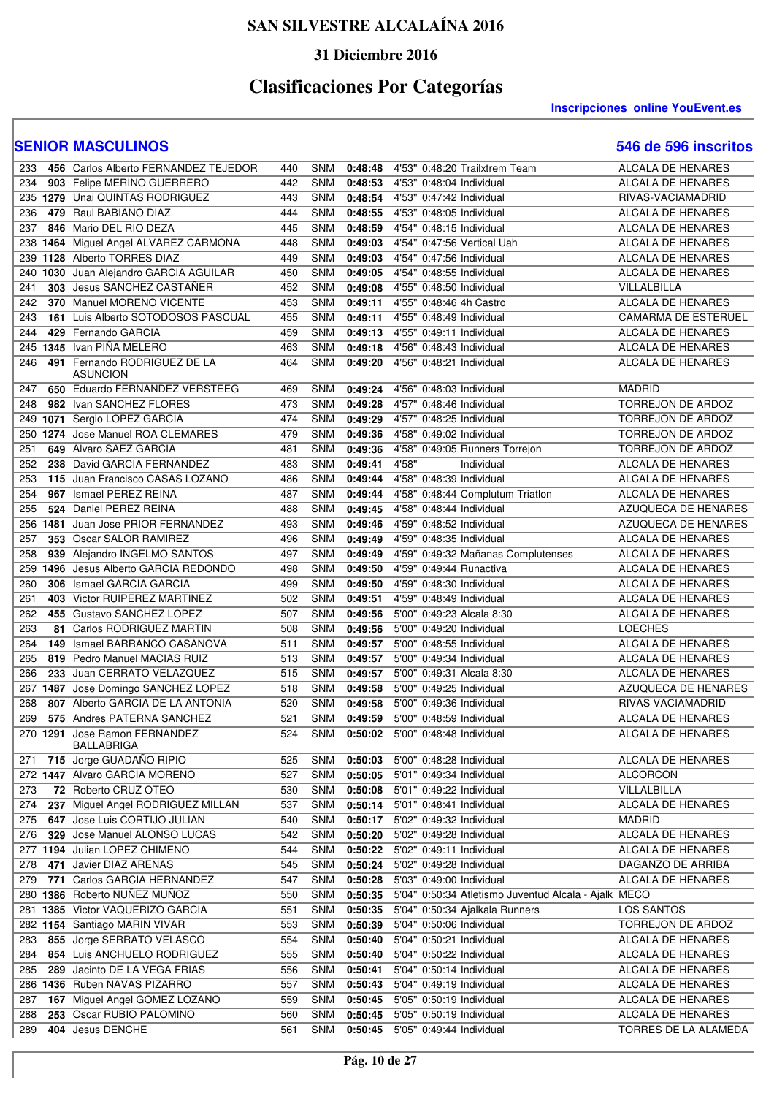### **31 Diciembre 2016**

# **Clasificaciones Por Categorías**

**Inscripciones online YouEvent.es** 

| 233 |          | 456 Carlos Alberto FERNANDEZ TEJEDOR  | 440 | <b>SNM</b> | 0:48:48 | 4'53" 0:48:20 Trailxtrem Team                        | <b>ALCALA DE HENARES</b>   |
|-----|----------|---------------------------------------|-----|------------|---------|------------------------------------------------------|----------------------------|
| 234 |          | 903 Felipe MERINO GUERRERO            | 442 | <b>SNM</b> | 0:48:53 | 4'53" 0:48:04 Individual                             | ALCALA DE HENARES          |
|     |          | 235 1279 Unai QUINTAS RODRIGUEZ       | 443 | <b>SNM</b> | 0:48:54 | 4'53" 0:47:42 Individual                             | RIVAS-VACIAMADRID          |
| 236 |          | 479 Raul BABIANO DIAZ                 | 444 | SNM        | 0:48:55 | 4'53" 0:48:05 Individual                             | ALCALA DE HENARES          |
| 237 |          | 846 Mario DEL RIO DEZA                | 445 | SNM        | 0:48:59 | 4'54" 0:48:15 Individual                             | ALCALA DE HENARES          |
| 238 |          | 1464 Miguel Angel ALVAREZ CARMONA     | 448 | <b>SNM</b> | 0:49:03 | 4'54" 0:47:56 Vertical Uah                           | ALCALA DE HENARES          |
| 239 |          | 1128 Alberto TORRES DIAZ              | 449 | SNM        | 0:49:03 | 4'54" 0:47:56 Individual                             | ALCALA DE HENARES          |
| 240 |          | 1030 Juan Alejandro GARCIA AGUILAR    | 450 | SNM        | 0:49:05 | 4'54" 0:48:55 Individual                             | ALCALA DE HENARES          |
| 241 |          | 303 Jesus SANCHEZ CASTAÑER            | 452 | <b>SNM</b> | 0:49:08 | 4'55" 0:48:50 Individual                             | VILLALBILLA                |
| 242 |          | 370 Manuel MORENO VICENTE             | 453 | SNM        | 0:49:11 | 4'55" 0:48:46 4h Castro                              | <b>ALCALA DE HENARES</b>   |
| 243 |          | 161 Luis Alberto SOTODOSOS PASCUAL    | 455 | SNM        | 0:49:11 | 4'55" 0:48:49 Individual                             | <b>CAMARMA DE ESTERUEL</b> |
| 244 |          | 429 Fernando GARCIA                   | 459 | SNM        | 0:49:13 | 4'55" 0:49:11 Individual                             | ALCALA DE HENARES          |
|     |          | 245 1345 Ivan PIÑA MELERO             | 463 | SNM        | 0:49:18 | 4'56" 0:48:43 Individual                             | ALCALA DE HENARES          |
| 246 |          | 491 Fernando RODRIGUEZ DE LA          | 464 | <b>SNM</b> | 0:49:20 | 4'56" 0:48:21 Individual                             | ALCALA DE HENARES          |
|     |          | <b>ASUNCION</b>                       |     |            |         |                                                      |                            |
| 247 |          | 650 Eduardo FERNANDEZ VERSTEEG        | 469 | <b>SNM</b> | 0:49:24 | 4'56" 0:48:03 Individual                             | <b>MADRID</b>              |
| 248 |          | 982 Ivan SANCHEZ FLORES               | 473 | SNM        | 0:49:28 | 4'57" 0:48:46 Individual                             | TORREJON DE ARDOZ          |
| 249 |          | 1071 Sergio LOPEZ GARCIA              | 474 | <b>SNM</b> | 0:49:29 | 4'57" 0:48:25 Individual                             | TORREJON DE ARDOZ          |
| 250 |          | 1274 Jose Manuel ROA CLEMARES         | 479 | <b>SNM</b> | 0:49:36 | 4'58" 0:49:02 Individual                             | TORREJON DE ARDOZ          |
| 251 |          | 649 Alvaro SAEZ GARCIA                | 481 | <b>SNM</b> | 0:49:36 | 4'58" 0:49:05 Runners Torrejon                       | TORREJON DE ARDOZ          |
| 252 |          | 238 David GARCIA FERNANDEZ            | 483 | SNM        | 0:49:41 | 4'58"<br>Individual                                  | <b>ALCALA DE HENARES</b>   |
| 253 |          | 115 Juan Francisco CASAS LOZANO       | 486 | <b>SNM</b> | 0:49:44 | 4'58" 0:48:39 Individual                             | <b>ALCALA DE HENARES</b>   |
| 254 |          | 967 Ismael PEREZ REINA                | 487 | <b>SNM</b> | 0:49:44 | 4'58" 0:48:44 Complutum Triatlon                     | <b>ALCALA DE HENARES</b>   |
| 255 |          | 524 Daniel PEREZ REINA                | 488 | SNM        | 0:49:45 | 4'58" 0:48:44 Individual                             | AZUQUECA DE HENARES        |
|     |          |                                       |     |            |         |                                                      |                            |
|     | 256 1481 | Juan Jose PRIOR FERNANDEZ             | 493 | <b>SNM</b> | 0:49:46 | 4'59" 0:48:52 Individual                             | AZUQUECA DE HENARES        |
| 257 |          | 353 Oscar SALOR RAMIREZ               | 496 | SNM        | 0:49:49 | 4'59" 0:48:35 Individual                             | <b>ALCALA DE HENARES</b>   |
| 258 |          | 939 Alejandro INGELMO SANTOS          | 497 | SNM        | 0:49:49 | 4'59" 0:49:32 Mañanas Complutenses                   | <b>ALCALA DE HENARES</b>   |
|     |          | 259 1496 Jesus Alberto GARCIA REDONDO | 498 | <b>SNM</b> | 0:49:50 | 4'59" 0:49:44 Runactiva                              | ALCALA DE HENARES          |
| 260 |          | 306 Ismael GARCIA GARCIA              | 499 | SNM        | 0:49:50 | 4'59" 0:48:30 Individual                             | ALCALA DE HENARES          |
| 261 |          | 403 Victor RUIPEREZ MARTINEZ          | 502 | SNM        | 0:49:51 | 4'59" 0:48:49 Individual                             | <b>ALCALA DE HENARES</b>   |
| 262 |          | 455 Gustavo SANCHEZ LOPEZ             | 507 | <b>SNM</b> | 0:49:56 | 5'00" 0:49:23 Alcala 8:30                            | ALCALA DE HENARES          |
| 263 |          | 81 Carlos RODRIGUEZ MARTIN            | 508 | SNM        | 0:49:56 | 5'00" 0:49:20 Individual                             | <b>LOECHES</b>             |
| 264 |          | 149 Ismael BARRANCO CASANOVA          | 511 | SNM        | 0:49:57 | 5'00" 0:48:55 Individual                             | ALCALA DE HENARES          |
| 265 |          | 819 Pedro Manuel MACIAS RUIZ          | 513 | <b>SNM</b> | 0:49:57 | 5'00" 0:49:34 Individual                             | ALCALA DE HENARES          |
| 266 |          | 233 Juan CERRATO VELAZQUEZ            | 515 | <b>SNM</b> | 0:49:57 | 5'00" 0:49:31 Alcala 8:30                            | <b>ALCALA DE HENARES</b>   |
| 267 |          | 1487 Jose Domingo SANCHEZ LOPEZ       | 518 | <b>SNM</b> | 0:49:58 | 5'00" 0:49:25 Individual                             | AZUQUECA DE HENARES        |
| 268 |          | 807 Alberto GARCIA DE LA ANTONIA      | 520 | <b>SNM</b> | 0:49:58 | 5'00" 0:49:36 Individual                             | <b>RIVAS VACIAMADRID</b>   |
| 269 |          | 575 Andres PATERNA SANCHEZ            | 521 | <b>SNM</b> | 0:49:59 | 5'00" 0:48:59 Individual                             | <b>ALCALA DE HENARES</b>   |
|     | 270 1291 | Jose Ramon FERNANDEZ                  | 524 | <b>SNM</b> | 0:50:02 | 5'00" 0:48:48 Individual                             | <b>ALCALA DE HENARES</b>   |
|     |          | <b>BALLABRIGA</b>                     |     |            |         |                                                      |                            |
| 271 |          | 715 Jorge GUADAÑO RIPIO               | 525 | SNM        | 0:50:03 | 5'00" 0:48:28 Individual                             | <b>ALCALA DE HENARES</b>   |
|     |          | 272 1447 Alvaro GARCIA MORENO         | 527 | <b>SNM</b> |         | 0:50:05 5'01" 0:49:34 Individual                     | <b>ALCORCON</b>            |
| 273 |          | 72 Roberto CRUZ OTEO                  | 530 | <b>SNM</b> | 0:50:08 | 5'01" 0:49:22 Individual                             | VILLALBILLA                |
| 274 |          | 237 Miguel Angel RODRIGUEZ MILLAN     | 537 | <b>SNM</b> | 0:50:14 | 5'01" 0:48:41 Individual                             | ALCALA DE HENARES          |
| 275 |          | 647 Jose Luis CORTIJO JULIAN          | 540 | <b>SNM</b> | 0:50:17 | 5'02" 0:49:32 Individual                             | <b>MADRID</b>              |
| 276 |          | 329 Jose Manuel ALONSO LUCAS          | 542 | <b>SNM</b> | 0:50:20 | 5'02" 0:49:28 Individual                             | ALCALA DE HENARES          |
|     |          | 277 1194 Julian LOPEZ CHIMENO         | 544 | <b>SNM</b> | 0:50:22 | 5'02" 0:49:11 Individual                             | ALCALA DE HENARES          |
| 278 |          | 471 Javier DIAZ ARENAS                | 545 | <b>SNM</b> | 0:50:24 | 5'02" 0:49:28 Individual                             | DAGANZO DE ARRIBA          |
| 279 |          | 771 Carlos GARCIA HERNANDEZ           | 547 | <b>SNM</b> | 0:50:28 | 5'03" 0:49:00 Individual                             | <b>ALCALA DE HENARES</b>   |
| 280 |          | 1386 Roberto NUÑEZ MUÑOZ              | 550 | <b>SNM</b> | 0:50:35 | 5'04" 0:50:34 Atletismo Juventud Alcala - Ajalk MECO |                            |
| 281 |          | 1385 Victor VAQUERIZO GARCIA          | 551 | <b>SNM</b> | 0:50:35 | 5'04" 0:50:34 Ajalkala Runners                       | LOS SANTOS                 |
|     |          | 282 1154 Santiago MARIN VIVAR         | 553 | <b>SNM</b> | 0:50:39 | 5'04" 0:50:06 Individual                             | TORREJON DE ARDOZ          |
| 283 |          | 855 Jorge SERRATO VELASCO             | 554 | SNM        | 0:50:40 | 5'04" 0:50:21 Individual                             | ALCALA DE HENARES          |
| 284 |          | 854 Luis ANCHUELO RODRIGUEZ           | 555 | <b>SNM</b> | 0:50:40 | 5'04" 0:50:22 Individual                             | ALCALA DE HENARES          |
| 285 |          | 289 Jacinto DE LA VEGA FRIAS          | 556 | <b>SNM</b> | 0:50:41 | 5'04" 0:50:14 Individual                             | ALCALA DE HENARES          |
|     |          | 286 1436 Ruben NAVAS PIZARRO          | 557 | <b>SNM</b> | 0:50:43 | 5'04" 0:49:19 Individual                             | ALCALA DE HENARES          |
| 287 |          | 167 Miguel Angel GOMEZ LOZANO         | 559 | <b>SNM</b> | 0:50:45 | 5'05" 0:50:19 Individual                             | ALCALA DE HENARES          |
| 288 |          | 253 Oscar RUBIO PALOMINO              | 560 | <b>SNM</b> | 0:50:45 | 5'05" 0:50:19 Individual                             | ALCALA DE HENARES          |
| 289 |          | 404 Jesus DENCHE                      | 561 | SNM        | 0:50:45 | 5'05" 0:49:44 Individual                             | TORRES DE LA ALAMEDA       |
|     |          |                                       |     |            |         |                                                      |                            |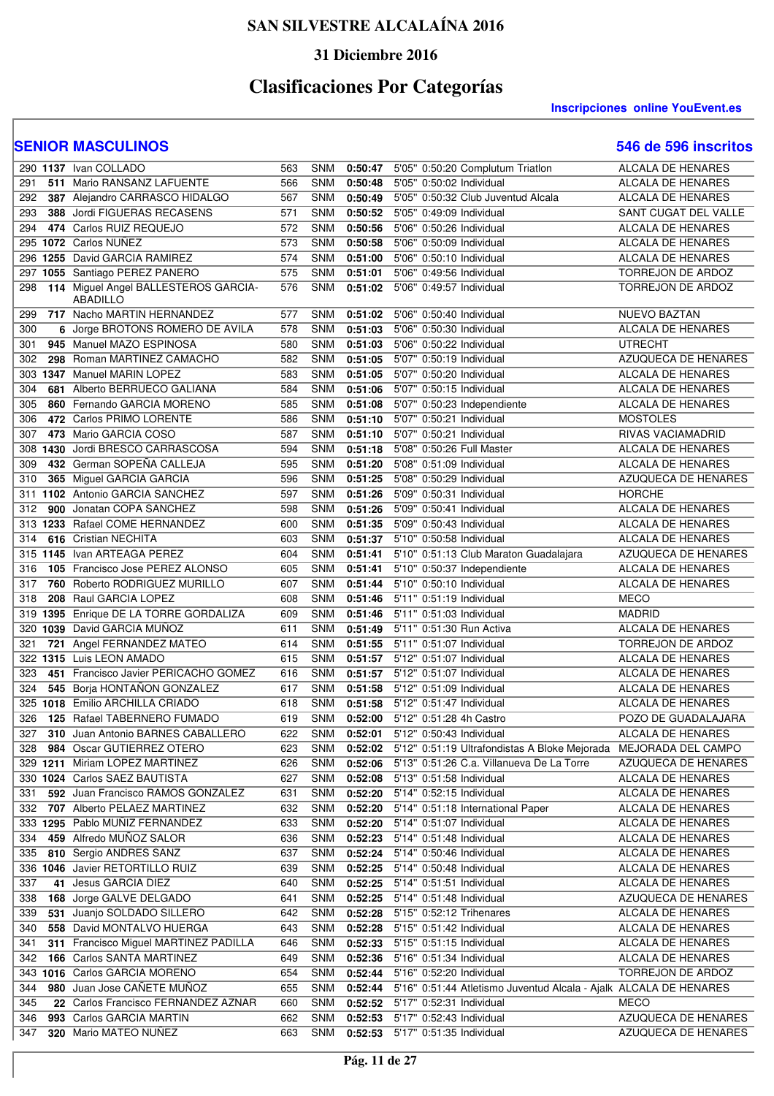### **31 Diciembre 2016**

# **Clasificaciones Por Categorías**

#### **Inscripciones online YouEvent.es**

|     |          | 290 1137 Ivan COLLADO                                   | 563 | <b>SNM</b> | 0:50:47 | 5'05" 0:50:20 Complutum Triatlon                                         | <b>ALCALA DE HENARES</b> |
|-----|----------|---------------------------------------------------------|-----|------------|---------|--------------------------------------------------------------------------|--------------------------|
| 291 |          | 511 Mario RANSANZ LAFUENTE                              | 566 | <b>SNM</b> | 0:50:48 | 5'05" 0:50:02 Individual                                                 | ALCALA DE HENARES        |
| 292 |          | 387 Alejandro CARRASCO HIDALGO                          | 567 | <b>SNM</b> | 0:50:49 | 5'05" 0:50:32 Club Juventud Alcala                                       | ALCALA DE HENARES        |
|     |          | 388 Jordi FIGUERAS RECASENS                             | 571 | <b>SNM</b> |         |                                                                          | SANT CUGAT DEL VALLE     |
| 293 |          |                                                         |     |            | 0:50:52 | 5'05" 0:49:09 Individual                                                 |                          |
| 294 |          | 474 Carlos RUIZ REQUEJO                                 | 572 | <b>SNM</b> | 0:50:56 | 5'06" 0:50:26 Individual                                                 | ALCALA DE HENARES        |
|     |          | 295 1072 Carlos NUÑEZ                                   | 573 | <b>SNM</b> | 0:50:58 | 5'06" 0:50:09 Individual                                                 | ALCALA DE HENARES        |
| 296 |          | 1255 David GARCIA RAMIREZ                               | 574 | <b>SNM</b> | 0:51:00 | 5'06" 0:50:10 Individual                                                 | <b>ALCALA DE HENARES</b> |
| 297 |          | 1055 Santiago PEREZ PANERO                              | 575 | <b>SNM</b> | 0:51:01 | 5'06" 0:49:56 Individual                                                 | TORREJON DE ARDOZ        |
| 298 |          | 114 Miguel Angel BALLESTEROS GARCIA-<br><b>ABADILLO</b> | 576 | <b>SNM</b> | 0:51:02 | 5'06" 0:49:57 Individual                                                 | TORREJON DE ARDOZ        |
| 299 |          | 717 Nacho MARTIN HERNANDEZ                              | 577 | <b>SNM</b> | 0:51:02 | 5'06" 0:50:40 Individual                                                 | <b>NUEVO BAZTAN</b>      |
| 300 |          | 6 Jorge BROTONS ROMERO DE AVILA                         | 578 | SNM        | 0:51:03 | 5'06" 0:50:30 Individual                                                 | ALCALA DE HENARES        |
| 301 |          | 945 Manuel MAZO ESPINOSA                                | 580 | SNM        | 0:51:03 | 5'06" 0:50:22 Individual                                                 | <b>UTRECHT</b>           |
| 302 |          | 298 Roman MARTINEZ CAMACHO                              | 582 | SNM        | 0:51:05 | 5'07" 0:50:19 Individual                                                 | AZUQUECA DE HENARES      |
|     |          | 303 1347 Manuel MARIN LOPEZ                             | 583 | SNM        | 0:51:05 | 5'07" 0:50:20 Individual                                                 | <b>ALCALA DE HENARES</b> |
| 304 |          | 681 Alberto BERRUECO GALIANA                            | 584 | <b>SNM</b> | 0:51:06 | 5'07" 0:50:15 Individual                                                 | <b>ALCALA DE HENARES</b> |
|     |          |                                                         |     |            |         |                                                                          |                          |
| 305 |          | 860 Fernando GARCIA MORENO                              | 585 | <b>SNM</b> | 0:51:08 | 5'07" 0:50:23 Independiente                                              | ALCALA DE HENARES        |
| 306 |          | 472 Carlos PRIMO LORENTE                                | 586 | SNM        | 0:51:10 | 5'07" 0:50:21 Individual                                                 | <b>MOSTOLES</b>          |
| 307 |          | 473 Mario GARCIA COSO                                   | 587 | <b>SNM</b> | 0:51:10 | 5'07" 0:50:21 Individual                                                 | RIVAS VACIAMADRID        |
|     |          | 308 1430 Jordi BRESCO CARRASCOSA                        | 594 | <b>SNM</b> | 0:51:18 | 5'08" 0:50:26 Full Master                                                | ALCALA DE HENARES        |
| 309 |          | 432 German SOPEÑA CALLEJA                               | 595 | <b>SNM</b> | 0:51:20 | 5'08" 0:51:09 Individual                                                 | ALCALA DE HENARES        |
| 310 |          | 365 Miguel GARCIA GARCIA                                | 596 | <b>SNM</b> | 0:51:25 | 5'08" 0:50:29 Individual                                                 | AZUQUECA DE HENARES      |
|     |          | 311 1102 Antonio GARCIA SANCHEZ                         | 597 | <b>SNM</b> | 0:51:26 | 5'09" 0:50:31 Individual                                                 | <b>HORCHE</b>            |
| 312 |          | 900 Jonatan COPA SANCHEZ                                | 598 | <b>SNM</b> | 0:51:26 | 5'09" 0:50:41 Individual                                                 | ALCALA DE HENARES        |
|     |          | 313 1233 Rafael COME HERNANDEZ                          | 600 | <b>SNM</b> | 0:51:35 | 5'09" 0:50:43 Individual                                                 | ALCALA DE HENARES        |
| 314 |          | 616 Cristian NECHITA                                    | 603 | <b>SNM</b> | 0:51:37 | 5'10" 0:50:58 Individual                                                 | <b>ALCALA DE HENARES</b> |
|     |          | 315 1145 Ivan ARTEAGA PEREZ                             | 604 | <b>SNM</b> | 0:51:41 | 5'10" 0:51:13 Club Maraton Guadalajara                                   | AZUQUECA DE HENARES      |
| 316 |          | 105 Francisco Jose PEREZ ALONSO                         | 605 | <b>SNM</b> | 0:51:41 | 5'10" 0:50:37 Independiente                                              | <b>ALCALA DE HENARES</b> |
| 317 |          | 760 Roberto RODRIGUEZ MURILLO                           | 607 | <b>SNM</b> | 0:51:44 | 5'10" 0:50:10 Individual                                                 | ALCALA DE HENARES        |
| 318 |          | 208 Raul GARCIA LOPEZ                                   | 608 | SNM        | 0:51:46 | 5'11" 0:51:19 Individual                                                 | <b>MECO</b>              |
| 319 |          | 1395 Enrique DE LA TORRE GORDALIZA                      | 609 | <b>SNM</b> | 0:51:46 | 5'11" 0:51:03 Individual                                                 | <b>MADRID</b>            |
| 320 |          | 1039 David GARCIA MUÑOZ                                 | 611 | <b>SNM</b> | 0:51:49 | 5'11" 0:51:30 Run Activa                                                 | <b>ALCALA DE HENARES</b> |
| 321 |          | 721 Angel FERNANDEZ MATEO                               | 614 | <b>SNM</b> | 0:51:55 | 5'11" 0:51:07 Individual                                                 | TORREJON DE ARDOZ        |
|     |          | 322 1315 Luis LEON AMADO                                | 615 | SNM        | 0:51:57 | 5'12" 0:51:07 Individual                                                 | ALCALA DE HENARES        |
| 323 |          | 451 Francisco Javier PERICACHO GOMEZ                    | 616 | <b>SNM</b> | 0:51:57 | 5'12" 0:51:07 Individual                                                 | ALCALA DE HENARES        |
| 324 |          | 545 Borja HONTAÑON GONZALEZ                             | 617 | SNM        | 0:51:58 | 5'12" 0:51:09 Individual                                                 | <b>ALCALA DE HENARES</b> |
|     |          | 325 1018 Emilio ARCHILLA CRIADO                         | 618 | SNM        | 0:51:58 | 5'12" 0:51:47 Individual                                                 | ALCALA DE HENARES        |
| 326 |          | 125 Rafael TABERNERO FUMADO                             | 619 | <b>SNM</b> | 0:52:00 | 5'12" 0:51:28 4h Castro                                                  | POZO DE GUADALAJARA      |
| 327 |          | 310 Juan Antonio BARNES CABALLERO                       | 622 | <b>SNM</b> | 0:52:01 | 5'12" 0:50:43 Individual                                                 | <b>ALCALA DE HENARES</b> |
|     |          | 984 Oscar GUTIERREZ OTERO                               |     |            |         | 0:52:02 5'12" 0:51:19 Ultrafondistas A Bloke Mejorada MEJORADA DEL CAMPO |                          |
| 328 |          |                                                         | 623 | SNM        |         | 5'13" 0:51:26 C.a. Villanueva De La Torre                                |                          |
|     | 329 1211 | Miriam LOPEZ MARTINEZ                                   | 626 | <b>SNM</b> | 0:52:06 |                                                                          | AZUQUECA DE HENARES      |
|     |          | 330 1024 Carlos SAEZ BAUTISTA                           | 627 | <b>SNM</b> | 0:52:08 | 5'13" 0:51:58 Individual                                                 | <b>ALCALA DE HENARES</b> |
| 331 |          | 592 Juan Francisco RAMOS GONZALEZ                       | 631 | <b>SNM</b> | 0:52:20 | 5'14" 0:52:15 Individual                                                 | ALCALA DE HENARES        |
| 332 |          | 707 Alberto PELAEZ MARTINEZ                             | 632 | <b>SNM</b> | 0:52:20 | 5'14" 0:51:18 International Paper                                        | ALCALA DE HENARES        |
|     |          | 333 1295 Pablo MUÑIZ FERNANDEZ                          | 633 | <b>SNM</b> | 0:52:20 | 5'14" 0:51:07 Individual                                                 | ALCALA DE HENARES        |
| 334 |          | 459 Alfredo MUÑOZ SALOR                                 | 636 | <b>SNM</b> | 0:52:23 | 5'14" 0:51:48 Individual                                                 | ALCALA DE HENARES        |
| 335 |          | 810 Sergio ANDRES SANZ                                  | 637 | <b>SNM</b> | 0:52:24 | 5'14" 0:50:46 Individual                                                 | ALCALA DE HENARES        |
|     |          | 336 1046 Javier RETORTILLO RUIZ                         | 639 | <b>SNM</b> | 0:52:25 | 5'14" 0:50:48 Individual                                                 | ALCALA DE HENARES        |
| 337 |          | 41 Jesus GARCIA DIEZ                                    | 640 | <b>SNM</b> | 0:52:25 | 5'14" 0:51:51 Individual                                                 | ALCALA DE HENARES        |
| 338 |          | 168 Jorge GALVE DELGADO                                 | 641 | <b>SNM</b> | 0:52:25 | 5'14" 0:51:48 Individual                                                 | AZUQUECA DE HENARES      |
| 339 |          | 531 Juanjo SOLDADO SILLERO                              | 642 | <b>SNM</b> | 0:52:28 | 5'15" 0:52:12 Trihenares                                                 | ALCALA DE HENARES        |
| 340 |          | 558 David MONTALVO HUERGA                               | 643 | <b>SNM</b> | 0:52:28 | 5'15" 0:51:42 Individual                                                 | ALCALA DE HENARES        |
| 341 | 311      | Francisco Miguel MARTINEZ PADILLA                       | 646 | <b>SNM</b> | 0:52:33 | 5'15" 0:51:15 Individual                                                 | ALCALA DE HENARES        |
| 342 |          | 166 Carlos SANTA MARTINEZ                               | 649 | <b>SNM</b> | 0:52:36 | 5'16" 0:51:34 Individual                                                 | ALCALA DE HENARES        |
|     |          | 343 1016 Carlos GARCIA MORENO                           | 654 | <b>SNM</b> | 0:52:44 | 5'16" 0:52:20 Individual                                                 | TORREJON DE ARDOZ        |
| 344 |          | 980 Juan Jose CANETE MUNOZ                              | 655 | <b>SNM</b> | 0:52:44 | 5'16" 0:51:44 Atletismo Juventud Alcala - Ajalk ALCALA DE HENARES        |                          |
| 345 |          | 22 Carlos Francisco FERNANDEZ AZNAR                     | 660 | <b>SNM</b> | 0:52:52 | 5'17" 0:52:31 Individual                                                 | <b>MECO</b>              |
| 346 |          | 993 Carlos GARCIA MARTIN                                | 662 | SNM        | 0:52:53 | 5'17" 0:52:43 Individual                                                 | AZUQUECA DE HENARES      |
| 347 |          | 320 Mario MATEO NUÑEZ                                   | 663 | SNM        | 0:52:53 | 5'17" 0:51:35 Individual                                                 | AZUQUECA DE HENARES      |
|     |          |                                                         |     |            |         |                                                                          |                          |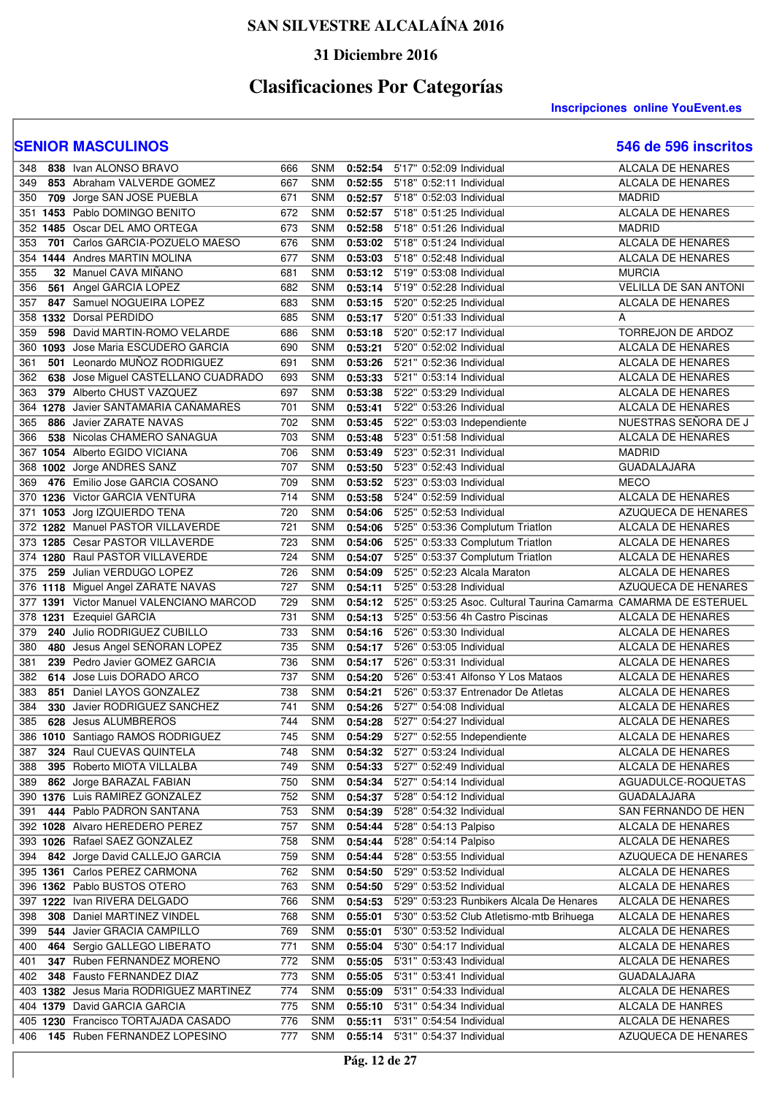### **31 Diciembre 2016**

# **Clasificaciones Por Categorías**

**Inscripciones online YouEvent.es** 

| 348 | 838 Ivan ALONSO BRAVO                   | 666 | <b>SNM</b> |         | 0:52:54 5'17" 0:52:09 Individual                                 | <b>ALCALA DE HENARES</b>     |
|-----|-----------------------------------------|-----|------------|---------|------------------------------------------------------------------|------------------------------|
| 349 | 853 Abraham VALVERDE GOMEZ              | 667 | <b>SNM</b> | 0:52:55 | 5'18" 0:52:11 Individual                                         | ALCALA DE HENARES            |
| 350 | 709 Jorge SAN JOSE PUEBLA               | 671 | <b>SNM</b> |         | 0:52:57 5'18" 0:52:03 Individual                                 | <b>MADRID</b>                |
| 351 | 1453 Pablo DOMINGO BENITO               | 672 | <b>SNM</b> | 0:52:57 | 5'18" 0:51:25 Individual                                         | ALCALA DE HENARES            |
|     | 352 1485 Oscar DEL AMO ORTEGA           | 673 | SNM        | 0:52:58 | 5'18" 0:51:26 Individual                                         | <b>MADRID</b>                |
| 353 | 701 Carlos GARCIA-POZUELO MAESO         | 676 | <b>SNM</b> |         | 0:53:02 5'18" 0:51:24 Individual                                 | <b>ALCALA DE HENARES</b>     |
| 354 | 1444 Andres MARTIN MOLINA               | 677 | SNM        | 0:53:03 | 5'18" 0:52:48 Individual                                         | ALCALA DE HENARES            |
| 355 | 32 Manuel CAVA MIÑANO                   | 681 | <b>SNM</b> |         | 0:53:12 5'19" 0:53:08 Individual                                 | <b>MURCIA</b>                |
| 356 | 561 Angel GARCIA LOPEZ                  | 682 | <b>SNM</b> | 0:53:14 | 5'19" 0:52:28 Individual                                         | <b>VELILLA DE SAN ANTONI</b> |
| 357 | 847 Samuel NOGUEIRA LOPEZ               | 683 | <b>SNM</b> | 0:53:15 | 5'20" 0:52:25 Individual                                         | ALCALA DE HENARES            |
| 358 | 1332 Dorsal PERDIDO                     | 685 | <b>SNM</b> | 0:53:17 | 5'20" 0:51:33 Individual                                         | A                            |
| 359 | 598 David MARTIN-ROMO VELARDE           | 686 | SNM        | 0:53:18 | 5'20" 0:52:17 Individual                                         | TORREJON DE ARDOZ            |
| 360 | 1093 Jose Maria ESCUDERO GARCIA         | 690 | <b>SNM</b> | 0:53:21 | 5'20" 0:52:02 Individual                                         | ALCALA DE HENARES            |
| 361 | 501 Leonardo MUÑOZ RODRIGUEZ            | 691 | <b>SNM</b> | 0:53:26 | 5'21" 0:52:36 Individual                                         | ALCALA DE HENARES            |
| 362 | 638 Jose Miguel CASTELLANO CUADRADO     | 693 | <b>SNM</b> | 0:53:33 | 5'21" 0:53:14 Individual                                         | ALCALA DE HENARES            |
| 363 | 379 Alberto CHUST VAZQUEZ               | 697 | <b>SNM</b> | 0:53:38 | 5'22" 0:53:29 Individual                                         | ALCALA DE HENARES            |
|     | 364 1278 Javier SANTAMARIA CANAMARES    | 701 | <b>SNM</b> | 0:53:41 | 5'22" 0:53:26 Individual                                         | ALCALA DE HENARES            |
| 365 | 886 Javier ZARATE NAVAS                 | 702 | SNM        | 0:53:45 | 5'22" 0:53:03 Independiente                                      | NUESTRAS SEÑORA DE J         |
| 366 | 538 Nicolas CHAMERO SANAGUA             | 703 | SNM        | 0:53:48 | 5'23" 0:51:58 Individual                                         | ALCALA DE HENARES            |
| 367 | 1054 Alberto EGIDO VICIANA              | 706 | SNM        | 0:53:49 | 5'23" 0:52:31 Individual                                         | <b>MADRID</b>                |
| 368 | 1002 Jorge ANDRES SANZ                  | 707 | <b>SNM</b> | 0:53:50 | 5'23" 0:52:43 Individual                                         | <b>GUADALAJARA</b>           |
| 369 | 476 Emilio Jose GARCIA COSANO           | 709 | <b>SNM</b> | 0:53:52 | 5'23" 0:53:03 Individual                                         | <b>MECO</b>                  |
| 370 | 1236 Victor GARCIA VENTURA              | 714 | <b>SNM</b> | 0:53:58 | 5'24" 0:52:59 Individual                                         | ALCALA DE HENARES            |
| 371 | 1053 Jorg IZQUIERDO TENA                | 720 | <b>SNM</b> | 0:54:06 | 5'25" 0:52:53 Individual                                         | AZUQUECA DE HENARES          |
|     | 372 1282 Manuel PASTOR VILLAVERDE       | 721 | <b>SNM</b> | 0:54:06 | 5'25" 0:53:36 Complutum Triatlon                                 | <b>ALCALA DE HENARES</b>     |
|     | 373 1285 Cesar PASTOR VILLAVERDE        | 723 | <b>SNM</b> | 0:54:06 | 5'25" 0:53:33 Complutum Triatlon                                 | ALCALA DE HENARES            |
|     | 374 1280 Raul PASTOR VILLAVERDE         | 724 | <b>SNM</b> | 0:54:07 | 5'25" 0:53:37 Complutum Triatlon                                 | ALCALA DE HENARES            |
| 375 | 259 Julian VERDUGO LOPEZ                | 726 | <b>SNM</b> | 0:54:09 | 5'25" 0:52:23 Alcala Maraton                                     | ALCALA DE HENARES            |
|     | 376 1118 Miguel Angel ZARATE NAVAS      | 727 | <b>SNM</b> | 0:54:11 | 5'25" 0:53:28 Individual                                         | AZUQUECA DE HENARES          |
| 377 | 1391 Victor Manuel VALENCIANO MARCOD    | 729 | SNM        | 0:54:12 | 5'25" 0:53:25 Asoc. Cultural Taurina Camarma CAMARMA DE ESTERUEL |                              |
|     | 378 1231 Ezequiel GARCIA                | 731 | SNM        | 0:54:13 | 5'25" 0:53:56 4h Castro Piscinas                                 | ALCALA DE HENARES            |
| 379 | 240 Julio RODRIGUEZ CUBILLO             | 733 | SNM        | 0:54:16 | 5'26" 0:53:30 Individual                                         | ALCALA DE HENARES            |
| 380 | 480 Jesus Angel SEÑORAN LOPEZ           | 735 | <b>SNM</b> | 0:54:17 | 5'26" 0:53:05 Individual                                         | ALCALA DE HENARES            |
| 381 | 239 Pedro Javier GOMEZ GARCIA           | 736 | <b>SNM</b> | 0:54:17 | 5'26" 0:53:31 Individual                                         | ALCALA DE HENARES            |
| 382 | 614 Jose Luis DORADO ARCO               | 737 | <b>SNM</b> | 0:54:20 | 5'26" 0:53:41 Alfonso Y Los Mataos                               | <b>ALCALA DE HENARES</b>     |
| 383 | 851 Daniel LAYOS GONZALEZ               | 738 | <b>SNM</b> | 0:54:21 | 5'26" 0:53:37 Entrenador De Atletas                              | <b>ALCALA DE HENARES</b>     |
| 384 | 330 Javier RODRIGUEZ SANCHEZ            | 741 | <b>SNM</b> | 0:54:26 | 5'27" 0:54:08 Individual                                         | ALCALA DE HENARES            |
| 385 | 628 Jesus ALUMBREROS                    | 744 | <b>SNM</b> | 0:54:28 | 5'27" 0:54:27 Individual                                         | ALCALA DE HENARES            |
|     | 386 1010 Santiago RAMOS RODRIGUEZ       | 745 | <b>SNM</b> | 0:54:29 | 5'27" 0:52:55 Independiente                                      | <b>ALCALA DE HENARES</b>     |
| 387 | 324 Raul CUEVAS QUINTELA                | 748 | SNM        |         | 0:54:32 5'27" 0:53:24 Individual                                 | ALCALA DE HENARES            |
| 388 | 395 Roberto MIOTA VILLALBA              | 749 | <b>SNM</b> | 0:54:33 | 5'27" 0:52:49 Individual                                         | ALCALA DE HENARES            |
| 389 | 862 Jorge BARAZAL FABIAN                | 750 | <b>SNM</b> | 0:54:34 | 5'27" 0:54:14 Individual                                         | AGUADULCE-ROQUETAS           |
|     | 390 1376 Luis RAMIREZ GONZALEZ          | 752 | SNM        | 0:54:37 | 5'28" 0:54:12 Individual                                         | <b>GUADALAJARA</b>           |
| 391 | 444 Pablo PADRON SANTANA                | 753 | <b>SNM</b> | 0:54:39 | 5'28" 0:54:32 Individual                                         | SAN FERNANDO DE HEN          |
|     | 392 1028 Alvaro HEREDERO PEREZ          | 757 | <b>SNM</b> | 0:54:44 | 5'28" 0:54:13 Palpiso                                            | ALCALA DE HENARES            |
| 393 | 1026 Rafael SAEZ GONZALEZ               | 758 | SNM        | 0:54:44 | 5'28" 0:54:14 Palpiso                                            | ALCALA DE HENARES            |
| 394 | 842 Jorge David CALLEJO GARCIA          | 759 | <b>SNM</b> | 0:54:44 | 5'28" 0:53:55 Individual                                         | AZUQUECA DE HENARES          |
|     | 395 1361 Carlos PEREZ CARMONA           | 762 | <b>SNM</b> | 0:54:50 | 5'29" 0:53:52 Individual                                         | ALCALA DE HENARES            |
|     | 396 1362 Pablo BUSTOS OTERO             | 763 | <b>SNM</b> | 0:54:50 | 5'29" 0:53:52 Individual                                         | ALCALA DE HENARES            |
|     | 397 1222 Ivan RIVERA DELGADO            | 766 | <b>SNM</b> | 0:54:53 | 5'29" 0:53:23 Runbikers Alcala De Henares                        | ALCALA DE HENARES            |
| 398 | 308 Daniel MARTINEZ VINDEL              | 768 | <b>SNM</b> | 0:55:01 | 5'30" 0:53:52 Club Atletismo-mtb Brihuega                        | ALCALA DE HENARES            |
| 399 | 544 Javier GRACIA CAMPILLO              | 769 | <b>SNM</b> | 0:55:01 | 5'30" 0:53:52 Individual                                         | ALCALA DE HENARES            |
| 400 | 464 Sergio GALLEGO LIBERATO             | 771 | <b>SNM</b> | 0:55:04 | 5'30" 0:54:17 Individual                                         | ALCALA DE HENARES            |
| 401 | 347 Ruben FERNANDEZ MORENO              | 772 | SNM        | 0:55:05 | 5'31" 0:53:43 Individual                                         | ALCALA DE HENARES            |
| 402 | 348 Fausto FERNANDEZ DIAZ               | 773 | <b>SNM</b> | 0:55:05 | 5'31" 0:53:41 Individual                                         | <b>GUADALAJARA</b>           |
|     | 403 1382 Jesus Maria RODRIGUEZ MARTINEZ | 774 | <b>SNM</b> | 0:55:09 | 5'31" 0:54:33 Individual                                         | ALCALA DE HENARES            |
|     | 404 1379 David GARCIA GARCIA            | 775 | <b>SNM</b> |         | 0:55:10 5'31" 0:54:34 Individual                                 | ALCALA DE HANRES             |
|     | 405 1230 Francisco TORTAJADA CASADO     | 776 | SNM        | 0:55:11 | 5'31" 0:54:54 Individual                                         | ALCALA DE HENARES            |
| 406 | 145 Ruben FERNANDEZ LOPESINO            | 777 | <b>SNM</b> |         | 0:55:14 5'31" 0:54:37 Individual                                 | AZUQUECA DE HENARES          |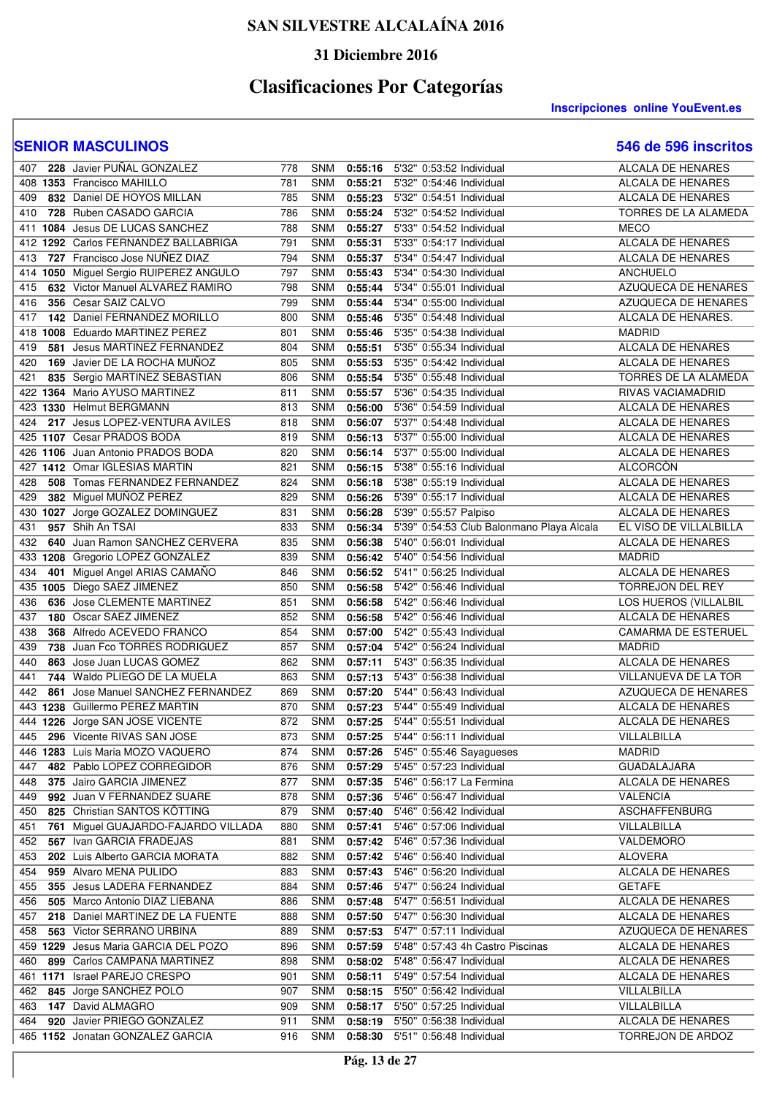### **31 Diciembre 2016**

# **Clasificaciones Por Categorías**

**Inscripciones online YouEvent.es** 

| 407        | 228 Javier PUÑAL GONZALEZ                                      | 778        | <b>SNM</b> | 0:55:16            | 5'32" 0:53:52 Individual                                         | ALCALA DE HENARES                      |
|------------|----------------------------------------------------------------|------------|------------|--------------------|------------------------------------------------------------------|----------------------------------------|
|            | 408 1353 Francisco MAHILLO                                     | 781        | <b>SNM</b> | 0:55:21            | 5'32" 0:54:46 Individual                                         | ALCALA DE HENARES                      |
| 409        | 832 Daniel DE HOYOS MILLAN                                     | 785        | SNM        | 0:55:23            | 5'32" 0:54:51 Individual                                         | <b>ALCALA DE HENARES</b>               |
| 410        | 728 Ruben CASADO GARCIA                                        | 786        | <b>SNM</b> | 0:55:24            | 5'32" 0:54:52 Individual                                         | TORRES DE LA ALAMEDA                   |
|            | 411 1084 Jesus DE LUCAS SANCHEZ                                | 788        | <b>SNM</b> | 0:55:27            | 5'33" 0:54:52 Individual                                         | <b>MECO</b>                            |
|            | 412 1292 Carlos FERNANDEZ BALLABRIGA                           | 791        | <b>SNM</b> | 0:55:31            | 5'33" 0:54:17 Individual                                         | ALCALA DE HENARES                      |
| 413        | 727 Francisco Jose NUÑEZ DIAZ                                  | 794        | <b>SNM</b> | 0:55:37            | 5'34" 0:54:47 Individual                                         | ALCALA DE HENARES                      |
| 414        | 1050 Miguel Sergio RUIPEREZ ANGULO                             | 797        | <b>SNM</b> | 0:55:43            | 5'34" 0:54:30 Individual                                         | <b>ANCHUELO</b>                        |
| 415        | 632 Victor Manuel ALVAREZ RAMIRO                               | 798        | <b>SNM</b> | 0:55:44            | 5'34" 0:55:01 Individual                                         | <b>AZUQUECA DE HENARES</b>             |
| 416        | 356 Cesar SAIZ CALVO                                           | 799        | <b>SNM</b> | 0:55:44            | 5'34" 0:55:00 Individual                                         | AZUQUECA DE HENARES                    |
|            | 142 Daniel FERNANDEZ MORILLO                                   |            |            |                    |                                                                  | ALCALA DE HENARES.                     |
| 417        |                                                                | 800        | <b>SNM</b> | 0:55:46            | 5'35" 0:54:48 Individual                                         |                                        |
|            | 418 1008 Eduardo MARTINEZ PEREZ                                | 801        | <b>SNM</b> | 0:55:46            | 5'35" 0:54:38 Individual                                         | <b>MADRID</b>                          |
| 419<br>581 | Jesus MARTINEZ FERNANDEZ                                       | 804        | <b>SNM</b> | 0:55:51            | 5'35" 0:55:34 Individual                                         | <b>ALCALA DE HENARES</b>               |
| 420        | 169 Javier DE LA ROCHA MUNOZ                                   | 805        | <b>SNM</b> | 0:55:53            | 5'35" 0:54:42 Individual                                         | ALCALA DE HENARES                      |
| 421        | 835 Sergio MARTINEZ SEBASTIAN                                  | 806        | <b>SNM</b> | 0:55:54            | 5'35" 0:55:48 Individual                                         | TORRES DE LA ALAMEDA                   |
|            | 422 1364 Mario AYUSO MARTINEZ                                  | 811        | <b>SNM</b> | 0:55:57            | 5'36" 0:54:35 Individual                                         | RIVAS VACIAMADRID                      |
|            | 423 1330 Helmut BERGMANN                                       | 813        | <b>SNM</b> | 0:56:00            | 5'36" 0:54:59 Individual                                         | ALCALA DE HENARES                      |
| 424        | 217 Jesus LOPEZ-VENTURA AVILES                                 | 818        | <b>SNM</b> | 0:56:07            | 5'37" 0:54:48 Individual                                         | ALCALA DE HENARES                      |
|            | 425 1107 Cesar PRADOS BODA                                     | 819        | <b>SNM</b> | 0:56:13            | 5'37" 0:55:00 Individual                                         | ALCALA DE HENARES                      |
|            | 426 1106 Juan Antonio PRADOS BODA                              | 820        | <b>SNM</b> | 0:56:14            | 5'37" 0:55:00 Individual                                         | <b>ALCALA DE HENARES</b>               |
|            | 427 1412 Omar IGLESIAS MARTIN                                  | 821        | SNM        | 0:56:15            | 5'38" 0:55:16 Individual                                         | <b>ALCORCON</b>                        |
| 428        | 508 Tomas FERNANDEZ FERNANDEZ                                  | 824        | <b>SNM</b> | 0:56:18            | 5'38" 0:55:19 Individual                                         | <b>ALCALA DE HENARES</b>               |
| 429        | 382 Miguel MUÑOZ PEREZ                                         | 829        | <b>SNM</b> | 0:56:26            | 5'39" 0:55:17 Individual                                         | ALCALA DE HENARES                      |
| 430 1027   | Jorge GOZALEZ DOMINGUEZ                                        | 831        | <b>SNM</b> | 0:56:28            | 5'39" 0:55:57 Palpiso                                            | <b>ALCALA DE HENARES</b>               |
| 431        | 957 Shih An TSAI                                               | 833        | <b>SNM</b> | 0:56:34            | 5'39" 0:54:53 Club Balonmano Playa Alcala                        | EL VISO DE VILLALBILLA                 |
| 432        | 640 Juan Ramon SANCHEZ CERVERA                                 | 835        | <b>SNM</b> | 0:56:38            | 5'40" 0:56:01 Individual                                         | ALCALA DE HENARES                      |
|            | 433 1208 Gregorio LOPEZ GONZALEZ                               | 839        | SNM        | 0:56:42            | 5'40" 0:54:56 Individual                                         | <b>MADRID</b>                          |
| 434<br>401 | Miguel Angel ARIAS CAMAÑO                                      | 846        | <b>SNM</b> | 0:56:52            | 5'41" 0:56:25 Individual                                         | ALCALA DE HENARES                      |
|            | 435 1005 Diego SAEZ JIMENEZ                                    | 850        | <b>SNM</b> | 0:56:58            | 5'42" 0:56:46 Individual                                         | <b>TORREJON DEL REY</b>                |
| 436        | 636 Jose CLEMENTE MARTINEZ                                     | 851        | <b>SNM</b> | 0:56:58            | 5'42" 0:56:46 Individual                                         | LOS HUEROS (VILLALBIL                  |
| 437        | 180 Oscar SAEZ JIMENEZ                                         | 852        | <b>SNM</b> | 0:56:58            | 5'42" 0:56:46 Individual                                         | ALCALA DE HENARES                      |
| 438        | 368 Alfredo ACEVEDO FRANCO                                     | 854        | <b>SNM</b> | 0:57:00            | 5'42" 0:55:43 Individual                                         | CAMARMA DE ESTERUEL                    |
| 439        | 738 Juan Fco TORRES RODRIGUEZ                                  | 857        | <b>SNM</b> | 0:57:04            | 5'42" 0:56:24 Individual                                         | <b>MADRID</b>                          |
| 440        | 863 Jose Juan LUCAS GOMEZ                                      |            | <b>SNM</b> | 0:57:11            | 5'43" 0:56:35 Individual                                         | ALCALA DE HENARES                      |
|            |                                                                | 862        |            |                    |                                                                  |                                        |
| 441        | 744 Waldo PLIEGO DE LA MUELA                                   | 863        | <b>SNM</b> | 0:57:13            | 5'43" 0:56:38 Individual                                         | VILLANUEVA DE LA TOR                   |
| 442<br>861 | Jose Manuel SANCHEZ FERNANDEZ                                  | 869        | <b>SNM</b> | 0:57:20            | 5'44" 0:56:43 Individual                                         | AZUQUECA DE HENARES                    |
| 443        | 1238 Guillermo PEREZ MARTIN                                    | 870        | <b>SNM</b> | 0:57:23            | 5'44" 0:55:49 Individual                                         | ALCALA DE HENARES                      |
|            | 444 1226 Jorge SAN JOSE VICENTE                                | 872        | <b>SNM</b> | 0:57:25            | 5'44" 0:55:51 Individual                                         | <b>ALCALA DE HENARES</b>               |
| 445        |                                                                | 873        | <b>SNM</b> |                    |                                                                  | VILLALBILLA                            |
|            | 296 Vicente RIVAS SAN JOSE<br>446 1283 Luis Maria MOZO VAQUERO | 874        |            | 0:57:25            | 5'44" 0:56:11 Individual<br>SNM 0:57:26 5'45" 0:55:46 Sayagueses | <b>MADRID</b>                          |
| 447        | 482 Pablo LOPEZ CORREGIDOR                                     | 876        | <b>SNM</b> |                    | 5'45" 0:57:23 Individual                                         | <b>GUADALAJARA</b>                     |
| 448        | 375 Jairo GARCIA JIMENEZ                                       | 877        | SNM        | 0:57:29<br>0:57:35 | 5'46" 0:56:17 La Fermina                                         | ALCALA DE HENARES                      |
| 449        | 992 Juan V FERNANDEZ SUARE                                     | 878        | SNM        |                    | 5'46" 0:56:47 Individual                                         | <b>VALENCIA</b>                        |
| 450        | 825 Christian SANTOS KÖTTING                                   | 879        | <b>SNM</b> | 0:57:36<br>0:57:40 | 5'46" 0:56:42 Individual                                         | <b>ASCHAFFENBURG</b>                   |
| 451<br>761 | Miguel GUAJARDO-FAJARDO VILLADA                                | 880        | <b>SNM</b> | 0:57:41            | 5'46" 0:57:06 Individual                                         | VILLALBILLA                            |
| 452        | 567 Ivan GARCIA FRADEJAS                                       | 881        | <b>SNM</b> | 0:57:42            | 5'46" 0:57:36 Individual                                         | VALDEMORO                              |
|            | 202 Luis Alberto GARCIA MORATA                                 |            |            |                    |                                                                  |                                        |
| 453        |                                                                | 882        | <b>SNM</b> | 0:57:42            | 5'46" 0:56:40 Individual                                         | <b>ALOVERA</b>                         |
| 454        | 959 Alvaro MENA PULIDO                                         | 883        | <b>SNM</b> | 0:57:43            | 5'46" 0:56:20 Individual                                         | ALCALA DE HENARES                      |
| 455        | 355 Jesus LADERA FERNANDEZ                                     | 884        | <b>SNM</b> | 0:57:46            | 5'47" 0:56:24 Individual                                         | <b>GETAFE</b>                          |
| 456        | 505 Marco Antonio DIAZ LIEBANA                                 | 886        | <b>SNM</b> | 0:57:48            | 5'47" 0:56:51 Individual                                         | ALCALA DE HENARES                      |
| 457        | 218 Daniel MARTINEZ DE LA FUENTE                               | 888        | <b>SNM</b> | 0:57:50            | 5'47" 0:56:30 Individual                                         | ALCALA DE HENARES                      |
| 458        | 563 Victor SERRANO URBINA                                      | 889        | <b>SNM</b> | 0:57:53            | 5'47" 0:57:11 Individual                                         | AZUQUECA DE HENARES                    |
|            | 459 1229 Jesus Maria GARCIA DEL POZO                           | 896        | <b>SNM</b> | 0:57:59            | 5'48" 0:57:43 4h Castro Piscinas                                 | ALCALA DE HENARES                      |
| 460        | 899 Carlos CAMPAÑA MARTINEZ                                    | 898        | <b>SNM</b> | 0:58:02            | 5'48" 0:56:47 Individual                                         | ALCALA DE HENARES                      |
|            | 461 1171 Israel PAREJO CRESPO                                  | 901        | <b>SNM</b> | 0:58:11            | 5'49" 0:57:54 Individual                                         | ALCALA DE HENARES                      |
| 462        | 845 Jorge SANCHEZ POLO                                         | 907        | <b>SNM</b> | 0:58:15            | 5'50" 0:56:42 Individual                                         | VILLALBILLA                            |
| 463        | 147 David ALMAGRO                                              | 909        | <b>SNM</b> | 0:58:17            | 5'50" 0:57:25 Individual                                         | VILLALBILLA                            |
| 464        | 920 Javier PRIEGO GONZALEZ<br>465 1152 Jonatan GONZALEZ GARCIA | 911<br>916 | SNM<br>SNM | 0:58:19<br>0:58:30 | 5'50" 0:56:38 Individual<br>5'51" 0:56:48 Individual             | ALCALA DE HENARES<br>TORREJON DE ARDOZ |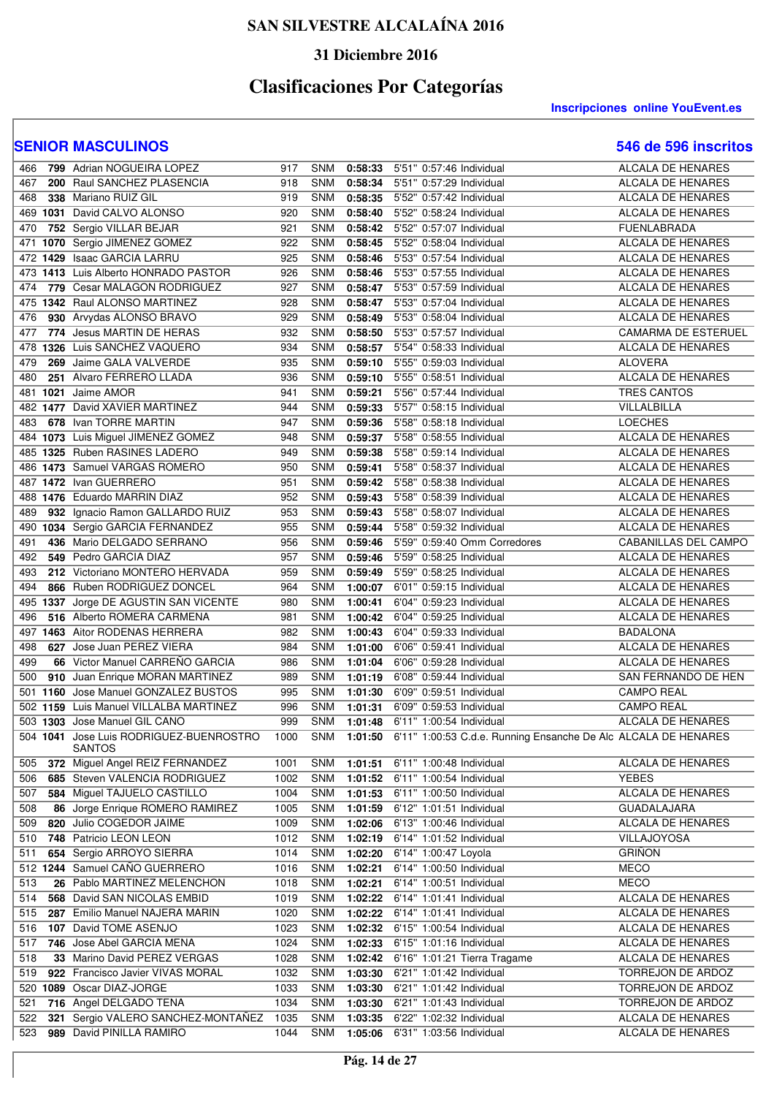### **31 Diciembre 2016**

# **Clasificaciones Por Categorías**

**Inscripciones online YouEvent.es** 

| 466 | 799 Adrian NOGUEIRA LOPEZ                                | 917  | <b>SNM</b> | 0:58:33 | 5'51" 0:57:46 Individual                                       | <b>ALCALA DE HENARES</b> |
|-----|----------------------------------------------------------|------|------------|---------|----------------------------------------------------------------|--------------------------|
| 467 | 200 Raul SANCHEZ PLASENCIA                               | 918  | <b>SNM</b> | 0:58:34 | 5'51" 0:57:29 Individual                                       | ALCALA DE HENARES        |
| 468 | 338 Mariano RUIZ GIL                                     | 919  | <b>SNM</b> | 0:58:35 | 5'52" 0:57:42 Individual                                       | ALCALA DE HENARES        |
|     | 469 1031 David CALVO ALONSO                              | 920  | <b>SNM</b> | 0:58:40 | 5'52" 0:58:24 Individual                                       | <b>ALCALA DE HENARES</b> |
| 470 | 752 Sergio VILLAR BEJAR                                  | 921  | <b>SNM</b> | 0:58:42 | 5'52" 0:57:07 Individual                                       | <b>FUENLABRADA</b>       |
| 471 | 1070 Sergio JIMENEZ GOMEZ                                | 922  | <b>SNM</b> | 0:58:45 | 5'52" 0:58:04 Individual                                       | ALCALA DE HENARES        |
|     | 472 1429 Isaac GARCIA LARRU                              | 925  | <b>SNM</b> | 0:58:46 | 5'53" 0:57:54 Individual                                       | <b>ALCALA DE HENARES</b> |
| 473 | 1413 Luis Alberto HONRADO PASTOR                         | 926  | <b>SNM</b> | 0:58:46 | 5'53" 0:57:55 Individual                                       | ALCALA DE HENARES        |
| 474 | 779 Cesar MALAGON RODRIGUEZ                              | 927  | <b>SNM</b> | 0:58:47 | 5'53" 0:57:59 Individual                                       | ALCALA DE HENARES        |
| 475 | 1342 Raul ALONSO MARTINEZ                                | 928  | <b>SNM</b> | 0:58:47 | 5'53" 0:57:04 Individual                                       | <b>ALCALA DE HENARES</b> |
| 476 | 930 Arvydas ALONSO BRAVO                                 | 929  | <b>SNM</b> | 0:58:49 | 5'53" 0:58:04 Individual                                       | <b>ALCALA DE HENARES</b> |
| 477 | 774 Jesus MARTIN DE HERAS                                | 932  | <b>SNM</b> | 0:58:50 | 5'53" 0:57:57 Individual                                       | CAMARMA DE ESTERUEL      |
| 478 | 1326 Luis SANCHEZ VAQUERO                                | 934  | <b>SNM</b> | 0:58:57 | 5'54" 0:58:33 Individual                                       | <b>ALCALA DE HENARES</b> |
| 479 | 269 Jaime GALA VALVERDE                                  | 935  | <b>SNM</b> | 0:59:10 | 5'55" 0:59:03 Individual                                       | <b>ALOVERA</b>           |
| 480 | 251 Alvaro FERRERO LLADA                                 | 936  | <b>SNM</b> | 0:59:10 | 5'55" 0:58:51 Individual                                       | ALCALA DE HENARES        |
|     | 481 1021 Jaime AMOR                                      | 941  | <b>SNM</b> | 0:59:21 | 5'56" 0:57:44 Individual                                       | TRES CANTOS              |
|     | 482 1477 David XAVIER MARTINEZ                           |      | <b>SNM</b> | 0:59:33 |                                                                |                          |
|     |                                                          | 944  |            |         | 5'57" 0:58:15 Individual                                       | VILLALBILLA              |
| 483 | 678 Ivan TORRE MARTIN                                    | 947  | <b>SNM</b> | 0:59:36 | 5'58" 0:58:18 Individual                                       | <b>LOECHES</b>           |
|     | 484 1073 Luis Miguel JIMENEZ GOMEZ                       | 948  | <b>SNM</b> | 0:59:37 | 5'58" 0:58:55 Individual                                       | ALCALA DE HENARES        |
|     | 485 1325 Ruben RASINES LADERO                            | 949  | <b>SNM</b> | 0:59:38 | 5'58" 0:59:14 Individual                                       | <b>ALCALA DE HENARES</b> |
|     | 486 1473 Samuel VARGAS ROMERO                            | 950  | <b>SNM</b> | 0:59:41 | 5'58" 0:58:37 Individual                                       | ALCALA DE HENARES        |
|     | 487 1472 Ivan GUERRERO                                   | 951  | <b>SNM</b> | 0:59:42 | 5'58" 0:58:38 Individual                                       | <b>ALCALA DE HENARES</b> |
|     | 488 1476 Eduardo MARRIN DIAZ                             | 952  | <b>SNM</b> | 0:59:43 | 5'58" 0:58:39 Individual                                       | ALCALA DE HENARES        |
| 489 | 932 Ignacio Ramon GALLARDO RUIZ                          | 953  | <b>SNM</b> | 0:59:43 | 5'58" 0:58:07 Individual                                       | ALCALA DE HENARES        |
|     | 490 1034 Sergio GARCIA FERNANDEZ                         | 955  | <b>SNM</b> | 0:59:44 | 5'58" 0:59:32 Individual                                       | <b>ALCALA DE HENARES</b> |
| 491 | 436 Mario DELGADO SERRANO                                | 956  | <b>SNM</b> | 0:59:46 | 5'59" 0:59:40 Omm Corredores                                   | CABANILLAS DEL CAMPO     |
| 492 | 549 Pedro GARCIA DIAZ                                    | 957  | <b>SNM</b> | 0:59:46 | 5'59" 0:58:25 Individual                                       | ALCALA DE HENARES        |
| 493 | 212 Victoriano MONTERO HERVADA                           | 959  | <b>SNM</b> | 0:59:49 | 5'59" 0:58:25 Individual                                       | ALCALA DE HENARES        |
| 494 | 866 Ruben RODRIGUEZ DONCEL                               | 964  | <b>SNM</b> | 1:00:07 | 6'01" 0:59:15 Individual                                       | <b>ALCALA DE HENARES</b> |
|     | 495 1337 Jorge DE AGUSTIN SAN VICENTE                    | 980  | <b>SNM</b> | 1:00:41 | 6'04" 0:59:23 Individual                                       | ALCALA DE HENARES        |
| 496 | 516 Alberto ROMERA CARMENA                               | 981  | <b>SNM</b> | 1:00:42 | 6'04" 0:59:25 Individual                                       | ALCALA DE HENARES        |
|     | 497 1463 Aitor RODENAS HERRERA                           | 982  | <b>SNM</b> | 1:00:43 | 6'04" 0:59:33 Individual                                       | <b>BADALONA</b>          |
| 498 | 627 Jose Juan PEREZ VIERA                                | 984  | <b>SNM</b> | 1:01:00 | 6'06" 0:59:41 Individual                                       | <b>ALCALA DE HENARES</b> |
| 499 | 66 Victor Manuel CARREÑO GARCIA                          | 986  | <b>SNM</b> | 1:01:04 | 6'06" 0:59:28 Individual                                       | <b>ALCALA DE HENARES</b> |
| 500 | 910 Juan Enrique MORAN MARTINEZ                          | 989  | <b>SNM</b> | 1:01:19 | 6'08" 0:59:44 Individual                                       | SAN FERNANDO DE HEN      |
| 501 | 1160 Jose Manuel GONZALEZ BUSTOS                         | 995  | <b>SNM</b> | 1:01:30 | 6'09" 0:59:51 Individual                                       | <b>CAMPO REAL</b>        |
|     | 502 1159 Luis Manuel VILLALBA MARTINEZ                   | 996  | <b>SNM</b> | 1:01:31 | 6'09" 0:59:53 Individual                                       | <b>CAMPO REAL</b>        |
|     | 503 1303 Jose Manuel GIL CANO                            | 999  | <b>SNM</b> | 1:01:48 | 6'11" 1:00:54 Individual                                       | <b>ALCALA DE HENARES</b> |
|     |                                                          |      | <b>SNM</b> |         |                                                                |                          |
|     | 504 1041 Jose Luis RODRIGUEZ-BUENROSTRO<br><b>SANTOS</b> | 1000 |            | 1:01:50 | 6'11" 1:00:53 C.d.e. Running Ensanche De Alc ALCALA DE HENARES |                          |
| 505 | 372 Miguel Angel REIZ FERNANDEZ                          | 1001 | <b>SNM</b> | 1:01:51 | 6'11" 1:00:48 Individual                                       | ALCALA DE HENARES        |
| 506 | 685 Steven VALENCIA RODRIGUEZ                            | 1002 | <b>SNM</b> | 1:01:52 | 6'11" 1:00:54 Individual                                       | <b>YEBES</b>             |
| 507 | 584 Miguel TAJUELO CASTILLO                              | 1004 | <b>SNM</b> | 1:01:53 | 6'11" 1:00:50 Individual                                       | ALCALA DE HENARES        |
| 508 | 86 Jorge Enrique ROMERO RAMIREZ                          | 1005 | <b>SNM</b> | 1:01:59 | 6'12" 1:01:51 Individual                                       | <b>GUADALAJARA</b>       |
| 509 | 820 Julio COGEDOR JAIME                                  | 1009 | <b>SNM</b> | 1:02:06 | 6'13" 1:00:46 Individual                                       | <b>ALCALA DE HENARES</b> |
| 510 | 748 Patricio LEON LEON                                   | 1012 | <b>SNM</b> | 1:02:19 | 6'14" 1:01:52 Individual                                       | VILLAJOYOSA              |
| 511 | 654 Sergio ARROYO SIERRA                                 | 1014 | <b>SNM</b> | 1:02:20 | 6'14" 1:00:47 Loyola                                           | <b>GRIÑON</b>            |
|     | 512 1244 Samuel CAÑO GUERRERO                            | 1016 | <b>SNM</b> | 1:02:21 | 6'14" 1:00:50 Individual                                       | <b>MECO</b>              |
| 513 | 26 Pablo MARTINEZ MELENCHON                              | 1018 | <b>SNM</b> | 1:02:21 | 6'14" 1:00:51 Individual                                       | <b>MECO</b>              |
| 514 | 568 David SAN NICOLAS EMBID                              | 1019 | <b>SNM</b> | 1:02:22 | 6'14" 1:01:41 Individual                                       | <b>ALCALA DE HENARES</b> |
| 515 | 287 Emilio Manuel NAJERA MARIN                           | 1020 | <b>SNM</b> | 1:02:22 | 6'14" 1:01:41 Individual                                       | ALCALA DE HENARES        |
| 516 | 107 David TOME ASENJO                                    | 1023 | <b>SNM</b> | 1:02:32 | 6'15" 1:00:54 Individual                                       | ALCALA DE HENARES        |
| 517 | 746 Jose Abel GARCIA MENA                                | 1024 | <b>SNM</b> | 1:02:33 | 6'15" 1:01:16 Individual                                       | ALCALA DE HENARES        |
|     |                                                          |      |            |         |                                                                |                          |
| 518 | 33 Marino David PEREZ VERGAS                             | 1028 | <b>SNM</b> | 1:02:42 | 6'16" 1:01:21 Tierra Tragame                                   | ALCALA DE HENARES        |
| 519 | 922 Francisco Javier VIVAS MORAL                         | 1032 | <b>SNM</b> | 1:03:30 | 6'21" 1:01:42 Individual                                       | TORREJON DE ARDOZ        |
|     | 520 1089 Oscar DIAZ-JORGE                                | 1033 | <b>SNM</b> | 1:03:30 | 6'21" 1:01:42 Individual                                       | TORREJON DE ARDOZ        |
| 521 | 716 Angel DELGADO TENA                                   | 1034 | <b>SNM</b> | 1:03:30 | 6'21" 1:01:43 Individual                                       | TORREJON DE ARDOZ        |
| 522 | 321 Sergio VALERO SANCHEZ-MONTAÑEZ                       | 1035 | <b>SNM</b> | 1:03:35 | 6'22" 1:02:32 Individual                                       | ALCALA DE HENARES        |
| 523 | 989 David PINILLA RAMIRO                                 | 1044 | <b>SNM</b> | 1:05:06 | 6'31" 1:03:56 Individual                                       | ALCALA DE HENARES        |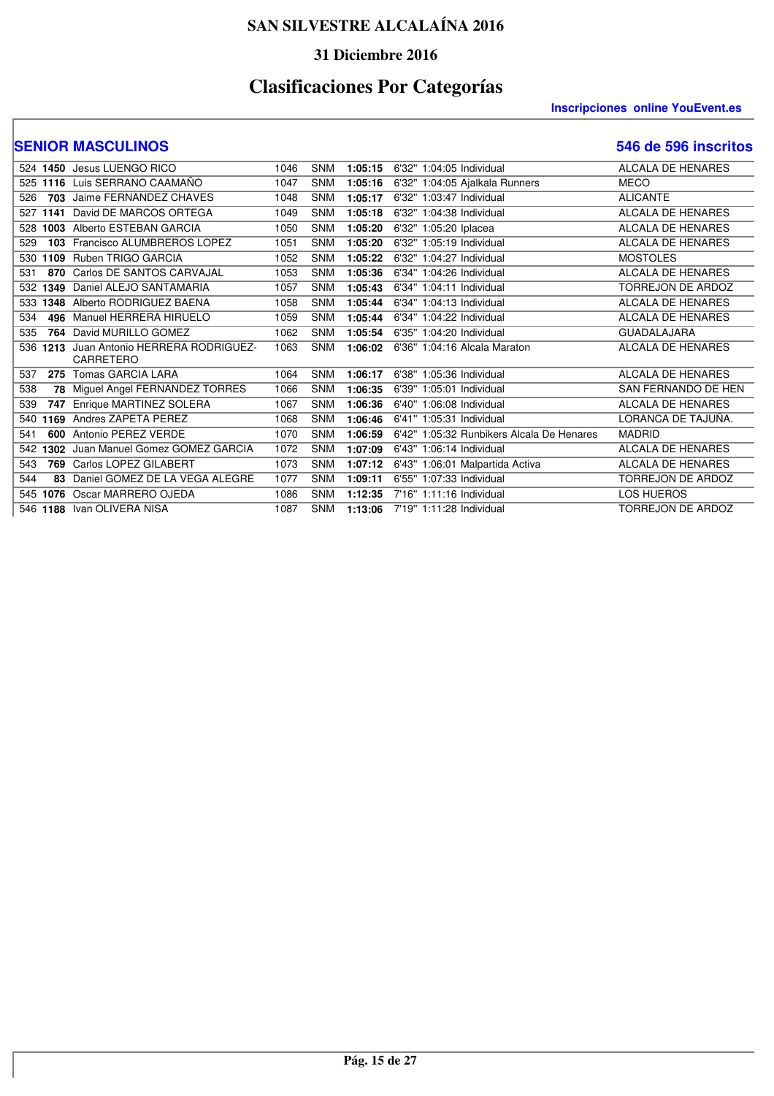### **31 Diciembre 2016**

# **Clasificaciones Por Categorías**

#### **Inscripciones online YouEvent.es**

|     | 524 1450 | Jesus LUENGO RICO                            | 1046 | <b>SNM</b> | 1:05:15 | 6'32" 1:04:05 Individual                  | ALCALA DE HENARES        |
|-----|----------|----------------------------------------------|------|------------|---------|-------------------------------------------|--------------------------|
| 525 | 1116     | Luis SERRANO CAAMAÑO                         | 1047 | <b>SNM</b> | 1:05:16 | 6'32" 1:04:05 Ajalkala Runners            | <b>MECO</b>              |
| 526 | 703      | Jaime FERNANDEZ CHAVES                       | 1048 | <b>SNM</b> | 1:05:17 | 6'32" 1:03:47 Individual                  | <b>ALICANTE</b>          |
| 527 | 1141     | David DE MARCOS ORTEGA                       | 1049 | <b>SNM</b> | 1:05:18 | 6'32" 1:04:38 Individual                  | <b>ALCALA DE HENARES</b> |
| 528 | 1003     | Alberto ESTEBAN GARCIA                       | 1050 | <b>SNM</b> | 1:05:20 | 6'32" 1:05:20 Iplacea                     | ALCALA DE HENARES        |
| 529 | 103      | Francisco ALUMBREROS LOPEZ                   | 1051 | <b>SNM</b> | 1:05:20 | 6'32" 1:05:19 Individual                  | ALCALA DE HENARES        |
| 530 | 1109     | Ruben TRIGO GARCIA                           | 1052 | <b>SNM</b> | 1:05:22 | 6'32" 1:04:27 Individual                  | <b>MOSTOLES</b>          |
| 531 | 870      | Carlos DE SANTOS CARVAJAL                    | 1053 | <b>SNM</b> | 1:05:36 | 6'34" 1:04:26 Individual                  | <b>ALCALA DE HENARES</b> |
| 532 | 1349     | Daniel ALEJO SANTAMARIA                      | 1057 | <b>SNM</b> | 1:05:43 | 6'34" 1:04:11 Individual                  | <b>TORREJON DE ARDOZ</b> |
| 533 | 1348     | Alberto RODRIGUEZ BAENA                      | 1058 | <b>SNM</b> | 1:05:44 | 6'34" 1:04:13 Individual                  | <b>ALCALA DE HENARES</b> |
| 534 | 496      | Manuel HERRERA HIRUELO                       | 1059 | <b>SNM</b> | 1:05:44 | 6'34" 1:04:22 Individual                  | <b>ALCALA DE HENARES</b> |
| 535 | 764      | David MURILLO GOMEZ                          | 1062 | <b>SNM</b> | 1:05:54 | 6'35" 1:04:20 Individual                  | <b>GUADALAJARA</b>       |
| 536 | 1213     | Juan Antonio HERRERA RODRIGUEZ-<br>CARRETERO | 1063 | <b>SNM</b> | 1:06:02 | 6'36" 1:04:16 Alcala Maraton              | <b>ALCALA DE HENARES</b> |
| 537 | 275      | Tomas GARCIA LARA                            | 1064 | <b>SNM</b> | 1:06:17 | 6'38" 1:05:36 Individual                  | <b>ALCALA DE HENARES</b> |
| 538 | 78       | Miguel Angel FERNANDEZ TORRES                | 1066 | <b>SNM</b> | 1:06:35 | 6'39" 1:05:01 Individual                  | SAN FERNANDO DE HEN      |
| 539 | 747      | Enrique MARTINEZ SOLERA                      | 1067 | <b>SNM</b> | 1:06:36 | 6'40" 1:06:08 Individual                  | <b>ALCALA DE HENARES</b> |
| 540 | 1169     | Andres ZAPETA PEREZ                          | 1068 | <b>SNM</b> | 1:06:46 | 6'41" 1:05:31 Individual                  | LORANCA DE TAJUÑA.       |
| 541 | 600      | Antonio PEREZ VERDE                          | 1070 | <b>SNM</b> | 1:06:59 | 6'42" 1:05:32 Runbikers Alcala De Henares | <b>MADRID</b>            |
| 542 | 1302     | Juan Manuel Gomez GOMEZ GARCIA               | 1072 | <b>SNM</b> | 1:07:09 | 6'43" 1:06:14 Individual                  | <b>ALCALA DE HENARES</b> |
| 543 | 769      | Carlos LOPEZ GILABERT                        | 1073 | <b>SNM</b> | 1:07:12 | 6'43" 1:06:01 Malpartida Activa           | <b>ALCALA DE HENARES</b> |
| 544 | 83       | Daniel GOMEZ DE LA VEGA ALEGRE               | 1077 | <b>SNM</b> | 1:09:11 | 6'55" 1:07:33 Individual                  | <b>TORREJON DE ARDOZ</b> |
| 545 | 1076     | Oscar MARRERO OJEDA                          | 1086 | <b>SNM</b> | 1:12:35 | 7'16" 1:11:16 Individual                  | <b>LOS HUEROS</b>        |
|     |          | 546 1188 Ivan OLIVERA NISA                   | 1087 | <b>SNM</b> | 1:13:06 | 7'19" 1:11:28 Individual                  | <b>TORREJON DE ARDOZ</b> |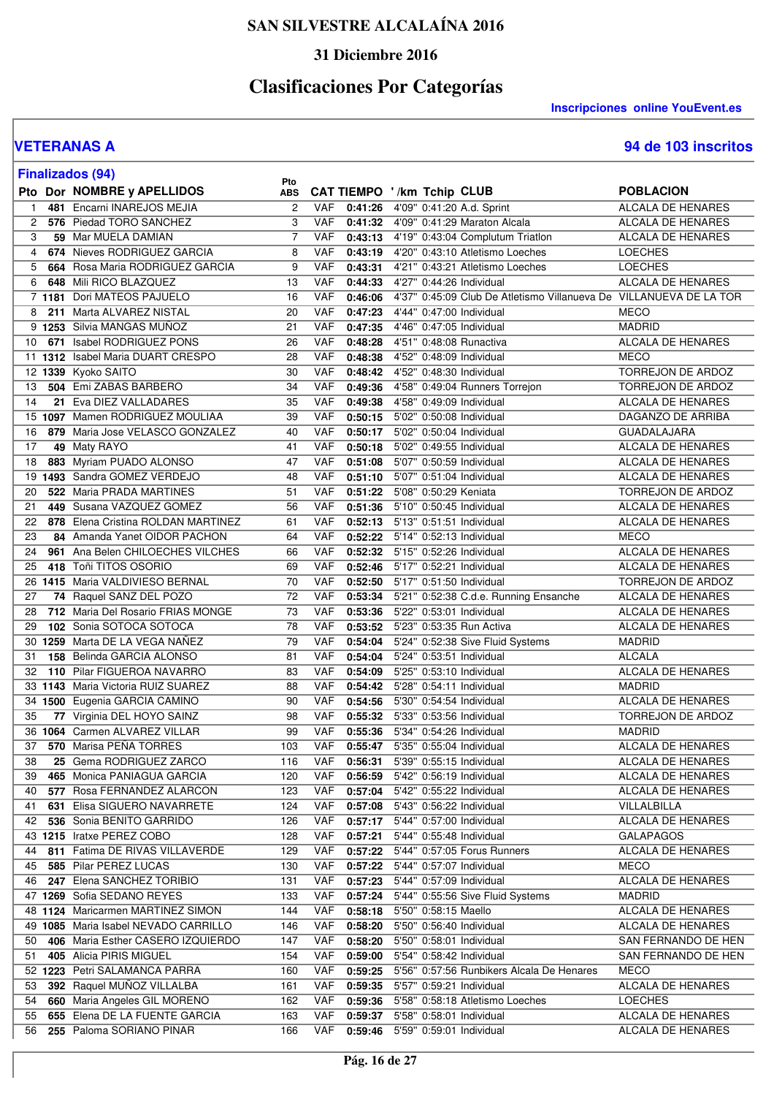### **31 Diciembre 2016**

# **Clasificaciones Por Categorías**

**Inscripciones online YouEvent.es** 

**VETERANAS A 94 de 103 inscritos**

|    | <b>Finalizados (94)</b>                                 | Pto            |            |         |                                                                          |                                    |
|----|---------------------------------------------------------|----------------|------------|---------|--------------------------------------------------------------------------|------------------------------------|
|    | Pto Dor NOMBRE y APELLIDOS                              | <b>ABS</b>     |            |         | CAT TIEMPO '/km Tchip CLUB                                               | <b>POBLACION</b>                   |
| 1  | 481 Encarni INAREJOS MEJIA                              | $\overline{c}$ | <b>VAF</b> | 0:41:26 | 4'09" 0:41:20 A.d. Sprint                                                | ALCALA DE HENARES                  |
| 2  | 576 Piedad TORO SANCHEZ                                 | 3              | <b>VAF</b> | 0:41:32 | 4'09" 0:41:29 Maraton Alcala                                             | <b>ALCALA DE HENARES</b>           |
| 3  | 59 Mar MUELA DAMIAN                                     | $\overline{7}$ | <b>VAF</b> | 0:43:13 | 4'19" 0:43:04 Complutum Triatlon                                         | <b>ALCALA DE HENARES</b>           |
| 4  | 674 Nieves RODRIGUEZ GARCIA                             | 8              | <b>VAF</b> | 0:43:19 | 4'20" 0:43:10 Atletismo Loeches                                          | <b>LOECHES</b>                     |
| 5  | 664 Rosa Maria RODRIGUEZ GARCIA                         | 9              | <b>VAF</b> | 0:43:31 | 4'21" 0:43:21 Atletismo Loeches                                          | <b>LOECHES</b>                     |
| 6  | 648 Mili RICO BLAZQUEZ                                  | 13             | <b>VAF</b> | 0:44:33 | 4'27" 0:44:26 Individual                                                 | ALCALA DE HENARES                  |
|    | 7 1181 Dori MATEOS PAJUELO                              | 16             | VAF        | 0:46:06 | 4'37" 0:45:09 Club De Atletismo Villanueva De VILLANUEVA DE LA TOR       |                                    |
| 8  | 211 Marta ALVAREZ NISTAL                                | 20             | <b>VAF</b> | 0:47:23 | 4'44" 0:47:00 Individual                                                 | <b>MECO</b>                        |
|    | 9 1253 Silvia MANGAS MUÑOZ                              | 21             | <b>VAF</b> | 0:47:35 | 4'46" 0:47:05 Individual                                                 | <b>MADRID</b>                      |
| 10 | 671 Isabel RODRIGUEZ PONS                               | 26             | <b>VAF</b> | 0:48:28 | 4'51" 0:48:08 Runactiva                                                  | ALCALA DE HENARES                  |
|    | 11 1312 Isabel Maria DUART CRESPO                       | 28             | <b>VAF</b> | 0:48:38 | 4'52" 0:48:09 Individual                                                 | <b>MECO</b>                        |
|    | 12 1339 Kyoko SAITO                                     | 30             | <b>VAF</b> | 0:48:42 | 4'52" 0:48:30 Individual                                                 | TORREJON DE ARDOZ                  |
| 13 | 504 Emi ZABAS BARBERO                                   | 34             | <b>VAF</b> | 0:49:36 | 4'58" 0:49:04 Runners Torrejon                                           | TORREJON DE ARDOZ                  |
| 14 | 21 Eva DIEZ VALLADARES                                  | 35             | <b>VAF</b> | 0:49:38 | 4'58" 0:49:09 Individual                                                 | ALCALA DE HENARES                  |
|    | 15 1097 Mamen RODRIGUEZ MOULIAA                         | 39             | <b>VAF</b> | 0:50:15 | 5'02" 0:50:08 Individual                                                 | DAGANZO DE ARRIBA                  |
| 16 | 879 Maria Jose VELASCO GONZALEZ                         | 40             | <b>VAF</b> | 0:50:17 | 5'02" 0:50:04 Individual                                                 | <b>GUADALAJARA</b>                 |
| 17 | 49 Maty RAYO                                            | 41             | VAF        | 0:50:18 | 5'02" 0:49:55 Individual                                                 | <b>ALCALA DE HENARES</b>           |
| 18 | 883 Myriam PUADO ALONSO                                 | 47             | <b>VAF</b> | 0:51:08 | 5'07" 0:50:59 Individual                                                 | ALCALA DE HENARES                  |
| 19 | 1493 Sandra GOMEZ VERDEJO                               | 48             | <b>VAF</b> | 0:51:10 | 5'07" 0:51:04 Individual                                                 | ALCALA DE HENARES                  |
| 20 | 522 Maria PRADA MARTINES                                | 51             | <b>VAF</b> | 0:51:22 | 5'08" 0:50:29 Keniata                                                    | <b>TORREJON DE ARDOZ</b>           |
| 21 | 449 Susana VAZQUEZ GOMEZ                                | 56             | <b>VAF</b> | 0:51:36 | 5'10" 0:50:45 Individual                                                 | <b>ALCALA DE HENARES</b>           |
| 22 | 878 Elena Cristina ROLDAN MARTINEZ                      | 61             | <b>VAF</b> | 0:52:13 | 5'13" 0:51:51 Individual                                                 | ALCALA DE HENARES                  |
| 23 | 84 Amanda Yanet OIDOR PACHON                            | 64             | <b>VAF</b> | 0:52:22 | 5'14" 0:52:13 Individual                                                 | <b>MECO</b>                        |
| 24 | 961 Ana Belen CHILOECHES VILCHES                        | 66             | <b>VAF</b> |         | 0:52:32 5'15" 0:52:26 Individual                                         | ALCALA DE HENARES                  |
| 25 | 418 Toñi TITOS OSORIO                                   | 69             | <b>VAF</b> | 0:52:46 | 5'17" 0:52:21 Individual                                                 | ALCALA DE HENARES                  |
|    | 26 1415 Maria VALDIVIESO BERNAL                         | 70             | VAF        | 0:52:50 | 5'17" 0:51:50 Individual                                                 | TORREJON DE ARDOZ                  |
| 27 | 74 Raquel SANZ DEL POZO                                 | 72             | <b>VAF</b> | 0:53:34 | 5'21" 0:52:38 C.d.e. Running Ensanche                                    | ALCALA DE HENARES                  |
| 28 | 712 Maria Del Rosario FRIAS MONGE                       | 73             | <b>VAF</b> | 0:53:36 | 5'22" 0:53:01 Individual                                                 | <b>ALCALA DE HENARES</b>           |
| 29 | 102 Sonia SOTOCA SOTOCA                                 | 78             | VAF        | 0:53:52 | 5'23" 0:53:35 Run Activa                                                 | ALCALA DE HENARES                  |
|    | 30 1259 Marta DE LA VEGA NANEZ                          | 79             | <b>VAF</b> | 0:54:04 | 5'24" 0:52:38 Sive Fluid Systems                                         | <b>MADRID</b>                      |
| 31 | 158 Belinda GARCIA ALONSO                               | 81             | <b>VAF</b> | 0:54:04 | 5'24" 0:53:51 Individual                                                 | <b>ALCALA</b>                      |
| 32 | 110 Pilar FIGUEROA NAVARRO                              | 83             | <b>VAF</b> | 0:54:09 | 5'25" 0:53:10 Individual                                                 | ALCALA DE HENARES                  |
|    | 33 1143 Maria Victoria RUIZ SUAREZ                      | 88             | <b>VAF</b> | 0:54:42 | 5'28" 0:54:11 Individual                                                 | <b>MADRID</b>                      |
|    | 34 1500 Eugenia GARCIA CAMINO                           | 90             | <b>VAF</b> | 0:54:56 | 5'30" 0:54:54 Individual                                                 | ALCALA DE HENARES                  |
| 35 | 77 Virginia DEL HOYO SAINZ                              | 98             | <b>VAF</b> | 0:55:32 | 5'33" 0:53:56 Individual                                                 | TORREJON DE ARDOZ                  |
|    | 36 1064 Carmen ALVAREZ VILLAR                           | 99             | <b>VAF</b> | 0:55:36 | 5'34" 0:54:26 Individual                                                 | <b>MADRID</b>                      |
|    | 37 570 Marisa PEÑA TORRES                               | 103            |            |         | VAF 0:55:47 5'35" 0:55:04 Individual                                     | <b>ALCALA DE HENARES</b>           |
| 38 | 25 Gema RODRIGUEZ ZARCO                                 | 116            | VAF        |         | 0:56:31 5'39" 0:55:15 Individual                                         | ALCALA DE HENARES                  |
| 39 | 465 Monica PANIAGUA GARCIA                              | 120            | VAF        | 0:56:59 | 5'42" 0:56:19 Individual                                                 | ALCALA DE HENARES                  |
| 40 | 577 Rosa FERNANDEZ ALARCON                              | 123            | VAF        | 0:57:04 | 5'42" 0:55:22 Individual                                                 | ALCALA DE HENARES                  |
| 41 | 631 Elisa SIGUERO NAVARRETE                             | 124            | VAF        | 0:57:08 | 5'43" 0:56:22 Individual                                                 | VILLALBILLA                        |
| 42 | 536 Sonia BENITO GARRIDO                                | 126            | VAF        |         | 0:57:17 5'44" 0:57:00 Individual                                         | ALCALA DE HENARES                  |
|    | 43 1215 Iratxe PEREZ COBO                               | 128            | VAF        |         | 0:57:21 5'44" 0:55:48 Individual                                         | <b>GALAPAGOS</b>                   |
| 44 | 811 Fatima DE RIVAS VILLAVERDE                          | 129            | VAF        |         | 0:57:22 5'44" 0:57:05 Forus Runners                                      | ALCALA DE HENARES                  |
| 45 | 585 Pilar PEREZ LUCAS                                   | 130            | VAF        |         | 0:57:22 5'44" 0:57:07 Individual                                         | <b>MECO</b>                        |
| 46 | 247 Elena SANCHEZ TORIBIO<br>47 1269 Sofia SEDANO REYES | 131            | VAF        |         | 0:57:23 5'44" 0:57:09 Individual                                         | ALCALA DE HENARES                  |
|    | 48 1124 Maricarmen MARTINEZ SIMON                       | 133<br>144     | VAF<br>VAF |         | 0:57:24 5'44" 0:55:56 Sive Fluid Systems<br>0:58:18 5'50" 0:58:15 Maello | <b>MADRID</b><br>ALCALA DE HENARES |
|    | 49 1085 Maria Isabel NEVADO CARRILLO                    |                | VAF        |         | 0:58:20 5'50" 0:56:40 Individual                                         | ALCALA DE HENARES                  |
| 50 | 406 Maria Esther CASERO IZQUIERDO                       | 146<br>147     | VAF        |         | 5'50" 0:58:01 Individual                                                 | SAN FERNANDO DE HEN                |
| 51 | 405 Alicia PIRIS MIGUEL                                 | 154            | VAF        | 0:58:20 | 0:59:00 5'54" 0:58:42 Individual                                         | SAN FERNANDO DE HEN                |
|    | 52 1223 Petri SALAMANCA PARRA                           | 160            | VAF        | 0:59:25 | 5'56" 0:57:56 Runbikers Alcala De Henares                                | <b>MECO</b>                        |
| 53 | 392 Raquel MUÑOZ VILLALBA                               | 161            | <b>VAF</b> | 0:59:35 | 5'57" 0:59:21 Individual                                                 | ALCALA DE HENARES                  |
| 54 | 660 Maria Angeles GIL MORENO                            | 162            | VAF        | 0:59:36 | 5'58" 0:58:18 Atletismo Loeches                                          | <b>LOECHES</b>                     |
| 55 | 655 Elena DE LA FUENTE GARCIA                           | 163            | VAF        |         | 0:59:37 5'58" 0:58:01 Individual                                         | ALCALA DE HENARES                  |
| 56 | 255 Paloma SORIANO PINAR                                | 166            | VAF        |         | 0:59:46 5'59" 0:59:01 Individual                                         | ALCALA DE HENARES                  |
|    |                                                         |                |            |         |                                                                          |                                    |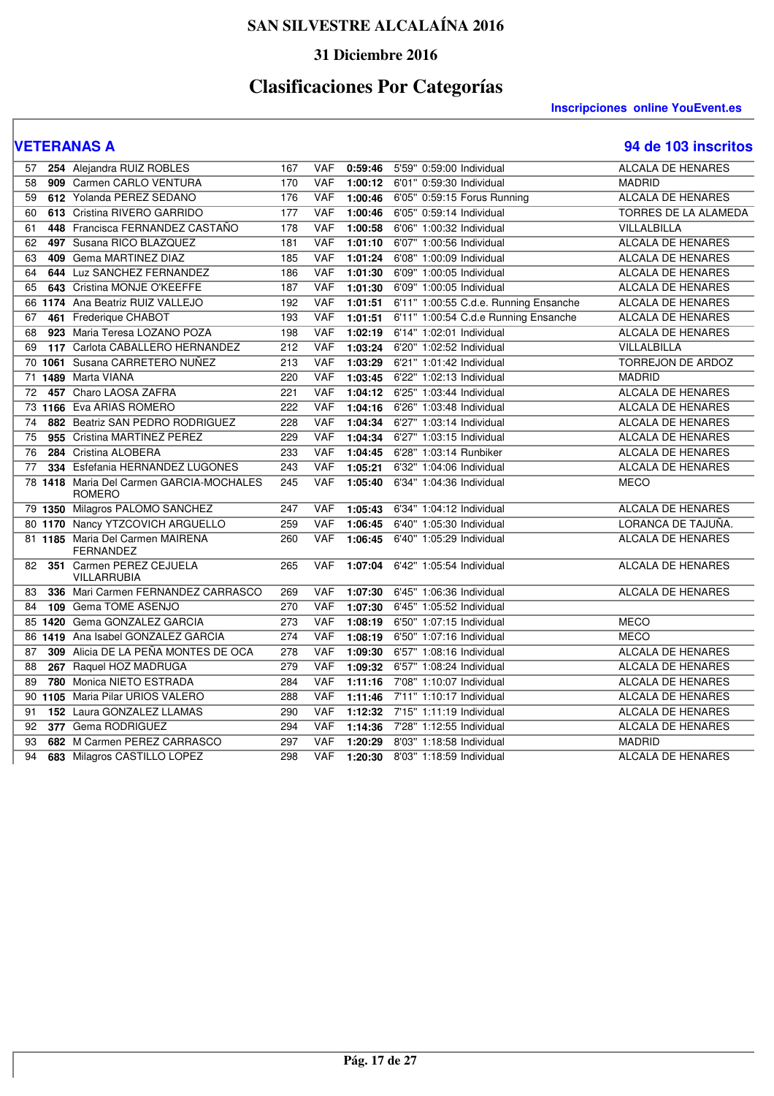## **31 Diciembre 2016**

# **Clasificaciones Por Categorías**

### **VETERANAS A 94 de 103 inscritos**

| 57 |         | 254 Alejandra RUIZ ROBLES                                 | 167 | <b>VAF</b> | 0:59:46 | 5'59" 0:59:00 Individual              | <b>ALCALA DE HENARES</b> |
|----|---------|-----------------------------------------------------------|-----|------------|---------|---------------------------------------|--------------------------|
| 58 | 909     | Carmen CARLO VENTURA                                      | 170 | <b>VAF</b> | 1:00:12 | 6'01" 0:59:30 Individual              | <b>MADRID</b>            |
| 59 |         | 612 Yolanda PEREZ SEDANO                                  | 176 | <b>VAF</b> | 1:00:46 | 6'05" 0:59:15 Forus Running           | <b>ALCALA DE HENARES</b> |
| 60 |         | 613 Cristina RIVERO GARRIDO                               | 177 | <b>VAF</b> | 1:00:46 | 6'05" 0:59:14 Individual              | TORRES DE LA ALAMEDA     |
| 61 | 448     | Francisca FERNANDEZ CASTAÑO                               | 178 | <b>VAF</b> | 1:00:58 | 6'06" 1:00:32 Individual              | VILLALBILLA              |
| 62 |         | 497 Susana RICO BLAZQUEZ                                  | 181 | <b>VAF</b> | 1:01:10 | 6'07" 1:00:56 Individual              | <b>ALCALA DE HENARES</b> |
| 63 | 409     | <b>Gema MARTINEZ DIAZ</b>                                 | 185 | <b>VAF</b> | 1:01:24 | 6'08" 1:00:09 Individual              | <b>ALCALA DE HENARES</b> |
| 64 | 644     | Luz SANCHEZ FERNANDEZ                                     | 186 | <b>VAF</b> | 1:01:30 | 6'09" 1:00:05 Individual              | ALCALA DE HENARES        |
| 65 |         | 643 Cristina MONJE O'KEEFFE                               | 187 | <b>VAF</b> | 1:01:30 | 6'09" 1:00:05 Individual              | <b>ALCALA DE HENARES</b> |
|    |         | 66 1174 Ana Beatriz RUIZ VALLEJO                          | 192 | <b>VAF</b> | 1:01:51 | 6'11" 1:00:55 C.d.e. Running Ensanche | <b>ALCALA DE HENARES</b> |
| 67 | 461     | Frederique CHABOT                                         | 193 | <b>VAF</b> | 1:01:51 | 6'11" 1:00:54 C.d.e Running Ensanche  | ALCALA DE HENARES        |
| 68 | 923     | Maria Teresa LOZANO POZA                                  | 198 | <b>VAF</b> | 1:02:19 | 6'14" 1:02:01 Individual              | ALCALA DE HENARES        |
| 69 | 117     | Carlota CABALLERO HERNANDEZ                               | 212 | <b>VAF</b> | 1:03:24 | 6'20" 1:02:52 Individual              | VILLALBILLA              |
|    |         | 70 1061 Susana CARRETERO NUÑEZ                            | 213 | <b>VAF</b> | 1:03:29 | 6'21" 1:01:42 Individual              | TORREJON DE ARDOZ        |
| 71 | 1489    | Marta VIANA                                               | 220 | <b>VAF</b> | 1:03:45 | 6'22" 1:02:13 Individual              | <b>MADRID</b>            |
| 72 |         | 457 Charo LAOSA ZAFRA                                     | 221 | <b>VAF</b> | 1:04:12 | 6'25" 1:03:44 Individual              | <b>ALCALA DE HENARES</b> |
|    |         | 73 1166 Eva ARIAS ROMERO                                  | 222 | <b>VAF</b> | 1:04:16 | 6'26" 1:03:48 Individual              | <b>ALCALA DE HENARES</b> |
| 74 |         | 882 Beatriz SAN PEDRO RODRIGUEZ                           | 228 | VAF        | 1:04:34 | 6'27" 1:03:14 Individual              | ALCALA DE HENARES        |
| 75 |         | 955 Cristina MARTINEZ PEREZ                               | 229 | <b>VAF</b> | 1:04:34 | 6'27" 1:03:15 Individual              | <b>ALCALA DE HENARES</b> |
| 76 | 284     | Cristina ALOBERA                                          | 233 | <b>VAF</b> | 1:04:45 | 6'28" 1:03:14 Runbiker                | <b>ALCALA DE HENARES</b> |
| 77 | 334     | Esfefania HERNANDEZ LUGONES                               | 243 | <b>VAF</b> | 1:05:21 | 6'32" 1:04:06 Individual              | <b>ALCALA DE HENARES</b> |
|    |         | 78 1418 Maria Del Carmen GARCIA-MOCHALES<br><b>ROMERO</b> | 245 | <b>VAF</b> | 1:05:40 | 6'34" 1:04:36 Individual              | <b>MECO</b>              |
|    |         | 79 1350 Milagros PALOMO SANCHEZ                           | 247 | <b>VAF</b> | 1:05:43 | 6'34" 1:04:12 Individual              | <b>ALCALA DE HENARES</b> |
|    |         | 80 1170 Nancy YTZCOVICH ARGUELLO                          | 259 | <b>VAF</b> | 1:06:45 | 6'40" 1:05:30 Individual              | LORANCA DE TAJUÑA.       |
|    |         | 81 1185 Maria Del Carmen MAIRENA<br><b>FERNANDEZ</b>      | 260 | <b>VAF</b> | 1:06:45 | 6'40" 1:05:29 Individual              | ALCALA DE HENARES        |
| 82 |         | 351 Carmen PEREZ CEJUELA<br><b>VILLARRUBIA</b>            | 265 | VAF        | 1:07:04 | 6'42" 1:05:54 Individual              | ALCALA DE HENARES        |
| 83 |         | 336 Mari Carmen FERNANDEZ CARRASCO                        | 269 | <b>VAF</b> | 1:07:30 | 6'45" 1:06:36 Individual              | ALCALA DE HENARES        |
| 84 | 109     | Gema TOME ASENJO                                          | 270 | <b>VAF</b> | 1:07:30 | 6'45" 1:05:52 Individual              |                          |
|    | 85 1420 | Gema GONZALEZ GARCIA                                      | 273 | <b>VAF</b> | 1:08:19 | 6'50" 1:07:15 Individual              | <b>MECO</b>              |
|    | 86 1419 | Ana Isabel GONZALEZ GARCIA                                | 274 | <b>VAF</b> | 1:08:19 | 6'50" 1:07:16 Individual              | <b>MECO</b>              |
| 87 | 309     | Alicia DE LA PEÑA MONTES DE OCA                           | 278 | <b>VAF</b> | 1:09:30 | 6'57" 1:08:16 Individual              | <b>ALCALA DE HENARES</b> |
| 88 |         | 267 Raquel HOZ MADRUGA                                    | 279 | <b>VAF</b> | 1:09:32 | 6'57" 1:08:24 Individual              | <b>ALCALA DE HENARES</b> |
| 89 | 780     | Monica NIETO ESTRADA                                      | 284 | VAF        | 1:11:16 | 7'08" 1:10:07 Individual              | ALCALA DE HENARES        |
|    |         | 90 1105 Maria Pilar URIOS VALERO                          | 288 | <b>VAF</b> | 1:11:46 | 7'11" 1:10:17 Individual              | ALCALA DE HENARES        |
| 91 |         | 152 Laura GONZALEZ LLAMAS                                 | 290 | <b>VAF</b> | 1:12:32 | 7'15" 1:11:19 Individual              | <b>ALCALA DE HENARES</b> |
| 92 |         | 377 Gema RODRIGUEZ                                        | 294 | <b>VAF</b> | 1:14:36 | 7'28" 1:12:55 Individual              | <b>ALCALA DE HENARES</b> |
| 93 |         | 682 M Carmen PEREZ CARRASCO                               | 297 | VAF        | 1:20:29 | 8'03" 1:18:58 Individual              | <b>MADRID</b>            |
| 94 |         | 683 Milagros CASTILLO LOPEZ                               | 298 | <b>VAF</b> | 1:20:30 | 8'03" 1:18:59 Individual              | <b>ALCALA DE HENARES</b> |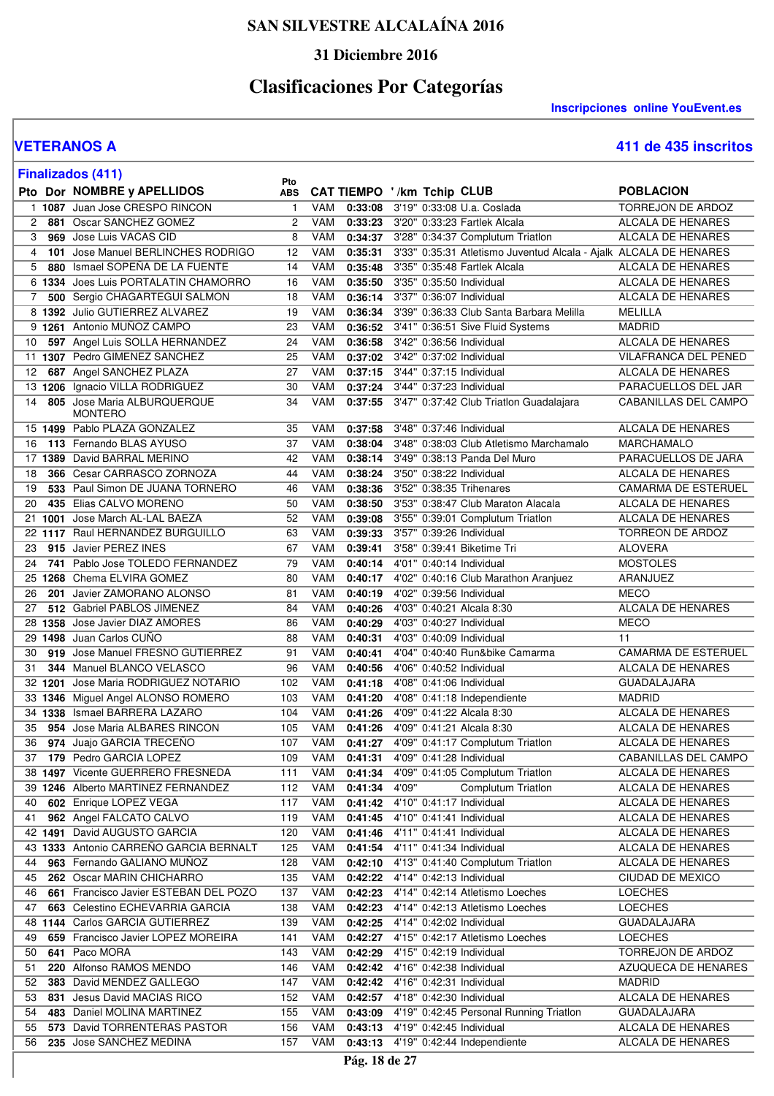### **31 Diciembre 2016**

# **Clasificaciones Por Categorías**

**Inscripciones online YouEvent.es** 

I

|    | <b>Finalizados (411)</b>                                             |                   |                   |                    |                                                                   |                                                     |
|----|----------------------------------------------------------------------|-------------------|-------------------|--------------------|-------------------------------------------------------------------|-----------------------------------------------------|
|    | Pto Dor NOMBRE y APELLIDOS                                           | Pto<br><b>ABS</b> |                   |                    | CAT TIEMPO '/km Tchip CLUB                                        | <b>POBLACION</b>                                    |
|    | 1 1087 Juan Jose CRESPO RINCON                                       | $\mathbf{1}$      | VAM               |                    | 0:33:08 3'19" 0:33:08 U.a. Coslada                                | TORREJON DE ARDOZ                                   |
| 2  | 881 Oscar SANCHEZ GOMEZ                                              | 2                 | VAM               |                    | 0:33:23 3'20" 0:33:23 Fartlek Alcala                              | ALCALA DE HENARES                                   |
| 3  | 969 Jose Luis VACAS CID                                              | 8                 | VAM               |                    | 0:34:37 3'28" 0:34:37 Complutum Triatlon                          | ALCALA DE HENARES                                   |
| 4  | 101 Jose Manuel BERLINCHES RODRIGO                                   | 12                | VAM               | 0:35:31            | 3'33" 0:35:31 Atletismo Juventud Alcala - Ajalk ALCALA DE HENARES |                                                     |
| 5  | 880 Ismael SOPENA DE LA FUENTE                                       | 14                | VAM               | 0:35:48            | 3'35" 0:35:48 Fartlek Alcala                                      | ALCALA DE HENARES                                   |
|    | 6 1334 Joes Luis PORTALATIN CHAMORRO                                 | 16                | VAM               | 0:35:50            | 3'35" 0:35:50 Individual                                          | ALCALA DE HENARES                                   |
| 7  | 500 Sergio CHAGARTEGUI SALMON                                        | 18                | VAM               | 0:36:14            | 3'37" 0:36:07 Individual                                          | <b>ALCALA DE HENARES</b>                            |
|    | 8 1392 Julio GUTIERREZ ALVAREZ                                       | 19                | VAM               | 0:36:34            | 3'39" 0:36:33 Club Santa Barbara Melilla                          | MELILLA                                             |
|    | 9 1261 Antonio MUÑOZ CAMPO                                           | 23                | VAM               | 0:36:52            | 3'41" 0:36:51 Sive Fluid Systems                                  | <b>MADRID</b>                                       |
| 10 | 597 Angel Luis SOLLA HERNANDEZ                                       | 24                | VAM               | 0:36:58            | 3'42" 0:36:56 Individual                                          | ALCALA DE HENARES                                   |
|    | 11 1307 Pedro GIMENEZ SANCHEZ                                        | 25                | VAM               | 0:37:02            | 3'42" 0:37:02 Individual                                          | VILAFRANCA DEL PENED                                |
| 12 | 687 Angel SANCHEZ PLAZA                                              | 27                | VAM               | 0:37:15            | 3'44" 0:37:15 Individual                                          | ALCALA DE HENARES                                   |
|    | 13 1206 Ignacio VILLA RODRIGUEZ                                      | 30                | VAM               |                    | 0:37:24 3'44" 0:37:23 Individual                                  | PARACUELLOS DEL JAR                                 |
| 14 | 805 Jose Maria ALBURQUERQUE<br><b>MONTERO</b>                        | 34                | VAM               |                    | 0:37:55 3'47" 0:37:42 Club Triatlon Guadalajara                   | CABANILLAS DEL CAMPO                                |
|    | 15 1499 Pablo PLAZA GONZALEZ                                         | 35                | VAM               | 0:37:58            | 3'48" 0:37:46 Individual                                          | <b>ALCALA DE HENARES</b>                            |
| 16 | 113 Fernando BLAS AYUSO                                              | 37                | VAM               | 0:38:04            | 3'48" 0:38:03 Club Atletismo Marchamalo                           | <b>MARCHAMALO</b>                                   |
|    | 17 1389 David BARRAL MERINO                                          | 42                | VAM               | 0:38:14            | 3'49" 0:38:13 Panda Del Muro                                      | PARACUELLOS DE JARA                                 |
| 18 | 366 Cesar CARRASCO ZORNOZA                                           | 44                | VAM               | 0:38:24            | 3'50" 0:38:22 Individual                                          | <b>ALCALA DE HENARES</b>                            |
| 19 | 533 Paul Simon DE JUANA TORNERO                                      | 46                | VAM               | 0:38:36            | 3'52" 0:38:35 Trihenares                                          | CAMARMA DE ESTERUEL                                 |
| 20 | 435 Elias CALVO MORENO                                               | 50                | <b>VAM</b>        | 0:38:50            | 3'53" 0:38:47 Club Maraton Alacala                                | ALCALA DE HENARES                                   |
|    | 21 1001 Jose March AL-LAL BAEZA<br>22 1117 Raul HERNANDEZ BURGUILLO  | 52<br>63          | <b>VAM</b><br>VAM | 0:39:08<br>0:39:33 | 3'55" 0:39:01 Complutum Triatlon<br>3'57" 0:39:26 Individual      | <b>ALCALA DE HENARES</b><br><b>TORREON DE ARDOZ</b> |
| 23 | 915 Javier PEREZ INES                                                | 67                | VAM               | 0:39:41            | 3'58" 0:39:41 Biketime Tri                                        | <b>ALOVERA</b>                                      |
| 24 | 741 Pablo Jose TOLEDO FERNANDEZ                                      | 79                | VAM               | 0:40:14            | 4'01" 0:40:14 Individual                                          | <b>MOSTOLES</b>                                     |
|    | 25 1268 Chema ELVIRA GOMEZ                                           | 80                | VAM               | 0:40:17            | 4'02" 0:40:16 Club Marathon Aranjuez                              | ARANJUEZ                                            |
| 26 | 201 Javier ZAMORANO ALONSO                                           | 81                | VAM               | 0:40:19            | 4'02" 0:39:56 Individual                                          | MECO                                                |
| 27 | 512 Gabriel PABLOS JIMENEZ                                           | 84                | VAM               | 0:40:26            | 4'03" 0:40:21 Alcala 8:30                                         | ALCALA DE HENARES                                   |
|    | 28 1358 Jose Javier DIAZ AMORES                                      | 86                | VAM               | 0:40:29            | 4'03" 0:40:27 Individual                                          | <b>MECO</b>                                         |
|    | 29 1498 Juan Carlos CUNO                                             | 88                | VAM               | 0:40:31            | 4'03" 0:40:09 Individual                                          | 11                                                  |
| 30 | 919 Jose Manuel FRESNO GUTIERREZ                                     | 91                | VAM               | 0:40:41            | 4'04" 0:40:40 Run&bike Camarma                                    | CAMARMA DE ESTERUEL                                 |
| 31 | 344 Manuel BLANCO VELASCO                                            | 96                | VAM               | 0:40:56            | 4'06" 0:40:52 Individual                                          | ALCALA DE HENARES                                   |
|    | 32 1201 Jose Maria RODRIGUEZ NOTARIO                                 | 102               | VAM               | 0:41:18            | 4'08" 0:41:06 Individual                                          | <b>GUADALAJARA</b>                                  |
|    | 33 1346 Miguel Angel ALONSO ROMERO                                   | 103               | VAM               | 0:41:20            | 4'08" 0:41:18 Independiente                                       | <b>MADRID</b>                                       |
|    | 34 1338 Ismael BARRERA LAZARO                                        | 104               | <b>VAM</b>        | 0:41:26            | 4'09" 0:41:22 Alcala 8:30                                         | ALCALA DE HENARES                                   |
| 35 | 954 Jose Maria ALBARES RINCON                                        | 105               | VAM               | 0:41:26            | 4'09" 0:41:21 Alcala 8:30                                         | ALCALA DE HENARES                                   |
|    | 36 974 Juajo GARCIA TRECEÑO                                          |                   |                   |                    | 107 VAM 0:41:27 4'09" 0:41:17 Complutum Triatlon                  | <b>ALCALA DE HENARES</b>                            |
| 37 | 179 Pedro GARCIA LOPEZ                                               | 109               | VAM               | 0:41:31            | 4'09" 0:41:28 Individual                                          | CABANILLAS DEL CAMPO                                |
|    | 38 1497 Vicente GUERRERO FRESNEDA                                    | 111               | VAM               | 0:41:34            | 4'09" 0:41:05 Complutum Triatlon                                  | ALCALA DE HENARES                                   |
|    | 39 1246 Alberto MARTINEZ FERNANDEZ                                   | 112               | VAM               | 0:41:34            | 4'09"<br>Complutum Triatlon                                       | ALCALA DE HENARES                                   |
| 40 | 602 Enrique LOPEZ VEGA                                               | 117               | VAM               | 0:41:42            | 4'10" 0:41:17 Individual                                          | ALCALA DE HENARES                                   |
| 41 | 962 Angel FALCATO CALVO                                              | 119               | VAM               | 0:41:45            | 4'10" 0:41:41 Individual                                          | ALCALA DE HENARES                                   |
|    | 42 1491 David AUGUSTO GARCIA                                         | 120               | VAM               | 0:41:46            | 4'11" 0:41:41 Individual<br>4'11" 0:41:34 Individual              | ALCALA DE HENARES                                   |
| 44 | 43 1333 Antonio CARREÑO GARCIA BERNALT<br>963 Fernando GALIANO MUÑOZ | 125<br>128        | VAM<br>VAM        | 0:41:54<br>0:42:10 | 4'13" 0:41:40 Complutum Triatlon                                  | ALCALA DE HENARES<br>ALCALA DE HENARES              |
| 45 | 262 Oscar MARIN CHICHARRO                                            | 135               | VAM               | 0:42:22            | 4'14" 0:42:13 Individual                                          | CIUDAD DE MEXICO                                    |
| 46 | 661 Francisco Javier ESTEBAN DEL POZO                                | 137               | VAM               | 0:42:23            | 4'14" 0:42:14 Atletismo Loeches                                   | <b>LOECHES</b>                                      |
| 47 | 663 Celestino ECHEVARRIA GARCIA                                      | 138               | VAM               | 0:42:23            | 4'14" 0:42:13 Atletismo Loeches                                   | <b>LOECHES</b>                                      |
|    | 48 1144 Carlos GARCIA GUTIERREZ                                      | 139               | VAM               | 0:42:25            | 4'14" 0:42:02 Individual                                          | <b>GUADALAJARA</b>                                  |
| 49 | 659 Francisco Javier LOPEZ MOREIRA                                   | 141               | VAM               | 0:42:27            | 4'15" 0:42:17 Atletismo Loeches                                   | <b>LOECHES</b>                                      |
| 50 | 641 Paco MORA                                                        | 143               | VAM               | 0:42:29            | 4'15" 0:42:19 Individual                                          | TORREJON DE ARDOZ                                   |
| 51 | 220 Alfonso RAMOS MENDO                                              | 146               | VAM               | 0:42:42            | 4'16" 0:42:38 Individual                                          | AZUQUECA DE HENARES                                 |
| 52 | 383 David MENDEZ GALLEGO                                             | 147               | VAM               | 0:42:42            | 4'16" 0:42:31 Individual                                          | MADRID                                              |
| 53 | 831 Jesus David MACIAS RICO                                          | 152               | VAM               | 0:42:57            | 4'18" 0:42:30 Individual                                          | ALCALA DE HENARES                                   |
| 54 | 483 Daniel MOLINA MARTINEZ                                           | 155               | VAM               | 0:43:09            | 4'19" 0:42:45 Personal Running Triatlon                           | <b>GUADALAJARA</b>                                  |
| 55 | 573 David TORRENTERAS PASTOR                                         | 156               | VAM               |                    | 0:43:13 4'19" 0:42:45 Individual                                  | ALCALA DE HENARES                                   |
| 56 | 235 Jose SANCHEZ MEDINA                                              | 157               | VAM               |                    | 0:43:13 4'19" 0:42:44 Independiente                               | ALCALA DE HENARES                                   |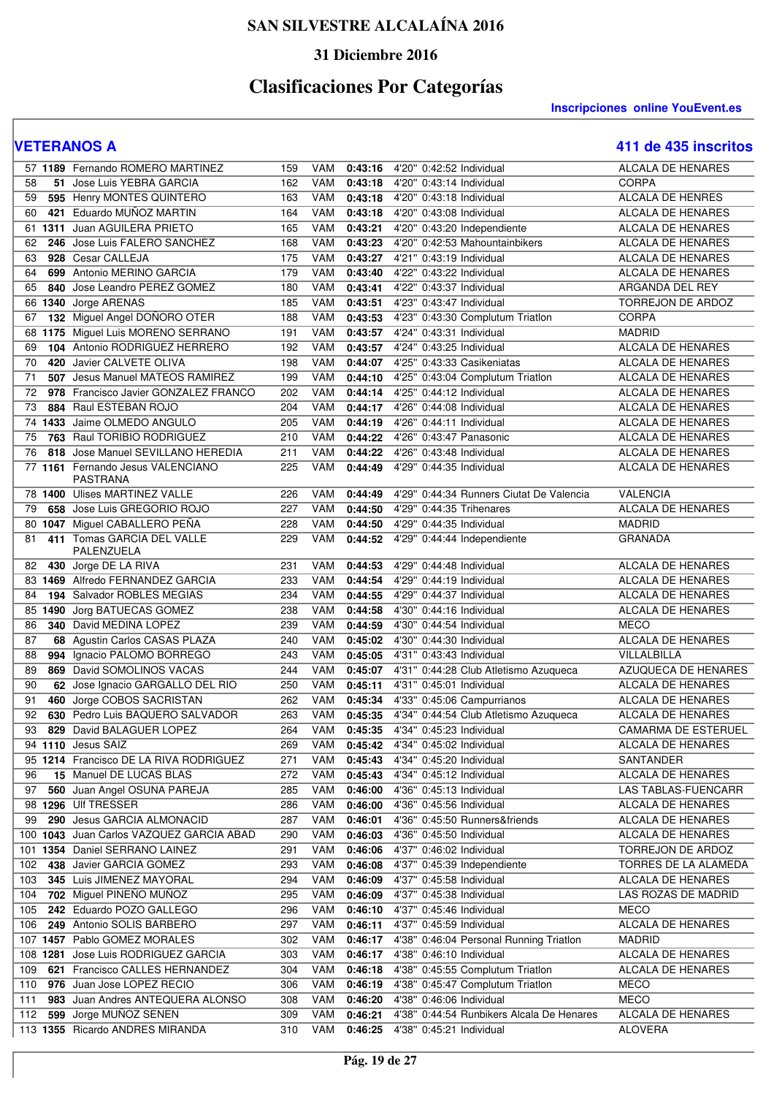### **31 Diciembre 2016**

# **Clasificaciones Por Categorías**

|           | 57 1189 Fernando ROMERO MARTINEZ                         | 159        | VAM        | 0:43:16            | 4'20" 0:42:52 Individual                             | ALCALA DE HENARES                        |
|-----------|----------------------------------------------------------|------------|------------|--------------------|------------------------------------------------------|------------------------------------------|
| 58        | 51 Jose Luis YEBRA GARCIA                                | 162        | VAM        | 0:43:18            | 4'20" 0:43:14 Individual                             | <b>CORPA</b>                             |
| 59        | 595 Henry MONTES QUINTERO                                | 163        | VAM        | 0:43:18            | 4'20" 0:43:18 Individual                             | <b>ALCALA DE HENRES</b>                  |
| 60        | 421 Eduardo MUNOZ MARTIN                                 | 164        | VAM        | 0:43:18            | 4'20" 0:43:08 Individual                             | ALCALA DE HENARES                        |
| 61        | 1311 Juan AGUILERA PRIETO                                | 165        | VAM        | 0:43:21            | 4'20" 0:43:20 Independiente                          | <b>ALCALA DE HENARES</b>                 |
| 62        | 246 Jose Luis FALERO SANCHEZ                             | 168        | VAM        | 0:43:23            | 4'20" 0:42:53 Mahountainbikers                       | <b>ALCALA DE HENARES</b>                 |
| 63        | 928 Cesar CALLEJA                                        | 175        | VAM        | 0:43:27            | 4'21" 0:43:19 Individual                             | ALCALA DE HENARES                        |
| 64        | 699 Antonio MERINO GARCIA                                | 179        | <b>VAM</b> | 0:43:40            | 4'22" 0:43:22 Individual                             | ALCALA DE HENARES                        |
| 65        | 840 Jose Leandro PEREZ GOMEZ                             | 180        | VAM        | 0:43:41            | 4'22" 0:43:37 Individual                             | ARGANDA DEL REY                          |
| 66        | 1340 Jorge ARENAS                                        | 185        | <b>VAM</b> | 0:43:51            | 4'23" 0:43:47 Individual                             | TORREJON DE ARDOZ                        |
| 67        | 132 Miguel Angel DOÑORO OTER                             | 188        | <b>VAM</b> | 0:43:53            | 4'23" 0:43:30 Complutum Triatlon                     | CORPA                                    |
| 68        | 1175 Miguel Luis MORENO SERRANO                          | 191        | VAM        | 0:43:57            | 4'24" 0:43:31 Individual                             | <b>MADRID</b>                            |
| 69        | 104 Antonio RODRIGUEZ HERRERO                            | 192        | <b>VAM</b> | 0:43:57            | 4'24" 0:43:25 Individual                             | <b>ALCALA DE HENARES</b>                 |
| 70        | 420 Javier CALVETE OLIVA                                 | 198        | <b>VAM</b> | 0:44:07            | 4'25" 0:43:33 Casikeniatas                           | ALCALA DE HENARES                        |
| 71        | 507 Jesus Manuel MATEOS RAMIREZ                          | 199        | VAM        | 0:44:10            | 4'25" 0:43:04 Complutum Triatlon                     | ALCALA DE HENARES                        |
| 72        | 978 Francisco Javier GONZALEZ FRANCO                     | 202        | <b>VAM</b> | 0:44:14            | 4'25" 0:44:12 Individual                             | ALCALA DE HENARES                        |
| 73        | 884 Raul ESTEBAN ROJO                                    | 204        | <b>VAM</b> | 0:44:17            | 4'26" 0:44:08 Individual                             | ALCALA DE HENARES                        |
|           | 74 1433 Jaime OLMEDO ANGULO                              | 205        | <b>VAM</b> | 0:44:19            | 4'26" 0:44:11 Individual                             | ALCALA DE HENARES                        |
| 75        | 763 Raul TORIBIO RODRIGUEZ                               | 210        | VAM        | 0:44:22            | 4'26" 0:43:47 Panasonic                              | ALCALA DE HENARES                        |
| 76        | 818 Jose Manuel SEVILLANO HEREDIA                        | 211        | <b>VAM</b> | 0:44:22            | 4'26" 0:43:48 Individual                             | <b>ALCALA DE HENARES</b>                 |
|           | 77 1161 Fernando Jesus VALENCIANO                        | 225        | VAM        | 0:44:49            | 4'29" 0:44:35 Individual                             | ALCALA DE HENARES                        |
|           | <b>PASTRANA</b>                                          |            |            |                    | 4'29" 0:44:34 Runners Ciutat De Valencia             |                                          |
|           | 78 1400 Ulises MARTINEZ VALLE                            | 226        | <b>VAM</b> | 0:44:49            |                                                      | <b>VALENCIA</b>                          |
| 79        | 658 Jose Luis GREGORIO ROJO                              | 227<br>228 | VAM<br>VAM | 0:44:50            | 4'29" 0:44:35 Trihenares<br>4'29" 0:44:35 Individual | ALCALA DE HENARES<br><b>MADRID</b>       |
| 80        | 1047 Miguel CABALLERO PEÑA<br>411 Tomas GARCIA DEL VALLE | 229        | VAM        | 0:44:50<br>0:44:52 | 4'29" 0:44:44 Independiente                          | <b>GRANADA</b>                           |
| 81        | PALENZUELA                                               |            |            |                    |                                                      |                                          |
| 82        | 430 Jorge DE LA RIVA                                     | 231        | VAM        | 0:44:53            | 4'29" 0:44:48 Individual                             | ALCALA DE HENARES                        |
|           | 83 1469 Alfredo FERNANDEZ GARCIA                         | 233        | VAM        | 0:44:54            | 4'29" 0:44:19 Individual                             | ALCALA DE HENARES                        |
| 84        | 194 Salvador ROBLES MEGIAS                               | 234        | <b>VAM</b> | 0:44:55            | 4'29" 0:44:37 Individual                             | ALCALA DE HENARES                        |
|           | 85 1490 Jorg BATUECAS GOMEZ                              | 238        | VAM        | 0:44:58            | 4'30" 0:44:16 Individual                             | ALCALA DE HENARES                        |
| 86        | 340 David MEDINA LOPEZ                                   | 239        | <b>VAM</b> | 0:44:59            | 4'30" 0:44:54 Individual                             | <b>MECO</b>                              |
| 87        | 68 Agustin Carlos CASAS PLAZA                            | 240        | <b>VAM</b> | 0:45:02            | 4'30" 0:44:30 Individual                             | <b>ALCALA DE HENARES</b>                 |
| 88<br>994 | Ignacio PALOMO BORREGO                                   | 243        | VAM        | 0:45:05            | 4'31" 0:43:43 Individual                             | VILLALBILLA                              |
| 89        | 869 David SOMOLINOS VACAS                                | 244        | VAM        | 0:45:07            | 4'31" 0:44:28 Club Atletismo Azuqueca                | <b>AZUQUECA DE HENARES</b>               |
| 90        | 62 Jose Ignacio GARGALLO DEL RIO                         | 250        | <b>VAM</b> | 0:45:11            | 4'31" 0:45:01 Individual                             | <b>ALCALA DE HENARES</b>                 |
| 91        | 460 Jorge COBOS SACRISTAN                                | 262        | VAM        | 0:45:34            | 4'33" 0:45:06 Campurrianos                           | ALCALA DE HENARES                        |
| 92        | 630 Pedro Luis BAQUERO SALVADOR                          | 263        | VAM        | 0:45:35            | 4'34" 0:44:54 Club Atletismo Azuqueca                | ALCALA DE HENARES                        |
| 93        | 829 David BALAGUER LOPEZ                                 | 264        | VAM        | 0:45:35            | 4'34" 0:45:23 Individual                             | <b>CAMARMA DE ESTERUEL</b>               |
|           | 94 1110 Jesus SAIZ                                       | 269        | <b>VAM</b> | 0:45:42            | 4'34" 0:45:02 Individual                             | <b>ALCALA DE HENARES</b>                 |
|           | 95 1214 Francisco DE LA RIVA RODRIGUEZ                   | 271        | VAM        | 0:45:43            | 4'34" 0:45:20 Individual                             | SANTANDER                                |
| 96<br>97  | 15 Manuel DE LUCAS BLAS                                  | 272<br>285 | VAM<br>VAM | 0:45:43<br>0:46:00 | 4'34" 0:45:12 Individual<br>4'36" 0:45:13 Individual | ALCALA DE HENARES<br>LAS TABLAS-FUENCARR |
|           | 560 Juan Angel OSUNA PAREJA<br>98 1296 Ulf TRESSER       | 286        | VAM        |                    | 4'36" 0:45:56 Individual                             | ALCALA DE HENARES                        |
| 99        | 290 Jesus GARCIA ALMONACID                               | 287        | VAM        | 0:46:00<br>0:46:01 | 4'36" 0:45:50 Runners&friends                        | ALCALA DE HENARES                        |
|           | 100 1043 Juan Carlos VAZQUEZ GARCIA ABAD                 | 290        | VAM        | 0:46:03            | 4'36" 0:45:50 Individual                             | ALCALA DE HENARES                        |
| 101       | 1354 Daniel SERRANO LAINEZ                               | 291        | VAM        | 0:46:06            | 4'37" 0:46:02 Individual                             | TORREJON DE ARDOZ                        |
| 102       | 438 Javier GARCIA GOMEZ                                  | 293        | VAM        | 0:46:08            | 4'37" 0:45:39 Independiente                          | TORRES DE LA ALAMEDA                     |
| 103       | 345 Luis JIMENEZ MAYORAL                                 | 294        | VAM        | 0:46:09            | 4'37" 0:45:58 Individual                             | ALCALA DE HENARES                        |
| 104       | 702 Miguel PINEÑO MUÑOZ                                  | 295        | VAM        | 0:46:09            | 4'37" 0:45:38 Individual                             | LAS ROZAS DE MADRID                      |
| 105       | 242 Eduardo POZO GALLEGO                                 | 296        | VAM        | 0:46:10            | 4'37" 0:45:46 Individual                             | <b>MECO</b>                              |
| 106       | 249 Antonio SOLIS BARBERO                                | 297        | VAM        | 0:46:11            | 4'37" 0:45:59 Individual                             | ALCALA DE HENARES                        |
|           | 107 1457 Pablo GOMEZ MORALES                             | 302        | VAM        | 0:46:17            | 4'38" 0:46:04 Personal Running Triatlon              | <b>MADRID</b>                            |
|           | 108 1281 Jose Luis RODRIGUEZ GARCIA                      | 303        | VAM        | 0:46:17            | 4'38" 0:46:10 Individual                             | ALCALA DE HENARES                        |
| 109       | 621 Francisco CALLES HERNANDEZ                           | 304        | VAM        | 0:46:18            | 4'38" 0:45:55 Complutum Triatlon                     | ALCALA DE HENARES                        |
| 110       | 976 Juan Jose LOPEZ RECIO                                | 306        | VAM        | 0:46:19            | 4'38" 0:45:47 Complutum Triatlon                     | <b>MECO</b>                              |
| 111       | 983 Juan Andres ANTEQUERA ALONSO                         | 308        | VAM        | 0:46:20            | 4'38" 0:46:06 Individual                             | <b>MECO</b>                              |
| 112       | 599 Jorge MUÑOZ SENEN                                    | 309        | VAM        | 0:46:21            | 4'38" 0:44:54 Runbikers Alcala De Henares            | ALCALA DE HENARES                        |
|           | 113 1355 Ricardo ANDRES MIRANDA                          | 310        | VAM        | 0:46:25            | 4'38" 0:45:21 Individual                             | <b>ALOVERA</b>                           |
|           |                                                          |            |            |                    |                                                      |                                          |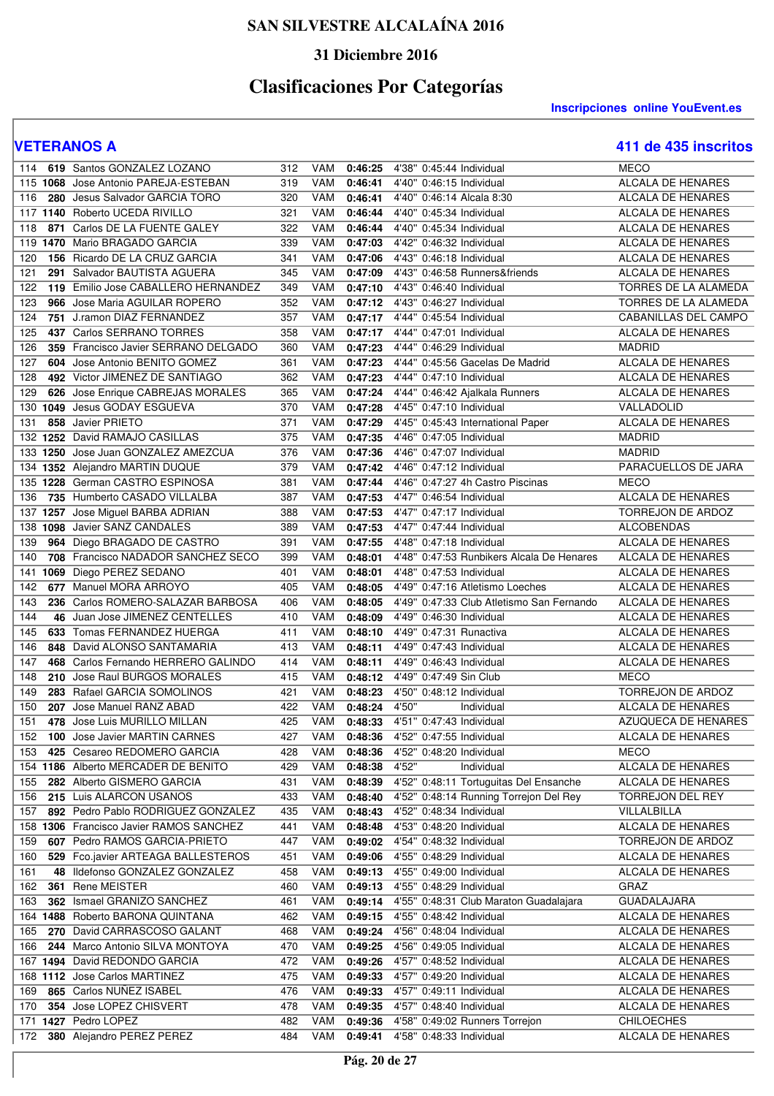### **31 Diciembre 2016**

# **Clasificaciones Por Categorías**

**Inscripciones online YouEvent.es** 

| 114       | 619 Santos GONZALEZ LOZANO                        | 312        | VAM        | 0:46:25 | 4'38" 0:45:44 Individual                                           | <b>MECO</b>                            |
|-----------|---------------------------------------------------|------------|------------|---------|--------------------------------------------------------------------|----------------------------------------|
|           | 115 1068 Jose Antonio PAREJA-ESTEBAN              | 319        | VAM        | 0:46:41 | 4'40" 0:46:15 Individual                                           | ALCALA DE HENARES                      |
| 116       | 280 Jesus Salvador GARCIA TORO                    | 320        | VAM        | 0:46:41 | 4'40" 0:46:14 Alcala 8:30                                          | <b>ALCALA DE HENARES</b>               |
|           | 117 1140 Roberto UCEDA RIVILLO                    | 321        | VAM        | 0:46:44 | 4'40" 0:45:34 Individual                                           | ALCALA DE HENARES                      |
| 118       | 871 Carlos DE LA FUENTE GALEY                     | 322        | VAM        | 0:46:44 | 4'40" 0:45:34 Individual                                           | <b>ALCALA DE HENARES</b>               |
| 119       | 1470 Mario BRAGADO GARCIA                         | 339        | VAM        | 0:47:03 | 4'42" 0:46:32 Individual                                           | <b>ALCALA DE HENARES</b>               |
| 120       | 156 Ricardo DE LA CRUZ GARCIA                     | 341        | VAM        | 0:47:06 | 4'43" 0:46:18 Individual                                           | ALCALA DE HENARES                      |
| 121       | 291 Salvador BAUTISTA AGUERA                      | 345        | VAM        | 0:47:09 | 4'43" 0:46:58 Runners&friends                                      | <b>ALCALA DE HENARES</b>               |
| 122       | 119 Emilio Jose CABALLERO HERNANDEZ               | 349        | VAM        | 0:47:10 | 4'43" 0:46:40 Individual                                           | TORRES DE LA ALAMEDA                   |
| 123       | 966 Jose Maria AGUILAR ROPERO                     | 352        | <b>VAM</b> | 0:47:12 | 4'43" 0:46:27 Individual                                           | TORRES DE LA ALAMEDA                   |
| 124       | 751 J.ramon DIAZ FERNANDEZ                        | 357        | VAM        | 0:47:17 | 4'44" 0:45:54 Individual                                           | CABANILLAS DEL CAMPO                   |
| 125       | 437 Carlos SERRANO TORRES                         | 358        | VAM        | 0:47:17 | 4'44" 0:47:01 Individual                                           | <b>ALCALA DE HENARES</b>               |
|           | 359 Francisco Javier SERRANO DELGADO              |            |            |         |                                                                    |                                        |
| 126       |                                                   | 360        | VAM        | 0:47:23 | 4'44" 0:46:29 Individual                                           | <b>MADRID</b>                          |
| 127       | 604 Jose Antonio BENITO GOMEZ                     | 361        | VAM        | 0:47:23 | 4'44" 0:45:56 Gacelas De Madrid                                    | ALCALA DE HENARES                      |
| 128       | 492 Victor JIMENEZ DE SANTIAGO                    | 362        | VAM        | 0:47:23 | 4'44" 0:47:10 Individual                                           | ALCALA DE HENARES                      |
| 129       | 626 Jose Enrique CABREJAS MORALES                 | 365        | VAM        | 0:47:24 | 4'44" 0:46:42 Ajalkala Runners                                     | ALCALA DE HENARES                      |
|           | 130 1049 Jesus GODAY ESGUEVA                      | 370        | VAM        | 0:47:28 | 4'45" 0:47:10 Individual                                           | VALLADOLID                             |
| 131       | 858 Javier PRIETO                                 | 371        | VAM        | 0:47:29 | 4'45" 0:45:43 International Paper                                  | <b>ALCALA DE HENARES</b>               |
|           | 132 1252 David RAMAJO CASILLAS                    | 375        | VAM        | 0:47:35 | 4'46" 0:47:05 Individual                                           | <b>MADRID</b>                          |
|           | 133 1250 Jose Juan GONZALEZ AMEZCUA               | 376        | VAM        | 0:47:36 | 4'46" 0:47:07 Individual                                           | <b>MADRID</b>                          |
|           | 134 1352 Alejandro MARTIN DUQUE                   | 379        | VAM        | 0:47:42 | 4'46" 0:47:12 Individual                                           | PARACUELLOS DE JARA                    |
|           | 135 1228 German CASTRO ESPINOSA                   | 381        | VAM        | 0:47:44 | 4'46" 0:47:27 4h Castro Piscinas                                   | <b>MECO</b>                            |
| 136       | 735 Humberto CASADO VILLALBA                      | 387        | VAM        | 0:47:53 | 4'47" 0:46:54 Individual                                           | <b>ALCALA DE HENARES</b>               |
|           | 137 1257 Jose Miguel BARBA ADRIAN                 | 388        | VAM        | 0:47:53 | 4'47" 0:47:17 Individual                                           | <b>TORREJON DE ARDOZ</b>               |
|           | 138 1098 Javier SANZ CANDALES                     | 389        | VAM        | 0:47:53 | 4'47" 0:47:44 Individual                                           | <b>ALCOBENDAS</b>                      |
| 139       | 964 Diego BRAGADO DE CASTRO                       | 391        | VAM        | 0:47:55 | 4'48" 0:47:18 Individual                                           | <b>ALCALA DE HENARES</b>               |
| 140       | 708 Francisco NADADOR SANCHEZ SECO                | 399        | VAM        | 0:48:01 | 4'48" 0:47:53 Runbikers Alcala De Henares                          | ALCALA DE HENARES                      |
| 141       | 1069 Diego PEREZ SEDANO                           | 401        | VAM        | 0:48:01 | 4'48" 0:47:53 Individual                                           | ALCALA DE HENARES                      |
| 142       | 677 Manuel MORA ARROYO                            | 405        | VAM        | 0:48:05 | 4'49" 0:47:16 Atletismo Loeches                                    | <b>ALCALA DE HENARES</b>               |
| 143       | 236 Carlos ROMERO-SALAZAR BARBOSA                 | 406        | VAM        | 0:48:05 | 4'49" 0:47:33 Club Atletismo San Fernando                          | <b>ALCALA DE HENARES</b>               |
| 144       | 46 Juan Jose JIMENEZ CENTELLES                    | 410        | VAM        | 0:48:09 | 4'49" 0:46:30 Individual                                           | ALCALA DE HENARES                      |
| 145       | 633 Tomas FERNANDEZ HUERGA                        | 411        | VAM        | 0:48:10 | 4'49" 0:47:31 Runactiva                                            | ALCALA DE HENARES                      |
| 146       | 848 David ALONSO SANTAMARIA                       | 413        | VAM        | 0:48:11 | 4'49" 0:47:43 Individual                                           | ALCALA DE HENARES                      |
| 147       | 468 Carlos Fernando HERRERO GALINDO               | 414        | <b>VAM</b> | 0:48:11 | 4'49" 0:46:43 Individual                                           | ALCALA DE HENARES                      |
| 148       | 210 Jose Raul BURGOS MORALES                      | 415        | <b>VAM</b> | 0:48:12 | 4'49" 0:47:49 Sin Club                                             | <b>MECO</b>                            |
| 149       | 283 Rafael GARCIA SOMOLINOS                       | 421        | <b>VAM</b> | 0:48:23 | 4'50" 0:48:12 Individual                                           | TORREJON DE ARDOZ                      |
| 150       | 207 Jose Manuel RANZ ABAD                         | 422        | VAM        | 0:48:24 | 4'50"<br>Individual                                                |                                        |
| 151       |                                                   |            |            |         |                                                                    |                                        |
|           |                                                   |            |            |         |                                                                    | ALCALA DE HENARES                      |
|           | 478 Jose Luis MURILLO MILLAN                      | 425        | VAM        | 0:48:33 | 4'51" 0:47:43 Individual                                           | AZUQUECA DE HENARES                    |
| 152       | 100 Jose Javier MARTIN CARNES                     | 427        | <b>VAM</b> | 0:48:36 | 4'52" 0:47:55 Individual                                           | ALCALA DE HENARES                      |
| 153       | 425 Cesareo REDOMERO GARCIA                       | 428        | VAM        | 0:48:36 | 4'52" 0:48:20 Individual                                           | <b>MECO</b>                            |
|           | 154 1186 Alberto MERCADER DE BENITO               | 429        | VAM        | 0:48:38 | 4'52"<br>Individual                                                | ALCALA DE HENARES                      |
| 155       | 282 Alberto GISMERO GARCIA                        | 431        | VAM        | 0:48:39 | 4'52" 0:48:11 Tortuguitas Del Ensanche                             | ALCALA DE HENARES                      |
| 156       | 215 Luis ALARCON USANOS                           | 433        | VAM        | 0:48:40 | 4'52" 0:48:14 Running Torrejon Del Rey                             | TORREJON DEL REY                       |
| 157       | 892 Pedro Pablo RODRIGUEZ GONZALEZ                | 435        | VAM        | 0:48:43 | 4'52" 0:48:34 Individual                                           | VILLALBILLA                            |
|           | 158 1306 Francisco Javier RAMOS SANCHEZ           | 441        | VAM        | 0:48:48 | 4'53" 0:48:20 Individual                                           | ALCALA DE HENARES                      |
| 159       | 607 Pedro RAMOS GARCIA-PRIETO                     | 447        | <b>VAM</b> | 0:49:02 | 4'54" 0:48:32 Individual                                           | TORREJON DE ARDOZ                      |
| 160       | 529 Fco.javier ARTEAGA BALLESTEROS                | 451        | VAM        | 0:49:06 | 4'55" 0:48:29 Individual                                           | ALCALA DE HENARES                      |
| 161<br>48 | Ildefonso GONZALEZ GONZALEZ                       | 458        | VAM        | 0:49:13 | 4'55" 0:49:00 Individual                                           | ALCALA DE HENARES                      |
| 162       | 361 Rene MEISTER                                  | 460        | VAM        | 0:49:13 | 4'55" 0:48:29 Individual                                           | GRAZ                                   |
| 163       | 362 Ismael GRANIZO SANCHEZ                        | 461        | VAM        | 0:49:14 | 4'55" 0:48:31 Club Maraton Guadalajara                             | <b>GUADALAJARA</b>                     |
|           | 164 1488 Roberto BARONA QUINTANA                  | 462        | VAM        | 0:49:15 | 4'55" 0:48:42 Individual                                           | ALCALA DE HENARES                      |
| 165       | 270 David CARRASCOSO GALANT                       | 468        | VAM        | 0:49:24 | 4'56" 0:48:04 Individual                                           | ALCALA DE HENARES                      |
| 166       | 244 Marco Antonio SILVA MONTOYA                   | 470        | VAM        | 0:49:25 | 4'56" 0:49:05 Individual                                           | ALCALA DE HENARES                      |
|           | 167 1494 David REDONDO GARCIA                     | 472        | VAM        | 0:49:26 | 4'57" 0:48:52 Individual                                           | ALCALA DE HENARES                      |
|           | 168 1112 Jose Carlos MARTINEZ                     | 475        | VAM        | 0:49:33 | 4'57" 0:49:20 Individual                                           | ALCALA DE HENARES                      |
| 169       | 865 Carlos NUNEZ ISABEL                           | 476        | VAM        | 0:49:33 | 4'57" 0:49:11 Individual                                           | ALCALA DE HENARES                      |
| 170       |                                                   | 478        | VAM        | 0:49:35 | 4'57" 0:48:40 Individual                                           | ALCALA DE HENARES                      |
|           | 354 Jose LOPEZ CHISVERT                           |            |            |         |                                                                    |                                        |
| 172       | 171 1427 Pedro LOPEZ<br>380 Alejandro PEREZ PEREZ | 482<br>484 | VAM<br>VAM | 0:49:36 | 4'58" 0:49:02 Runners Torrejon<br>0:49:41 4'58" 0:48:33 Individual | <b>CHILOECHES</b><br>ALCALA DE HENARES |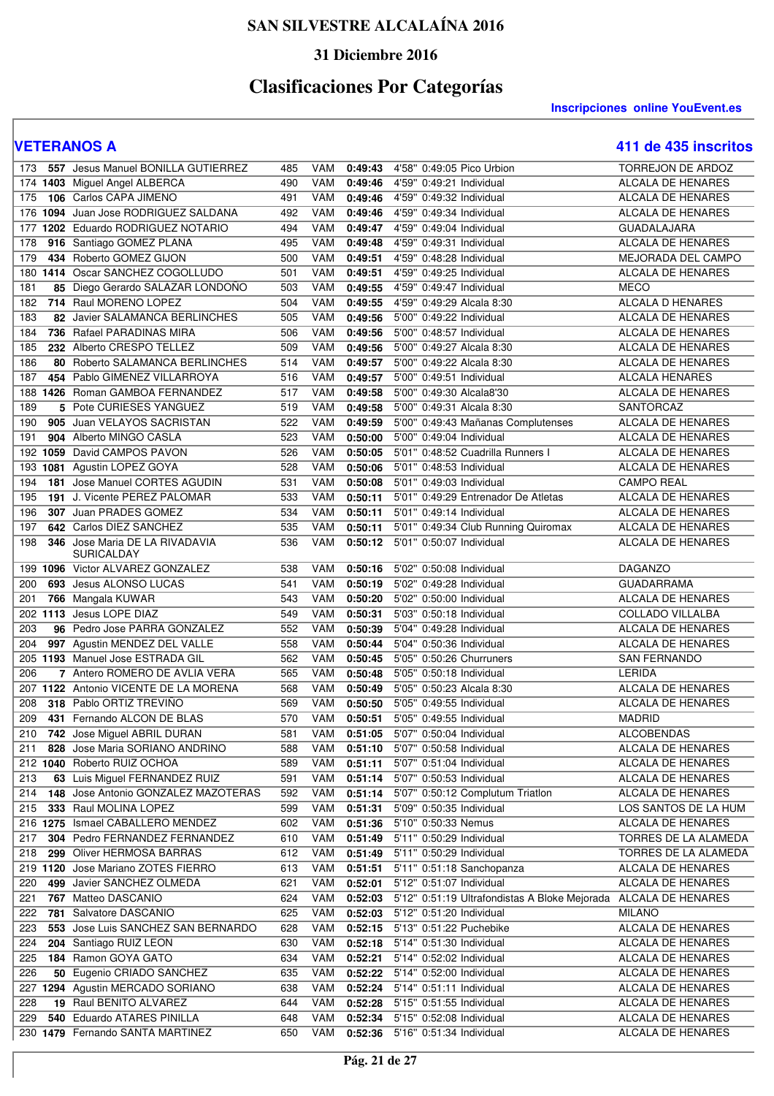### **31 Diciembre 2016**

# **Clasificaciones Por Categorías**

**Inscripciones online YouEvent.es** 

| 173 | 557 Jesus Manuel BONILLA GUTIERREZ                        | 485 | VAM        | 0:49:43 | 4'58" 0:49:05 Pico Urbion                     | <b>TORREJON DE ARDOZ</b> |
|-----|-----------------------------------------------------------|-----|------------|---------|-----------------------------------------------|--------------------------|
|     | 174 1403 Miguel Angel ALBERCA                             | 490 | VAM        | 0:49:46 | 4'59" 0:49:21 Individual                      | ALCALA DE HENARES        |
| 175 | 106 Carlos CAPA JIMENO                                    | 491 | VAM        | 0:49:46 | 4'59" 0:49:32 Individual                      | ALCALA DE HENARES        |
|     | 176 1094 Juan Jose RODRIGUEZ SALDANA                      | 492 | VAM        | 0:49:46 | 4'59" 0:49:34 Individual                      | ALCALA DE HENARES        |
|     | 1202 Eduardo RODRIGUEZ NOTARIO                            | 494 | VAM        |         | 4'59" 0:49:04 Individual                      | <b>GUADALAJARA</b>       |
| 177 |                                                           |     | VAM        | 0:49:47 |                                               |                          |
| 178 | 916 Santiago GOMEZ PLANA                                  | 495 |            | 0:49:48 | 4'59" 0:49:31 Individual                      | ALCALA DE HENARES        |
| 179 | 434 Roberto GOMEZ GIJON                                   | 500 | VAM        | 0:49:51 | 4'59" 0:48:28 Individual                      | MEJORADA DEL CAMPO       |
|     | 180 1414 Oscar SANCHEZ COGOLLUDO                          | 501 | VAM        | 0:49:51 | 4'59" 0:49:25 Individual                      | ALCALA DE HENARES        |
| 181 | 85 Diego Gerardo SALAZAR LONDOÑO                          | 503 | VAM        | 0:49:55 | 4'59" 0:49:47 Individual                      | <b>MECO</b>              |
| 182 | 714 Raul MORENO LOPEZ                                     | 504 | VAM        | 0:49:55 | 4'59" 0:49:29 Alcala 8:30                     | <b>ALCALA D HENARES</b>  |
| 183 | 82 Javier SALAMANCA BERLINCHES                            | 505 | VAM        | 0:49:56 | 5'00" 0:49:22 Individual                      | ALCALA DE HENARES        |
| 184 | 736 Rafael PARADINAS MIRA                                 | 506 | VAM        | 0:49:56 | 5'00" 0:48:57 Individual                      | ALCALA DE HENARES        |
| 185 | 232 Alberto CRESPO TELLEZ                                 | 509 | <b>VAM</b> | 0:49:56 | 5'00" 0:49:27 Alcala 8:30                     | ALCALA DE HENARES        |
| 186 | 80 Roberto SALAMANCA BERLINCHES                           | 514 | VAM        | 0:49:57 | 5'00" 0:49:22 Alcala 8:30                     | ALCALA DE HENARES        |
| 187 | 454 Pablo GIMENEZ VILLARROYA                              | 516 | VAM        | 0:49:57 | 5'00" 0:49:51 Individual                      | <b>ALCALA HENARES</b>    |
|     | 188 1426 Roman GAMBOA FERNANDEZ                           | 517 | <b>VAM</b> | 0:49:58 | 5'00" 0:49:30 Alcala8'30                      | <b>ALCALA DE HENARES</b> |
| 189 | 5 Pote CURIESES YANGUEZ                                   | 519 | VAM        | 0:49:58 | 5'00" 0:49:31 Alcala 8:30                     | SANTORCAZ                |
| 190 | 905 Juan VELAYOS SACRISTAN                                | 522 | VAM        | 0:49:59 | 5'00" 0:49:43 Mañanas Complutenses            | ALCALA DE HENARES        |
| 191 | 904 Alberto MINGO CASLA                                   | 523 | VAM        | 0:50:00 | 5'00" 0:49:04 Individual                      | ALCALA DE HENARES        |
|     | 192 1059 David CAMPOS PAVON                               | 526 | VAM        | 0:50:05 | 5'01" 0:48:52 Cuadrilla Runners I             | <b>ALCALA DE HENARES</b> |
|     | 193 1081 Agustin LOPEZ GOYA                               | 528 | VAM        | 0:50:06 | 5'01" 0:48:53 Individual                      | ALCALA DE HENARES        |
| 194 | 181 Jose Manuel CORTES AGUDIN                             | 531 | VAM        | 0:50:08 | 5'01" 0:49:03 Individual                      | <b>CAMPO REAL</b>        |
| 195 | 191 J. Vicente PEREZ PALOMAR                              | 533 | VAM        | 0:50:11 | 5'01" 0:49:29 Entrenador De Atletas           | <b>ALCALA DE HENARES</b> |
| 196 | 307 Juan PRADES GOMEZ                                     | 534 | VAM        | 0:50:11 | 5'01" 0:49:14 Individual                      | ALCALA DE HENARES        |
| 197 | 642 Carlos DIEZ SANCHEZ                                   | 535 | VAM        | 0:50:11 | 5'01" 0:49:34 Club Running Quiromax           | ALCALA DE HENARES        |
| 198 | 346 Jose Maria DE LA RIVADAVIA                            | 536 | VAM        | 0:50:12 | 5'01" 0:50:07 Individual                      | ALCALA DE HENARES        |
|     | <b>SURICALDAY</b>                                         |     |            |         |                                               |                          |
|     | 199 1096 Victor ALVAREZ GONZALEZ                          | 538 | VAM        | 0:50:16 | 5'02" 0:50:08 Individual                      | <b>DAGANZO</b>           |
| 200 | 693 Jesus ALONSO LUCAS                                    | 541 | VAM        | 0:50:19 | 5'02" 0:49:28 Individual                      | <b>GUADARRAMA</b>        |
| 201 | 766 Mangala KUWAR                                         | 543 | VAM        | 0:50:20 | 5'02" 0:50:00 Individual                      | <b>ALCALA DE HENARES</b> |
|     | 202 1113 Jesus LOPE DIAZ                                  | 549 | VAM        | 0:50:31 | 5'03" 0:50:18 Individual                      | <b>COLLADO VILLALBA</b>  |
| 203 | 96 Pedro Jose PARRA GONZALEZ                              | 552 | <b>VAM</b> | 0:50:39 | 5'04" 0:49:28 Individual                      | ALCALA DE HENARES        |
| 204 | 997 Agustin MENDEZ DEL VALLE                              | 558 | <b>VAM</b> | 0:50:44 | 5'04" 0:50:36 Individual                      | ALCALA DE HENARES        |
|     | 205 1193 Manuel Jose ESTRADA GIL                          | 562 | VAM        | 0:50:45 | 5'05" 0:50:26 Churruners                      | SAN FERNANDO             |
| 206 | 7 Antero ROMERO DE AVLIA VERA                             | 565 | <b>VAM</b> | 0:50:48 | 5'05" 0:50:18 Individual                      | LERIDA                   |
|     | 207 1122 Antonio VICENTE DE LA MORENA                     | 568 | VAM        | 0:50:49 | 5'05" 0:50:23 Alcala 8:30                     | ALCALA DE HENARES        |
| 208 | 318 Pablo ORTIZ TREVINO                                   | 569 | VAM        | 0:50:50 | 5'05" 0:49:55 Individual                      | ALCALA DE HENARES        |
| 209 | 431 Fernando ALCON DE BLAS                                | 570 | VAM        | 0:50:51 | 5'05" 0:49:55 Individual                      | <b>MADRID</b>            |
| 210 | 742 Jose Miguel ABRIL DURAN                               | 581 | VAM        | 0:51:05 | 5'07" 0:50:04 Individual                      | <b>ALCOBENDAS</b>        |
| 211 | 828 Jose Maria SORIANO ANDRINO                            | 588 | VAM        | 0:51:10 | 5'07" 0:50:58 Individual                      | ALCALA DE HENARES        |
|     | 212 1040 Roberto RUIZ OCHOA                               | 589 | VAM        | 0:51:11 | 5'07" 0:51:04 Individual                      | <b>ALCALA DE HENARES</b> |
| 213 | 63 Luis Miguel FERNANDEZ RUIZ                             | 591 | VAM        | 0:51:14 | 5'07" 0:50:53 Individual                      | ALCALA DE HENARES        |
|     | 148 Jose Antonio GONZALEZ MAZOTERAS                       |     |            |         | 5'07" 0:50:12 Complutum Triatlon              | ALCALA DE HENARES        |
| 214 |                                                           | 592 | VAM        | 0:51:14 | 5'09" 0:50:35 Individual                      |                          |
| 215 | 333 Raul MOLINA LOPEZ<br>216 1275 Ismael CABALLERO MENDEZ | 599 | VAM        | 0:51:31 |                                               | LOS SANTOS DE LA HUM     |
|     |                                                           | 602 | VAM        | 0:51:36 | 5'10" 0:50:33 Nemus                           | ALCALA DE HENARES        |
| 217 | 304 Pedro FERNANDEZ FERNANDEZ                             | 610 | VAM        | 0:51:49 | 5'11" 0:50:29 Individual                      | TORRES DE LA ALAMEDA     |
| 218 | 299 Oliver HERMOSA BARRAS                                 | 612 | VAM        | 0:51:49 | 5'11" 0:50:29 Individual                      | TORRES DE LA ALAMEDA     |
|     | 219 1120 Jose Mariano ZOTES FIERRO                        | 613 | VAM        | 0:51:51 | 5'11" 0:51:18 Sanchopanza                     | <b>ALCALA DE HENARES</b> |
| 220 | 499 Javier SANCHEZ OLMEDA                                 | 621 | VAM        | 0:52:01 | 5'12" 0:51:07 Individual                      | ALCALA DE HENARES        |
| 221 | 767 Matteo DASCANIO                                       | 624 | VAM        | 0:52:03 | 5'12" 0:51:19 Ultrafondistas A Bloke Mejorada | ALCALA DE HENARES        |
| 222 | 781 Salvatore DASCANIO                                    | 625 | VAM        | 0:52:03 | 5'12" 0:51:20 Individual                      | <b>MILANO</b>            |
| 223 | 553 Jose Luis SANCHEZ SAN BERNARDO                        | 628 | VAM        | 0:52:15 | 5'13" 0:51:22 Puchebike                       | ALCALA DE HENARES        |
| 224 | 204 Santiago RUIZ LEON                                    | 630 | VAM        | 0:52:18 | 5'14" 0:51:30 Individual                      | ALCALA DE HENARES        |
| 225 | 184 Ramon GOYA GATO                                       | 634 | VAM        | 0:52:21 | 5'14" 0:52:02 Individual                      | ALCALA DE HENARES        |
| 226 | 50 Eugenio CRIADO SANCHEZ                                 | 635 | VAM        | 0:52:22 | 5'14" 0:52:00 Individual                      | ALCALA DE HENARES        |
|     | 227 1294 Agustin MERCADO SORIANO                          | 638 | VAM        | 0:52:24 | 5'14" 0:51:11 Individual                      | ALCALA DE HENARES        |
| 228 | 19 Raul BENITO ALVAREZ                                    | 644 | VAM        | 0:52:28 | 5'15" 0:51:55 Individual                      | ALCALA DE HENARES        |
| 229 | 540 Eduardo ATARES PINILLA                                | 648 | VAM        | 0:52:34 | 5'15" 0:52:08 Individual                      | ALCALA DE HENARES        |
|     | 230 1479 Fernando SANTA MARTINEZ                          | 650 | VAM        | 0:52:36 | 5'16" 0:51:34 Individual                      | ALCALA DE HENARES        |
|     |                                                           |     |            |         |                                               |                          |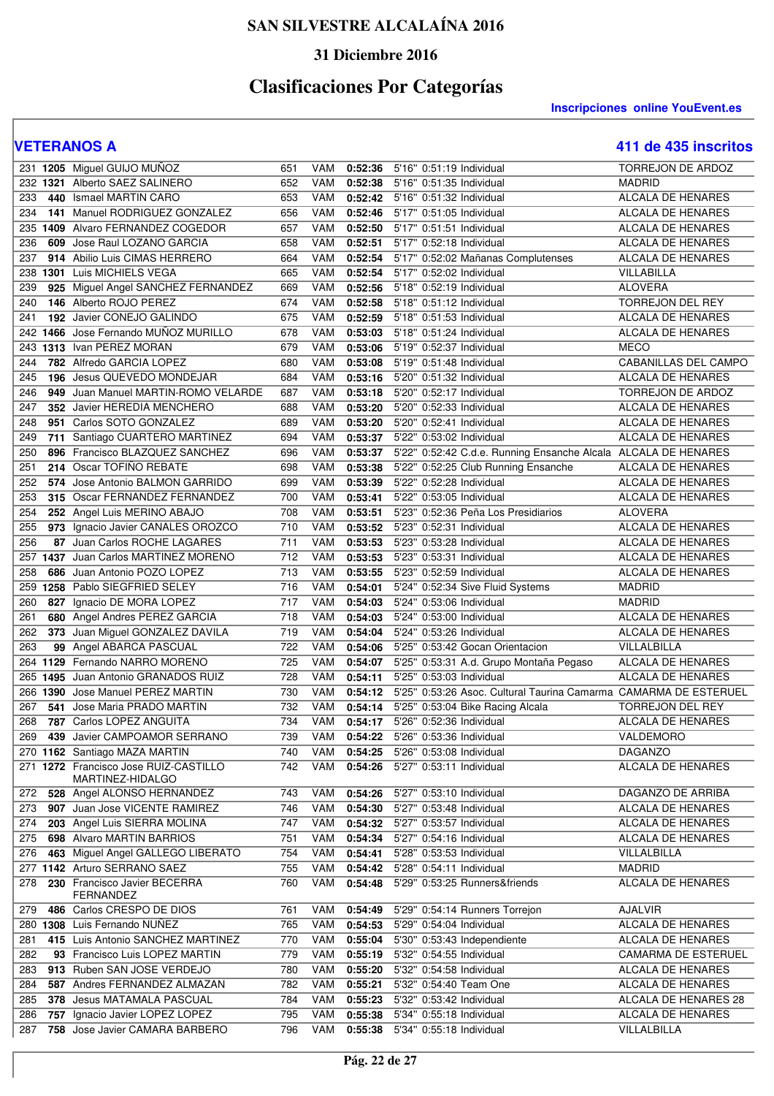### **31 Diciembre 2016**

# **Clasificaciones Por Categorías**

**Inscripciones online YouEvent.es** 

|                   | 231 1205 Miguel GUIJO MUÑOZ                                  | 651              | VAM        | 0:52:36            | 5'16" 0:51:19 Individual                                         | TORREJON DE ARDOZ                |
|-------------------|--------------------------------------------------------------|------------------|------------|--------------------|------------------------------------------------------------------|----------------------------------|
| 232 1321          | Alberto SAEZ SALINERO                                        | 652              | VAM        | 0:52:38            | 5'16" 0:51:35 Individual                                         | <b>MADRID</b>                    |
| 233               | 440 Ismael MARTIN CARO                                       | 653              | <b>VAM</b> | 0:52:42            | 5'16" 0:51:32 Individual                                         | <b>ALCALA DE HENARES</b>         |
| 234               | 141 Manuel RODRIGUEZ GONZALEZ                                | 656              | VAM        | 0:52:46            | 5'17" 0:51:05 Individual                                         | ALCALA DE HENARES                |
|                   | 235 1409 Alvaro FERNANDEZ COGEDOR                            | 657              | VAM        | 0:52:50            | 5'17" 0:51:51 Individual                                         | ALCALA DE HENARES                |
| 236               | 609 Jose Raul LOZANO GARCIA                                  | 658              | VAM        | 0:52:51            | 5'17" 0:52:18 Individual                                         | ALCALA DE HENARES                |
| 237               | 914 Abilio Luis CIMAS HERRERO                                | 664              | VAM        | 0:52:54            | 5'17" 0:52:02 Mañanas Complutenses                               | ALCALA DE HENARES                |
| 238               | 1301 Luis MICHIELS VEGA                                      | 665              | <b>VAM</b> | 0:52:54            | 5'17" 0:52:02 Individual                                         | VILLABILLA                       |
| 239               | 925 Miguel Angel SANCHEZ FERNANDEZ                           | 669              | VAM        | 0:52:56            | 5'18" 0:52:19 Individual                                         | <b>ALOVERA</b>                   |
| 240               | 146 Alberto ROJO PEREZ                                       | 674              | VAM        | 0:52:58            | 5'18" 0:51:12 Individual                                         | TORREJON DEL REY                 |
| 241               | 192 Javier CONEJO GALINDO                                    | 675              | VAM        | 0:52:59            | 5'18" 0:51:53 Individual                                         | <b>ALCALA DE HENARES</b>         |
| 242               | 1466 Jose Fernando MUÑOZ MURILLO                             | 678              | VAM        | 0:53:03            | 5'18" 0:51:24 Individual                                         | ALCALA DE HENARES                |
|                   | 243 1313 Ivan PEREZ MORAN                                    | 679              |            |                    | 5'19" 0:52:37 Individual                                         |                                  |
|                   |                                                              |                  | VAM        | 0:53:06            |                                                                  | <b>MECO</b>                      |
| 244               | 782 Alfredo GARCIA LOPEZ                                     | 680              | VAM        | 0:53:08            | 5'19" 0:51:48 Individual                                         | CABANILLAS DEL CAMPO             |
| 245               | 196 Jesus QUEVEDO MONDEJAR                                   | 684              | <b>VAM</b> | 0:53:16            | 5'20" 0:51:32 Individual                                         | ALCALA DE HENARES                |
| 246               | 949 Juan Manuel MARTIN-ROMO VELARDE                          | 687              | <b>VAM</b> | 0:53:18            | 5'20" 0:52:17 Individual                                         | TORREJON DE ARDOZ                |
| 247               | 352 Javier HEREDIA MENCHERO                                  | 688              | VAM        | 0:53:20            | 5'20" 0:52:33 Individual                                         | ALCALA DE HENARES                |
| 248               | 951 Carlos SOTO GONZALEZ                                     | 689              | VAM        | 0:53:20            | 5'20" 0:52:41 Individual                                         | ALCALA DE HENARES                |
| 249               | 711 Santiago CUARTERO MARTINEZ                               | 694              | <b>VAM</b> | 0:53:37            | 5'22" 0:53:02 Individual                                         | ALCALA DE HENARES                |
| 250               | 896 Francisco BLAZQUEZ SANCHEZ                               | 696              | VAM        | 0:53:37            | 5'22" 0:52:42 C.d.e. Running Ensanche Alcala ALCALA DE HENARES   |                                  |
| 251               | 214 Oscar TOFIÑO REBATE                                      | 698              | <b>VAM</b> | 0:53:38            | 5'22" 0:52:25 Club Running Ensanche                              | ALCALA DE HENARES                |
| 252               | 574 Jose Antonio BALMON GARRIDO                              | 699              | <b>VAM</b> | 0:53:39            | 5'22" 0:52:28 Individual                                         | ALCALA DE HENARES                |
| 253               | 315 Oscar FERNANDEZ FERNANDEZ                                | 700              | VAM        | 0:53:41            | 5'22" 0:53:05 Individual                                         | ALCALA DE HENARES                |
| 254               | 252 Angel Luis MERINO ABAJO                                  | 708              | VAM        | 0:53:51            | 5'23" 0:52:36 Peña Los Presidiarios                              | <b>ALOVERA</b>                   |
| 255               | 973 Ignacio Javier CANALES OROZCO                            | 710              | VAM        | 0:53:52            | 5'23" 0:52:31 Individual                                         | <b>ALCALA DE HENARES</b>         |
| 256               | 87 Juan Carlos ROCHE LAGARES                                 | 711              | VAM        | 0:53:53            | 5'23" 0:53:28 Individual                                         | ALCALA DE HENARES                |
|                   | 257 1437 Juan Carlos MARTINEZ MORENO                         | $\overline{712}$ | <b>VAM</b> | 0:53:53            | 5'23" 0:53:31 Individual                                         | ALCALA DE HENARES                |
| 258               | 686 Juan Antonio POZO LOPEZ                                  | 713              | <b>VAM</b> | 0:53:55            | 5'23" 0:52:59 Individual                                         | ALCALA DE HENARES                |
|                   | 259 1258 Pablo SIEGFRIED SELEY                               | 716              | VAM        | 0:54:01            | 5'24" 0:52:34 Sive Fluid Systems                                 | <b>MADRID</b>                    |
| 827<br>260        | Ignacio DE MORA LOPEZ                                        | 717              | VAM        | 0:54:03            | 5'24" 0:53:06 Individual                                         | MADRID                           |
| 261               | 680 Angel Andres PEREZ GARCIA                                | 718              | VAM        | 0:54:03            | 5'24" 0:53:00 Individual                                         | ALCALA DE HENARES                |
| 262               | 373 Juan Miguel GONZALEZ DAVILA                              | 719              | VAM        | 0:54:04            | 5'24" 0:53:26 Individual                                         | ALCALA DE HENARES                |
| 263               | 99 Angel ABARCA PASCUAL                                      | 722              | VAM        | 0:54:06            | 5'25" 0:53:42 Gocan Orientacion                                  | VILLALBILLA                      |
| 264               | 1129 Fernando NARRO MORENO                                   | 725              | VAM        | 0:54:07            | 5'25" 0:53:31 A.d. Grupo Montaña Pegaso                          | ALCALA DE HENARES                |
| 265               | 1495 Juan Antonio GRANADOS RUIZ                              | 728              | VAM        | 0:54:11            | 5'25" 0:53:03 Individual                                         | <b>ALCALA DE HENARES</b>         |
| 266               | 1390 Jose Manuel PEREZ MARTIN                                | 730              | <b>VAM</b> | 0:54:12            | 5'25" 0:53:26 Asoc. Cultural Taurina Camarma CAMARMA DE ESTERUEL |                                  |
| 267<br>541        | Jose Maria PRADO MARTIN                                      | 732              | VAM        | 0:54:14            | 5'25" 0:53:04 Bike Racing Alcala                                 | <b>TORREJON DEL REY</b>          |
| 268               | 787 Carlos LOPEZ ANGUITA                                     | 734              | VAM        | 0:54:17            | 5'26" 0:52:36 Individual                                         | <b>ALCALA DE HENARES</b>         |
| 269               | 439 Javier CAMPOAMOR SERRANO                                 | 739              | <b>VAM</b> | 0:54:22            | 5'26" 0:53:36 Individual                                         | VALDEMORO                        |
|                   | 270 1162 Santiago MAZA MARTIN                                | 740              | VAM        | 0:54:25            | 5'26" 0:53:08 Individual                                         | <b>DAGANZO</b>                   |
|                   | 271 1272 Francisco Jose RUIZ-CASTILLO<br>MARTINEZ-HIDALGO    | 742              | VAM        | 0:54:26            | 5'27" 0:53:11 Individual                                         | ALCALA DE HENARES                |
| 272               | 528 Angel ALONSO HERNANDEZ                                   | 743              | VAM        | 0:54:26            | 5'27" 0:53:10 Individual                                         | DAGANZO DE ARRIBA                |
| 273               | 907 Juan Jose VICENTE RAMIREZ                                | 746              | VAM        | 0:54:30            | 5'27" 0:53:48 Individual                                         | ALCALA DE HENARES                |
| 274               | 203 Angel Luis SIERRA MOLINA                                 | 747              | <b>VAM</b> | 0:54:32            | 5'27" 0:53:57 Individual                                         | ALCALA DE HENARES                |
| 275               | 698 Alvaro MARTIN BARRIOS                                    | 751              | VAM        | 0:54:34            | 5'27" 0:54:16 Individual                                         | ALCALA DE HENARES                |
| 276               | 463 Miguel Angel GALLEGO LIBERATO                            | 754              | <b>VAM</b> | 0:54:41            | 5'28" 0:53:53 Individual                                         | VILLALBILLA                      |
|                   | 277 1142 Arturo SERRANO SAEZ                                 | 755              | VAM        | 0:54:42            | 5'28" 0:54:11 Individual                                         | <b>MADRID</b>                    |
| 278               | 230 Francisco Javier BECERRA<br><b>FERNANDEZ</b>             | 760              | VAM        | 0:54:48            | 5'29" 0:53:25 Runners&friends                                    | ALCALA DE HENARES                |
| 279               | 486 Carlos CRESPO DE DIOS                                    | 761              | VAM        | 0:54:49            | 5'29" 0:54:14 Runners Torrejon                                   | <b>AJALVIR</b>                   |
|                   |                                                              |                  |            | 0:54:53            | 5'29" 0:54:04 Individual                                         | ALCALA DE HENARES                |
|                   |                                                              |                  |            |                    |                                                                  |                                  |
|                   | 280 1308 Luis Fernando NUÑEZ                                 | 765              | VAM        |                    |                                                                  |                                  |
| 281               | 415 Luis Antonio SANCHEZ MARTINEZ                            | 770              | VAM        | 0:55:04            | 5'30" 0:53:43 Independiente                                      | ALCALA DE HENARES                |
| 282               | 93 Francisco Luis LOPEZ MARTIN                               | 779              | VAM        | 0:55:19            | 5'32" 0:54:55 Individual                                         | CAMARMA DE ESTERUEL              |
| 283               | 913 Ruben SAN JOSE VERDEJO                                   | 780              | VAM        | 0:55:20            | 5'32" 0:54:58 Individual                                         | ALCALA DE HENARES                |
| 284               | 587 Andres FERNANDEZ ALMAZAN                                 | 782              | VAM        | 0:55:21            | 5'32" 0:54:40 Team One                                           | ALCALA DE HENARES                |
| 285               | 378 Jesus MATAMALA PASCUAL                                   | 784              | VAM        | 0:55:23            | 5'32" 0:53:42 Individual                                         | ALCALA DE HENARES 28             |
| 286<br>757<br>287 | Ignacio Javier LOPEZ LOPEZ<br>758 Jose Javier CAMARA BARBERO | 795<br>796       | VAM<br>VAM | 0:55:38<br>0:55:38 | 5'34" 0:55:18 Individual<br>5'34" 0:55:18 Individual             | ALCALA DE HENARES<br>VILLALBILLA |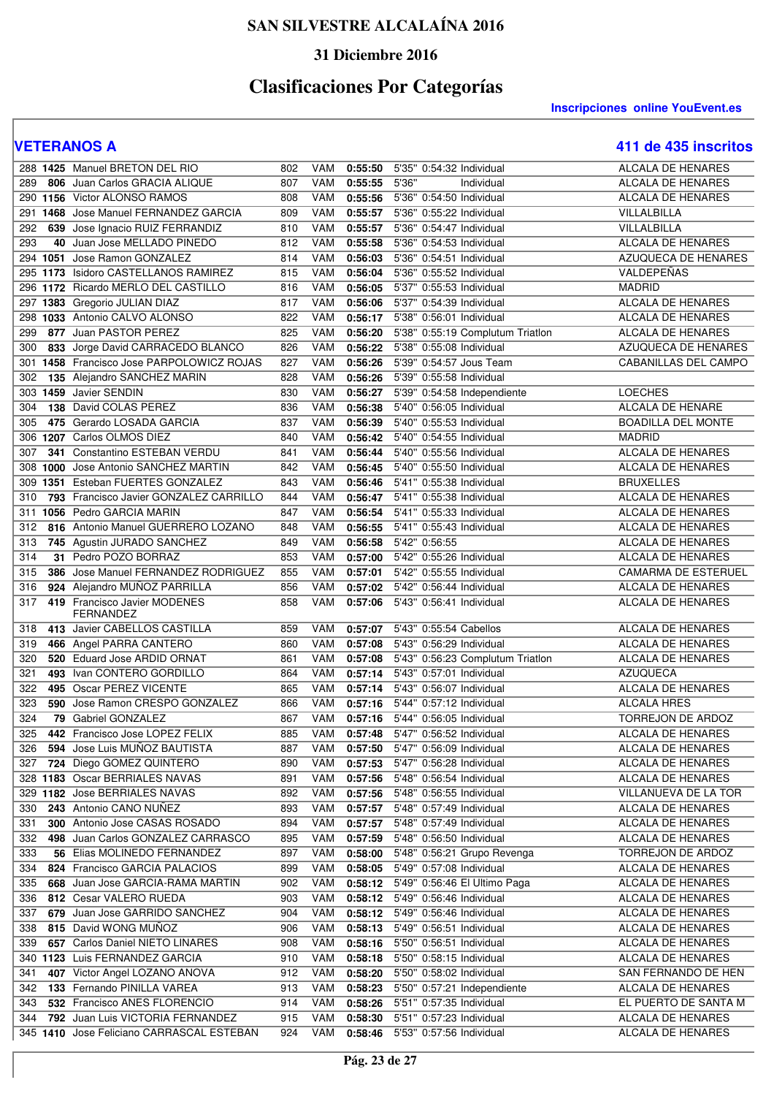### **31 Diciembre 2016**

# **Clasificaciones Por Categorías**

**Inscripciones online YouEvent.es** 

|     | 288 1425 Manuel BRETON DEL RIO                   | 802 | VAM        | 0:55:50 | 5'35" 0:54:32 Individual             | <b>ALCALA DE HENARES</b>   |
|-----|--------------------------------------------------|-----|------------|---------|--------------------------------------|----------------------------|
| 289 | 806 Juan Carlos GRACIA ALIQUE                    | 807 | VAM        | 0:55:55 | 5'36"<br>Individual                  | <b>ALCALA DE HENARES</b>   |
|     | 290 1156 Victor ALONSO RAMOS                     | 808 | VAM        | 0:55:56 | 5'36" 0:54:50 Individual             | <b>ALCALA DE HENARES</b>   |
|     |                                                  |     |            |         |                                      |                            |
|     | 291 1468 Jose Manuel FERNANDEZ GARCIA            | 809 | <b>VAM</b> | 0:55:57 | 5'36" 0:55:22 Individual             | VILLALBILLA                |
| 292 | 639 Jose Ignacio RUIZ FERRANDIZ                  | 810 | <b>VAM</b> | 0:55:57 | 5'36" 0:54:47 Individual             | VILLALBILLA                |
| 293 | 40 Juan Jose MELLADO PINEDO                      | 812 | VAM        | 0:55:58 | 5'36" 0:54:53 Individual             | <b>ALCALA DE HENARES</b>   |
|     | 294 1051 Jose Ramon GONZALEZ                     | 814 | VAM        | 0:56:03 | 5'36" 0:54:51 Individual             | AZUQUECA DE HENARES        |
| 295 | 1173 Isidoro CASTELLANOS RAMIREZ                 | 815 | VAM        | 0:56:04 | 5'36" 0:55:52 Individual             | VALDEPEÑAS                 |
| 296 | 1172 Ricardo MERLO DEL CASTILLO                  | 816 | VAM        | 0:56:05 | 5'37" 0:55:53 Individual             | <b>MADRID</b>              |
|     | 297 1383 Gregorio JULIAN DIAZ                    | 817 | <b>VAM</b> | 0:56:06 | 5'37" 0:54:39 Individual             | <b>ALCALA DE HENARES</b>   |
| 298 | 1033 Antonio CALVO ALONSO                        | 822 | <b>VAM</b> | 0:56:17 | 5'38" 0:56:01 Individual             | <b>ALCALA DE HENARES</b>   |
| 299 | 877 Juan PASTOR PEREZ                            | 825 | <b>VAM</b> | 0:56:20 | 5'38" 0:55:19 Complutum Triatlon     | <b>ALCALA DE HENARES</b>   |
| 300 | 833 Jorge David CARRACEDO BLANCO                 | 826 | VAM        | 0:56:22 | 5'38" 0:55:08 Individual             | AZUQUECA DE HENARES        |
| 301 | 1458 Francisco Jose PARPOLOWICZ ROJAS            | 827 | <b>VAM</b> | 0:56:26 | 5'39" 0:54:57 Jous Team              | CABANILLAS DEL CAMPO       |
| 302 | 135 Alejandro SANCHEZ MARIN                      | 828 | <b>VAM</b> | 0:56:26 | 5'39" 0:55:58 Individual             |                            |
| 303 | 1459 Javier SENDIN                               | 830 | <b>VAM</b> | 0:56:27 | 5'39" 0:54:58 Independiente          | <b>LOECHES</b>             |
| 304 | 138 David COLAS PEREZ                            | 836 | <b>VAM</b> | 0:56:38 | 5'40" 0:56:05 Individual             | ALCALA DE HENARE           |
| 305 | 475 Gerardo LOSADA GARCIA                        | 837 | <b>VAM</b> | 0:56:39 | 5'40" 0:55:53 Individual             | <b>BOADILLA DEL MONTE</b>  |
| 306 | 1207 Carlos OLMOS DIEZ                           | 840 | <b>VAM</b> | 0:56:42 | 5'40" 0:54:55 Individual             | <b>MADRID</b>              |
| 307 | 341 Constantino ESTEBAN VERDU                    | 841 | <b>VAM</b> | 0:56:44 | 5'40" 0:55:56 Individual             | ALCALA DE HENARES          |
| 308 | 1000 Jose Antonio SANCHEZ MARTIN                 | 842 | VAM        | 0:56:45 | 5'40" 0:55:50 Individual             | <b>ALCALA DE HENARES</b>   |
| 309 | 1351 Esteban FUERTES GONZALEZ                    | 843 | <b>VAM</b> | 0:56:46 | 5'41" 0:55:38 Individual             | <b>BRUXELLES</b>           |
| 310 | 793 Francisco Javier GONZALEZ CARRILLO           | 844 | <b>VAM</b> | 0:56:47 | 5'41" 0:55:38 Individual             | ALCALA DE HENARES          |
| 311 | 1056 Pedro GARCIA MARIN                          | 847 | <b>VAM</b> | 0:56:54 | 5'41" 0:55:33 Individual             | <b>ALCALA DE HENARES</b>   |
|     |                                                  | 848 | <b>VAM</b> |         |                                      | <b>ALCALA DE HENARES</b>   |
| 312 | 816 Antonio Manuel GUERRERO LOZANO               |     |            | 0:56:55 | 5'41" 0:55:43 Individual             |                            |
| 313 | 745 Agustin JURADO SANCHEZ                       | 849 | <b>VAM</b> | 0:56:58 | 5'42" 0:56:55                        | <b>ALCALA DE HENARES</b>   |
| 314 | 31 Pedro POZO BORRAZ                             | 853 | <b>VAM</b> | 0:57:00 | 5'42" 0:55:26 Individual             | ALCALA DE HENARES          |
| 315 | 386 Jose Manuel FERNANDEZ RODRIGUEZ              | 855 | <b>VAM</b> | 0:57:01 | 5'42" 0:55:55 Individual             | <b>CAMARMA DE ESTERUEL</b> |
| 316 | 924 Alejandro MUÑOZ PARRILLA                     | 856 | <b>VAM</b> | 0:57:02 | 5'42" 0:56:44 Individual             | <b>ALCALA DE HENARES</b>   |
| 317 | 419 Francisco Javier MODENES<br><b>FERNANDEZ</b> | 858 | <b>VAM</b> | 0:57:06 | 5'43" 0:56:41 Individual             | ALCALA DE HENARES          |
| 318 | 413 Javier CABELLOS CASTILLA                     | 859 | <b>VAM</b> | 0:57:07 | 5'43" 0:55:54 Cabellos               | <b>ALCALA DE HENARES</b>   |
| 319 | 466 Angel PARRA CANTERO                          | 860 | <b>VAM</b> | 0:57:08 | 5'43" 0:56:29 Individual             | <b>ALCALA DE HENARES</b>   |
| 320 | 520 Eduard Jose ARDID ORNAT                      | 861 | <b>VAM</b> | 0:57:08 | 5'43" 0:56:23 Complutum Triatlon     | <b>ALCALA DE HENARES</b>   |
| 321 | 493 Ivan CONTERO GORDILLO                        | 864 | <b>VAM</b> | 0:57:14 | 5'43" 0:57:01 Individual             | <b>AZUQUECA</b>            |
| 322 | 495 Oscar PEREZ VICENTE                          | 865 | <b>VAM</b> | 0:57:14 | 5'43" 0:56:07 Individual             | <b>ALCALA DE HENARES</b>   |
| 323 | 590 Jose Ramon CRESPO GONZALEZ                   | 866 | <b>VAM</b> | 0:57:16 | 5'44" 0:57:12 Individual             | <b>ALCALA HRES</b>         |
| 324 | 79 Gabriel GONZALEZ                              | 867 | <b>VAM</b> |         | 5'44" 0:56:05 Individual             | <b>TORREJON DE ARDOZ</b>   |
|     |                                                  |     |            | 0:57:16 | 5'47" 0:56:52 Individual             |                            |
| 325 | 442 Francisco Jose LOPEZ FELIX                   | 885 | <b>VAM</b> | 0:57:48 |                                      | ALCALA DE HENARES          |
| 326 | 594 Jose Luis MUÑOZ BAUTISTA                     | 887 | VAM        | 0:57:50 | 5'47" 0:56:09 Individual             | ALCALA DE HENARES          |
| 327 | 724 Diego GOMEZ QUINTERO                         | 890 | VAM        | 0:57:53 | 5'47" 0:56:28 Individual             | ALCALA DE HENARES          |
|     | 328 1183 Oscar BERRIALES NAVAS                   | 891 | VAM        | 0:57:56 | 5'48" 0:56:54 Individual             | ALCALA DE HENARES          |
|     | 329 1182 Jose BERRIALES NAVAS                    | 892 | VAM        | 0:57:56 | 5'48" 0:56:55 Individual             | VILLANUEVA DE LA TOR       |
| 330 | 243 Antonio CANO NUÑEZ                           | 893 | VAM        | 0:57:57 | 5'48" 0:57:49 Individual             | ALCALA DE HENARES          |
| 331 | 300 Antonio Jose CASAS ROSADO                    | 894 | VAM        | 0:57:57 | 5'48" 0:57:49 Individual             | ALCALA DE HENARES          |
| 332 | 498 Juan Carlos GONZALEZ CARRASCO                | 895 | VAM        | 0:57:59 | 5'48" 0:56:50 Individual             | ALCALA DE HENARES          |
| 333 | 56 Elias MOLINEDO FERNANDEZ                      | 897 | VAM        | 0:58:00 | 5'48" 0:56:21 Grupo Revenga          | TORREJON DE ARDOZ          |
| 334 | 824 Francisco GARCIA PALACIOS                    | 899 | VAM        | 0:58:05 | 5'49" 0:57:08 Individual             | ALCALA DE HENARES          |
| 335 | 668 Juan Jose GARCIA-RAMA MARTIN                 | 902 | VAM        |         | 0:58:12 5'49" 0:56:46 El Ultimo Paga | ALCALA DE HENARES          |
| 336 | 812 Cesar VALERO RUEDA                           | 903 | VAM        |         | 0:58:12 5'49" 0:56:46 Individual     | ALCALA DE HENARES          |
| 337 | 679 Juan Jose GARRIDO SANCHEZ                    | 904 | VAM        | 0:58:12 | 5'49" 0:56:46 Individual             | ALCALA DE HENARES          |
| 338 | 815 David WONG MUNOZ                             | 906 | VAM        | 0:58:13 | 5'49" 0:56:51 Individual             | ALCALA DE HENARES          |
| 339 | 657 Carlos Daniel NIETO LINARES                  | 908 | VAM        | 0:58:16 | 5'50" 0:56:51 Individual             | ALCALA DE HENARES          |
|     | 340 1123 Luis FERNANDEZ GARCIA                   | 910 | VAM        | 0:58:18 | 5'50" 0:58:15 Individual             | ALCALA DE HENARES          |
| 341 | 407 Victor Angel LOZANO ANOVA                    | 912 | VAM        | 0:58:20 | 5'50" 0:58:02 Individual             | SAN FERNANDO DE HEN        |
| 342 | 133 Fernando PINILLA VAREA                       | 913 | VAM        | 0:58:23 | 5'50" 0:57:21 Independiente          | ALCALA DE HENARES          |
| 343 | 532 Francisco ANES FLORENCIO                     | 914 | VAM        | 0:58:26 | 5'51" 0:57:35 Individual             | EL PUERTO DE SANTA M       |
| 344 | 792 Juan Luis VICTORIA FERNANDEZ                 | 915 | VAM        | 0:58:30 | 5'51" 0:57:23 Individual             | ALCALA DE HENARES          |
|     | 345 1410 Jose Feliciano CARRASCAL ESTEBAN        | 924 | VAM        |         | 0:58:46 5'53" 0:57:56 Individual     | ALCALA DE HENARES          |
|     |                                                  |     |            |         |                                      |                            |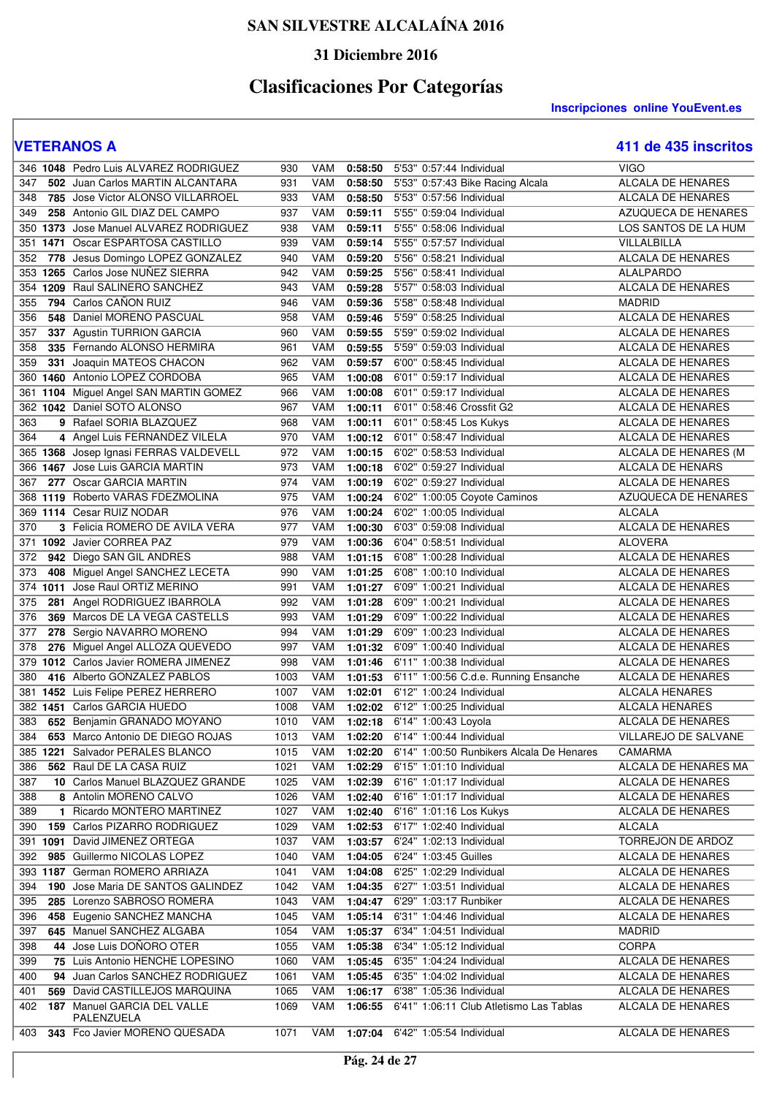### **31 Diciembre 2016**

# **Clasificaciones Por Categorías**

**Inscripciones online YouEvent.es** 

|     | 346 1048 Pedro Luis ALVAREZ RODRIGUEZ     | 930  | VAM        | 0:58:50 | 5'53" 0:57:44 Individual                              | <b>VIGO</b>              |
|-----|-------------------------------------------|------|------------|---------|-------------------------------------------------------|--------------------------|
| 347 | 502 Juan Carlos MARTIN ALCANTARA          | 931  | VAM        | 0:58:50 | 5'53" 0:57:43 Bike Racing Alcala                      | ALCALA DE HENARES        |
| 348 | 785 Jose Victor ALONSO VILLARROEL         | 933  | VAM        | 0:58:50 | 5'53" 0:57:56 Individual                              | ALCALA DE HENARES        |
| 349 | 258 Antonio GIL DIAZ DEL CAMPO            | 937  | VAM        | 0:59:11 | 5'55" 0:59:04 Individual                              | AZUQUECA DE HENARES      |
|     | 350 1373 Jose Manuel ALVAREZ RODRIGUEZ    | 938  | VAM        | 0:59:11 | 5'55" 0:58:06 Individual                              | LOS SANTOS DE LA HUM     |
| 351 | 1471 Oscar ESPARTOSA CASTILLO             | 939  | VAM        | 0:59:14 | 5'55" 0:57:57 Individual                              | VILLALBILLA              |
| 352 | 778 Jesus Domingo LOPEZ GONZALEZ          | 940  | <b>VAM</b> | 0:59:20 | 5'56" 0:58:21 Individual                              | ALCALA DE HENARES        |
| 353 | 1265 Carlos Jose NUÑEZ SIERRA             | 942  | <b>VAM</b> | 0:59:25 | 5'56" 0:58:41 Individual                              | ALALPARDO                |
|     | 354 1209 Raul SALINERO SANCHEZ            | 943  | VAM        | 0:59:28 | 5'57" 0:58:03 Individual                              | <b>ALCALA DE HENARES</b> |
| 355 | 794 Carlos CAÑON RUIZ                     | 946  | <b>VAM</b> | 0:59:36 | 5'58" 0:58:48 Individual                              | <b>MADRID</b>            |
| 356 | 548 Daniel MORENO PASCUAL                 | 958  | VAM        | 0:59:46 | 5'59" 0:58:25 Individual                              | ALCALA DE HENARES        |
| 357 | 337 Agustin TURRION GARCIA                | 960  | VAM        | 0:59:55 | 5'59" 0:59:02 Individual                              | ALCALA DE HENARES        |
| 358 | 335 Fernando ALONSO HERMIRA               | 961  | <b>VAM</b> | 0:59:55 | 5'59" 0:59:03 Individual                              | ALCALA DE HENARES        |
| 359 | 331 Joaquin MATEOS CHACON                 | 962  | <b>VAM</b> | 0:59:57 | 6'00" 0:58:45 Individual                              | ALCALA DE HENARES        |
|     | 360 1460 Antonio LOPEZ CORDOBA            | 965  | <b>VAM</b> | 1:00:08 | 6'01" 0:59:17 Individual                              | ALCALA DE HENARES        |
| 361 | 1104 Miguel Angel SAN MARTIN GOMEZ        | 966  | <b>VAM</b> | 1:00:08 | 6'01" 0:59:17 Individual                              | ALCALA DE HENARES        |
|     | 362 1042 Daniel SOTO ALONSO               | 967  | <b>VAM</b> | 1:00:11 | 6'01" 0:58:46 Crossfit G2                             | ALCALA DE HENARES        |
| 363 | 9 Rafael SORIA BLAZQUEZ                   | 968  | <b>VAM</b> | 1:00:11 | 6'01" 0:58:45 Los Kukys                               | <b>ALCALA DE HENARES</b> |
| 364 | 4 Angel Luis FERNANDEZ VILELA             | 970  | <b>VAM</b> | 1:00:12 | 6'01" 0:58:47 Individual                              | ALCALA DE HENARES        |
|     | 365 1368 Josep Ignasi FERRAS VALDEVELL    | 972  | <b>VAM</b> | 1:00:15 | 6'02" 0:58:53 Individual                              | ALCALA DE HENARES (M     |
|     | 366 1467 Jose Luis GARCIA MARTIN          | 973  | VAM        | 1:00:18 | 6'02" 0:59:27 Individual                              | ALCALA DE HENARS         |
| 367 | 277 Oscar GARCIA MARTIN                   | 974  | <b>VAM</b> | 1:00:19 | 6'02" 0:59:27 Individual                              | ALCALA DE HENARES        |
|     | 368 1119 Roberto VARAS FDEZMOLINA         | 975  | <b>VAM</b> | 1:00:24 | 6'02" 1:00:05 Coyote Caminos                          | AZUQUECA DE HENARES      |
|     | 369 1114 Cesar RUIZ NODAR                 | 976  | <b>VAM</b> | 1:00:24 | 6'02" 1:00:05 Individual                              | ALCALA                   |
| 370 | 3 Felicia ROMERO DE AVILA VERA            | 977  | <b>VAM</b> | 1:00:30 | 6'03" 0:59:08 Individual                              | ALCALA DE HENARES        |
| 371 | 1092 Javier CORREA PAZ                    | 979  | <b>VAM</b> | 1:00:36 | 6'04" 0:58:51 Individual                              | <b>ALOVERA</b>           |
| 372 | 942 Diego SAN GIL ANDRES                  | 988  | VAM        | 1:01:15 | 6'08" 1:00:28 Individual                              | ALCALA DE HENARES        |
| 373 | 408 Miguel Angel SANCHEZ LECETA           | 990  | <b>VAM</b> | 1:01:25 | 6'08" 1:00:10 Individual                              | ALCALA DE HENARES        |
|     | 374 1011 Jose Raul ORTIZ MERINO           | 991  | <b>VAM</b> | 1:01:27 | 6'09" 1:00:21 Individual                              | <b>ALCALA DE HENARES</b> |
| 375 | 281 Angel RODRIGUEZ IBARROLA              | 992  | <b>VAM</b> | 1:01:28 | 6'09" 1:00:21 Individual                              | ALCALA DE HENARES        |
| 376 | 369 Marcos DE LA VEGA CASTELLS            | 993  | <b>VAM</b> | 1:01:29 | 6'09" 1:00:22 Individual                              | ALCALA DE HENARES        |
| 377 | 278 Sergio NAVARRO MORENO                 | 994  | <b>VAM</b> | 1:01:29 | 6'09" 1:00:23 Individual                              | ALCALA DE HENARES        |
| 378 | 276 Miguel Angel ALLOZA QUEVEDO           | 997  | VAM        | 1:01:32 | 6'09" 1:00:40 Individual                              | ALCALA DE HENARES        |
| 379 | 1012 Carlos Javier ROMERA JIMENEZ         | 998  | VAM        | 1:01:46 | 6'11" 1:00:38 Individual                              | ALCALA DE HENARES        |
| 380 | 416 Alberto GONZALEZ PABLOS               | 1003 | VAM        | 1:01:53 | 6'11" 1:00:56 C.d.e. Running Ensanche                 | ALCALA DE HENARES        |
| 381 | 1452 Luis Felipe PEREZ HERRERO            | 1007 | <b>VAM</b> | 1:02:01 | 6'12" 1:00:24 Individual                              | <b>ALCALA HENARES</b>    |
|     | 382 1451 Carlos GARCIA HUEDO              | 1008 | <b>VAM</b> | 1:02:02 | 6'12" 1:00:25 Individual                              | <b>ALCALA HENARES</b>    |
| 383 | 652 Benjamin GRANADO MOYANO               | 1010 | <b>VAM</b> | 1:02:18 | 6'14" 1:00:43 Loyola                                  | ALCALA DE HENARES        |
| 384 | 653 Marco Antonio DE DIEGO ROJAS          | 1013 | VAM        | 1:02:20 | 6'14" 1:00:44 Individual                              | VILLAREJO DE SALVANE     |
|     | 385 1221 Salvador PERALES BLANCO          | 1015 |            |         | VAM 1:02:20 6'14" 1:00:50 Runbikers Alcala De Henares | CAMARMA                  |
| 386 | 562 Raul DE LA CASA RUIZ                  | 1021 | VAM        | 1:02:29 | 6'15" 1:01:10 Individual                              | ALCALA DE HENARES MA     |
| 387 | 10 Carlos Manuel BLAZQUEZ GRANDE          | 1025 | VAM        | 1:02:39 | 6'16" 1:01:17 Individual                              | ALCALA DE HENARES        |
| 388 | 8 Antolin MORENO CALVO                    | 1026 | VAM        | 1:02:40 | 6'16" 1:01:17 Individual                              | ALCALA DE HENARES        |
| 389 | 1 Ricardo MONTERO MARTINEZ                | 1027 | VAM        | 1:02:40 | 6'16" 1:01:16 Los Kukys                               | ALCALA DE HENARES        |
| 390 | <b>159 Carlos PIZARRO RODRIGUEZ</b>       | 1029 | VAM        | 1:02:53 | 6'17" 1:02:40 Individual                              | ALCALA                   |
|     | 391 1091 David JIMENEZ ORTEGA             | 1037 | VAM        |         | 1:03:57 6'24" 1:02:13 Individual                      | TORREJON DE ARDOZ        |
| 392 | 985 Guillermo NICOLAS LOPEZ               | 1040 | VAM        | 1:04:05 | 6'24" 1:03:45 Guilles                                 | ALCALA DE HENARES        |
|     | 393 1187 German ROMERO ARRIAZA            | 1041 | VAM        | 1:04:08 | 6'25" 1:02:29 Individual                              | ALCALA DE HENARES        |
| 394 | 190 Jose Maria DE SANTOS GALINDEZ         | 1042 | VAM        | 1:04:35 | 6'27" 1:03:51 Individual                              | ALCALA DE HENARES        |
| 395 | 285 Lorenzo SABROSO ROMERA                | 1043 | VAM        | 1:04:47 | 6'29" 1:03:17 Runbiker                                | ALCALA DE HENARES        |
| 396 | 458 Eugenio SANCHEZ MANCHA                | 1045 | VAM        | 1:05:14 | 6'31" 1:04:46 Individual                              | ALCALA DE HENARES        |
| 397 | 645 Manuel SANCHEZ ALGABA                 | 1054 | VAM        |         | 1:05:37 6'34" 1:04:51 Individual                      | MADRID                   |
| 398 | 44 Jose Luis DOÑORO OTER                  | 1055 | VAM        | 1:05:38 | 6'34" 1:05:12 Individual                              | CORPA                    |
| 399 | 75 Luis Antonio HENCHE LOPESINO           | 1060 | VAM        | 1:05:45 | 6'35" 1:04:24 Individual                              | ALCALA DE HENARES        |
| 400 | 94 Juan Carlos SANCHEZ RODRIGUEZ          | 1061 | VAM        | 1:05:45 | 6'35" 1:04:02 Individual                              | ALCALA DE HENARES        |
| 401 | 569 David CASTILLEJOS MARQUINA            | 1065 | VAM        | 1:06:17 | 6'38" 1:05:36 Individual                              | ALCALA DE HENARES        |
| 402 | 187 Manuel GARCIA DEL VALLE<br>PALENZUELA | 1069 | VAM        | 1:06:55 | 6'41" 1:06:11 Club Atletismo Las Tablas               | ALCALA DE HENARES        |
| 403 | 343 Fco Javier MORENO QUESADA             | 1071 |            |         | VAM 1:07:04 6'42" 1:05:54 Individual                  | ALCALA DE HENARES        |
|     |                                           |      |            |         |                                                       |                          |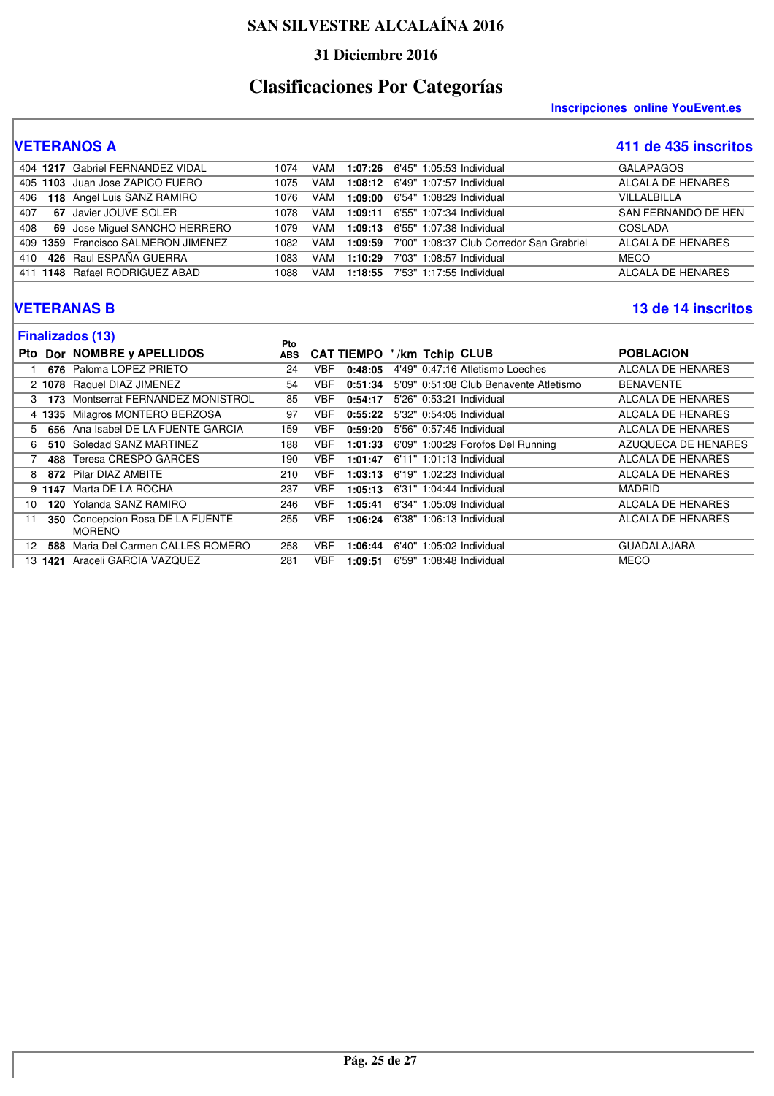#### **31 Diciembre 2016**

# **Clasificaciones Por Categorías**

**Inscripciones online YouEvent.es** 

## **VETERANOS A 411 de 435 inscritos**

|     | 404 1217 Gabriel FERNANDEZ VIDAL    | 1074 | VAM |         | 1:07:26 6'45" 1:05:53 Individual                 | <b>GALAPAGOS</b>        |
|-----|-------------------------------------|------|-----|---------|--------------------------------------------------|-------------------------|
|     | 405 1103 Juan Jose ZAPICO FUERO     | 1075 | VAM |         | 1:08:12 6'49" 1:07:57 Individual                 | ALCALA DE HENARES       |
| 406 | 118 Angel Luis SANZ RAMIRO          | 1076 | VAM |         | 1:09:00 6'54" 1:08:29 Individual                 | <b>VII I AI BII I A</b> |
| 407 | 67 Javier JOUVE SOLER               | 1078 | VAM |         | 1:09:11 6'55" 1:07:34 Individual                 | SAN FERNANDO DE HEN     |
| 408 | 69 Jose Miguel SANCHO HERRERO       | 1079 | VAM |         | 1:09:13 6'55" 1:07:38 Individual                 | COSLADA                 |
|     | 409 1359 Francisco SALMERON JIMENEZ | 1082 | VAM |         | 1:09:59 7'00" 1:08:37 Club Corredor San Grabriel | ALCALA DE HENARES       |
| 410 | 426 Raul ESPAÑA GUERRA              | 1083 | VAM | 1:10:29 | 7'03" 1:08:57 Individual                         | <b>MECO</b>             |
|     | 411 1148 Rafael RODRIGUEZ ABAD      | 1088 | VAM |         | 1:18:55 7'53" 1:17:55 Individual                 | ALCALA DE HENARES       |

#### **VETERANAS B 13 de 14 inscritos**

|            |                | <b>Finalizados (13)</b>                       | Pto        |            |                   |                          |                                        |                     |
|------------|----------------|-----------------------------------------------|------------|------------|-------------------|--------------------------|----------------------------------------|---------------------|
| <b>Pto</b> |                | Dor NOMBRE y APELLIDOS                        | <b>ABS</b> |            | <b>CAT TIEMPO</b> | /km Tchip CLUB           |                                        | <b>POBLACION</b>    |
|            | 676            | Paloma LOPEZ PRIETO                           | 24         | VBF.       | 0:48:05           |                          | 4'49" 0:47:16 Atletismo Loeches        | ALCALA DE HENARES   |
|            | 2 1078         | Raquel DIAZ JIMENEZ                           | 54         | VBF        | 0:51:34           |                          | 5'09" 0:51:08 Club Benavente Atletismo | <b>BENAVENTE</b>    |
|            | 3<br>173       | Montserrat FERNANDEZ MONISTROL                | 85         | VBF        | 0:54:17           | 5'26" 0:53:21 Individual |                                        | ALCALA DE HENARES   |
|            | 4 1335         | Milagros MONTERO BERZOSA                      | 97         | <b>VBF</b> | 0:55:22           | 5'32" 0:54:05 Individual |                                        | ALCALA DE HENARES   |
|            | 656<br>5.      | Ana Isabel DE LA FUENTE GARCIA                | 159        | VBF        | 0:59:20           | 5'56" 0:57:45 Individual |                                        | ALCALA DE HENARES   |
|            | 6.<br>510      | Soledad SANZ MARTINEZ                         | 188        | VBF        | 1:01:33           |                          | 6'09" 1:00:29 Forofos Del Running      | AZUQUECA DE HENARES |
|            | 488            | Teresa CRESPO GARCES                          | 190        | VBF        | 1:01:47           | 6'11" 1:01:13 Individual |                                        | ALCALA DE HENARES   |
|            | 8              | 872 Pilar DIAZ AMBITE                         | 210        | VBF        | 1:03:13           | 6'19" 1:02:23 Individual |                                        | ALCALA DE HENARES   |
|            | 9 1147         | Marta DE LA ROCHA                             | 237        | <b>VBF</b> | 1:05:13           | 6'31" 1:04:44 Individual |                                        | <b>MADRID</b>       |
| 10         | 120            | Yolanda SANZ RAMIRO                           | 246        | VBF        | 1:05:41           | 6'34" 1:05:09 Individual |                                        | ALCALA DE HENARES   |
| 11         | 350            | Concepcion Rosa DE LA FUENTE<br><b>MORENO</b> | 255        | <b>VBF</b> | 1:06:24           | 6'38" 1:06:13 Individual |                                        | ALCALA DE HENARES   |
| 12         | 588            | Maria Del Carmen CALLES ROMERO                | 258        | VBF        | 1:06:44           | 6'40" 1:05:02 Individual |                                        | <b>GUADALAJARA</b>  |
|            | 13 <b>1421</b> | Araceli GARCIA VAZQUEZ                        | 281        | <b>VBF</b> | 1:09:51           | 6'59" 1:08:48 Individual |                                        | <b>MECO</b>         |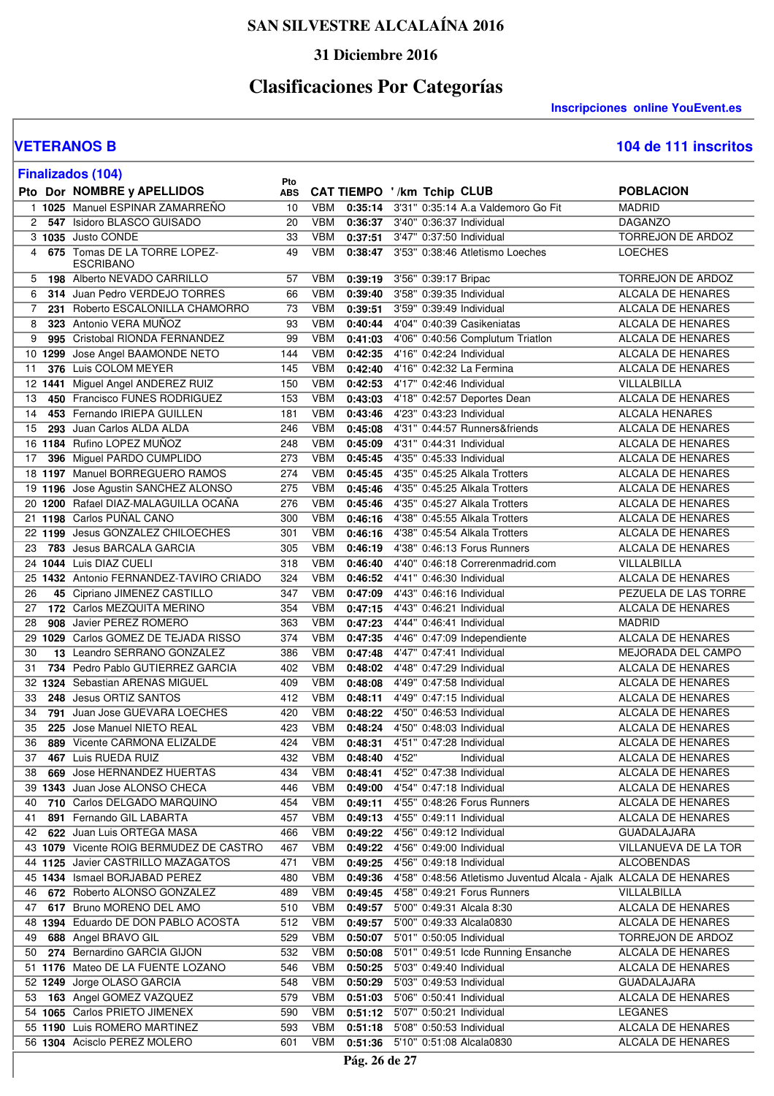### **31 Diciembre 2016**

# **Clasificaciones Por Categorías**

**Inscripciones online YouEvent.es** 

#### **VETERANOS B 104 de 111 inscritos**

| 104 de 111 inscritos |  |
|----------------------|--|
|----------------------|--|

|                 |     | <b>Finalizados (104)</b>                                      |                   |                          |                    |                                                              |                                                                   |                                        |
|-----------------|-----|---------------------------------------------------------------|-------------------|--------------------------|--------------------|--------------------------------------------------------------|-------------------------------------------------------------------|----------------------------------------|
|                 |     | Pto Dor NOMBRE y APELLIDOS                                    | Pto<br><b>ABS</b> |                          |                    | CAT TIEMPO '/km Tchip CLUB                                   |                                                                   | <b>POBLACION</b>                       |
|                 |     | 1 1025 Manuel ESPINAR ZAMARREÑO                               | 10                | <b>VBM</b>               | 0:35:14            |                                                              | 3'31" 0:35:14 A.a Valdemoro Go Fit                                | <b>MADRID</b>                          |
|                 |     | 2 547 Isidoro BLASCO GUISADO                                  | 20                | VBM                      | 0:36:37            | 3'40" 0:36:37 Individual                                     |                                                                   | <b>DAGANZO</b>                         |
|                 |     | 3 1035 Justo CONDE                                            | 33                | <b>VBM</b>               | 0:37:51            | 3'47" 0:37:50 Individual                                     |                                                                   | <b>TORREJON DE ARDOZ</b>               |
| 4               |     | 675 Tomas DE LA TORRE LOPEZ-<br><b>ESCRIBANO</b>              | 49                | <b>VBM</b>               | 0:38:47            |                                                              | 3'53" 0:38:46 Atletismo Loeches                                   | <b>LOECHES</b>                         |
| 5               |     | 198 Alberto NEVADO CARRILLO                                   | 57                | VBM                      | 0:39:19            | 3'56" 0:39:17 Bripac                                         |                                                                   | TORREJON DE ARDOZ                      |
| 6               |     | 314 Juan Pedro VERDEJO TORRES                                 | 66                | <b>VBM</b>               | 0:39:40            | 3'58" 0:39:35 Individual                                     |                                                                   | ALCALA DE HENARES                      |
| $\overline{7}$  |     | 231 Roberto ESCALONILLA CHAMORRO                              | 73                | <b>VBM</b>               | 0:39:51            | 3'59" 0:39:49 Individual                                     |                                                                   | <b>ALCALA DE HENARES</b>               |
| 8               |     | 323 Antonio VERA MUÑOZ                                        | 93                | VBM                      | 0:40:44            |                                                              | 4'04" 0:40:39 Casikeniatas                                        | ALCALA DE HENARES                      |
| 9               |     | 995 Cristobal RIONDA FERNANDEZ                                | 99                | <b>VBM</b>               | 0:41:03            |                                                              | 4'06" 0:40:56 Complutum Triatlon                                  | ALCALA DE HENARES                      |
|                 |     | 10 1299 Jose Angel BAAMONDE NETO                              | 144               | <b>VBM</b>               | 0:42:35            | 4'16" 0:42:24 Individual                                     |                                                                   | ALCALA DE HENARES                      |
| 11              |     | 376 Luis COLOM MEYER                                          | 145               | <b>VBM</b>               | 0:42:40            | 4'16" 0:42:32 La Fermina                                     |                                                                   | <b>ALCALA DE HENARES</b>               |
| 12 <sup>2</sup> |     | 1441 Miguel Angel ANDEREZ RUIZ                                | 150               | <b>VBM</b>               | 0:42:53            | 4'17" 0:42:46 Individual                                     |                                                                   | VILLALBILLA                            |
| 13              | 450 | Francisco FUNES RODRIGUEZ                                     | 153               | <b>VBM</b>               | 0:43:03            |                                                              | 4'18" 0:42:57 Deportes Dean                                       | ALCALA DE HENARES                      |
| 14              |     | 453 Fernando IRIEPA GUILLEN<br>293 Juan Carlos ALDA ALDA      | 181               | VBM                      | 0:43:46            | 4'23" 0:43:23 Individual                                     |                                                                   | <b>ALCALA HENARES</b>                  |
| 15              |     | 16 1184 Rufino LOPEZ MUÑOZ                                    | 246<br>248        | <b>VBM</b><br>VBM        | 0:45:08<br>0:45:09 | 4'31" 0:44:31 Individual                                     | 4'31" 0:44:57 Runners&friends                                     | ALCALA DE HENARES<br>ALCALA DE HENARES |
| 17              |     | 396 Miguel PARDO CUMPLIDO                                     | 273               | <b>VBM</b>               | 0:45:45            | 4'35" 0:45:33 Individual                                     |                                                                   | <b>ALCALA DE HENARES</b>               |
|                 |     | 18 1197 Manuel BORREGUERO RAMOS                               | 274               | <b>VBM</b>               | 0:45:45            |                                                              | 4'35" 0:45:25 Alkala Trotters                                     | <b>ALCALA DE HENARES</b>               |
|                 |     | 19 1196 Jose Agustin SANCHEZ ALONSO                           | 275               | <b>VBM</b>               | 0:45:46            |                                                              | 4'35" 0:45:25 Alkala Trotters                                     | <b>ALCALA DE HENARES</b>               |
|                 |     | 20 1200 Rafael DIAZ-MALAGUILLA OCANA                          | 276               | <b>VBM</b>               | 0:45:46            |                                                              | 4'35" 0:45:27 Alkala Trotters                                     | ALCALA DE HENARES                      |
|                 |     | 21 1198 Carlos PUÑAL CANO                                     | 300               | <b>VBM</b>               | 0:46:16            |                                                              | 4'38" 0:45:55 Alkala Trotters                                     | ALCALA DE HENARES                      |
|                 |     | 22 1199 Jesus GONZALEZ CHILOECHES                             | 301               | <b>VBM</b>               | 0:46:16            |                                                              | 4'38" 0:45:54 Alkala Trotters                                     | ALCALA DE HENARES                      |
| 23              |     | <b>783</b> Jesus BARCALA GARCIA                               | 305               | <b>VBM</b>               | 0:46:19            |                                                              | 4'38" 0:46:13 Forus Runners                                       | ALCALA DE HENARES                      |
|                 |     | 24 1044 Luis DIAZ CUELI                                       | 318               | <b>VBM</b>               | 0:46:40            |                                                              | 4'40" 0:46:18 Correrenmadrid.com                                  | VILLALBILLA                            |
|                 |     | 25 1432 Antonio FERNANDEZ-TAVIRO CRIADO                       | 324               | <b>VBM</b>               | 0:46:52            | 4'41" 0:46:30 Individual                                     |                                                                   | <b>ALCALA DE HENARES</b>               |
| 26              |     | 45 Cipriano JIMENEZ CASTILLO                                  | 347               | VBM                      | 0:47:09            | 4'43" 0:46:16 Individual                                     |                                                                   | PEZUELA DE LAS TORRE                   |
| 27              |     | 172 Carlos MEZQUITA MERINO                                    | 354               | <b>VBM</b>               | 0:47:15            | 4'43" 0:46:21 Individual                                     |                                                                   | <b>ALCALA DE HENARES</b>               |
| 28              |     | 908 Javier PEREZ ROMERO                                       | 363               | <b>VBM</b>               | 0:47:23            | 4'44" 0:46:41 Individual                                     |                                                                   | <b>MADRID</b>                          |
|                 |     | 29 1029 Carlos GOMEZ DE TEJADA RISSO                          | 374               | VBM                      | 0:47:35            |                                                              | 4'46" 0:47:09 Independiente                                       | <b>ALCALA DE HENARES</b>               |
| 30              |     | 13 Leandro SERRANO GONZALEZ                                   | 386               | <b>VBM</b>               | 0:47:48            | 4'47" 0:47:41 Individual                                     |                                                                   | MEJORADA DEL CAMPO                     |
| 31              |     | 734 Pedro Pablo GUTIERREZ GARCIA                              | 402               | <b>VBM</b>               | 0:48:02            | 4'48" 0:47:29 Individual                                     |                                                                   | ALCALA DE HENARES                      |
|                 |     | 32 1324 Sebastian ARENAS MIGUEL                               | 409               | VBM                      | 0:48:08            | 4'49" 0:47:58 Individual                                     |                                                                   | ALCALA DE HENARES                      |
| 33              |     | 248 Jesus ORTIZ SANTOS                                        | 412               | <b>VBM</b>               | 0:48:11            | 4'49" 0:47:15 Individual                                     |                                                                   | ALCALA DE HENARES                      |
| 34              |     | 791 Juan Jose GUEVARA LOECHES                                 | 420               | <b>VBM</b>               | 0:48:22            | 4'50" 0:46:53 Individual                                     |                                                                   | <b>ALCALA DE HENARES</b>               |
| 35              |     | 225 Jose Manuel NIETO REAL                                    | 423               | <b>VBM</b>               | 0:48:24            | 4'50" 0:48:03 Individual                                     |                                                                   | <b>ALCALA DE HENARES</b>               |
| 36              |     | 889 Vicente CARMONA ELIZALDE                                  | 424               |                          | VBM 0:48:31        | 4'51" 0:47:28 Individual                                     |                                                                   | ALCALA DE HENARES                      |
| 37              |     | 467 Luis RUEDA RUIZ                                           | 432               | <b>VBM</b>               | 0:48:40            | 4'52"                                                        | Individual                                                        | ALCALA DE HENARES                      |
| 38              |     | 669 Jose HERNANDEZ HUERTAS                                    | 434               | <b>VBM</b>               | 0:48:41            | 4'52" 0:47:38 Individual                                     |                                                                   | ALCALA DE HENARES                      |
|                 |     | 39 1343 Juan Jose ALONSO CHECA                                | 446               | VBM                      | 0:49:00            | 4'54" 0:47:18 Individual                                     |                                                                   | ALCALA DE HENARES                      |
| 40              |     | 710 Carlos DELGADO MARQUINO                                   | 454               | VBM                      | 0:49:11            |                                                              | 4'55" 0:48:26 Forus Runners                                       | ALCALA DE HENARES                      |
| 41              |     | 891 Fernando GIL LABARTA                                      | 457               | <b>VBM</b>               | 0:49:13            | 4'55" 0:49:11 Individual                                     |                                                                   | ALCALA DE HENARES                      |
| 42              |     | 622 Juan Luis ORTEGA MASA                                     | 466               | <b>VBM</b>               | 0:49:22            | 4'56" 0:49:12 Individual                                     |                                                                   | <b>GUADALAJARA</b>                     |
|                 |     | 43 1079 Vicente ROIG BERMUDEZ DE CASTRO                       | 467               | VBM                      | 0:49:22            | 4'56" 0:49:00 Individual                                     |                                                                   | VILLANUEVA DE LA TOR                   |
|                 |     | 44 1125 Javier CASTRILLO MAZAGATOS                            | 471               | VBM                      | 0:49:25            | 4'56" 0:49:18 Individual                                     |                                                                   | <b>ALCOBENDAS</b>                      |
|                 |     | 45 1434 Ismael BORJABAD PEREZ                                 | 480               | VBM                      | 0:49:36            |                                                              | 4'58" 0:48:56 Atletismo Juventud Alcala - Ajalk ALCALA DE HENARES |                                        |
| 46              |     | 672 Roberto ALONSO GONZALEZ                                   | 489               | VBM                      | 0:49:45            |                                                              | 4'58" 0:49:21 Forus Runners                                       | VILLALBILLA                            |
| 47              |     | 617 Bruno MORENO DEL AMO                                      | 510               | VBM                      | 0:49:57            | 5'00" 0:49:31 Alcala 8:30                                    |                                                                   | ALCALA DE HENARES                      |
|                 |     | 48 1394 Eduardo DE DON PABLO ACOSTA                           | 512               | VBM                      | 0:49:57            | 5'00" 0:49:33 Alcala0830                                     |                                                                   | ALCALA DE HENARES                      |
| 49              |     | 688 Angel BRAVO GIL                                           | 529               | <b>VBM</b>               | 0:50:07            | 5'01" 0:50:05 Individual                                     |                                                                   | TORREJON DE ARDOZ                      |
| 50              |     | 274 Bernardino GARCIA GIJON                                   | 532               | <b>VBM</b>               | 0:50:08            |                                                              | 5'01" 0:49:51 Icde Running Ensanche                               | ALCALA DE HENARES                      |
|                 |     | 51 1176 Mateo DE LA FUENTE LOZANO                             | 546               | VBM                      | 0:50:25            | 5'03" 0:49:40 Individual                                     |                                                                   | ALCALA DE HENARES                      |
|                 |     | 52 1249 Jorge OLASO GARCIA                                    | 548               | <b>VBM</b>               | 0:50:29            | 5'03" 0:49:53 Individual                                     |                                                                   | <b>GUADALAJARA</b>                     |
| 53              |     | 163 Angel GOMEZ VAZQUEZ                                       | 579               | VBM                      | 0:51:03            | 5'06" 0:50:41 Individual                                     |                                                                   | ALCALA DE HENARES                      |
|                 |     | 54 1065 Carlos PRIETO JIMENEX<br>55 1190 Luis ROMERO MARTINEZ | 590<br>593        | <b>VBM</b><br><b>VBM</b> |                    | 0:51:12 5'07" 0:50:21 Individual<br>5'08" 0:50:53 Individual |                                                                   | <b>LEGANES</b><br>ALCALA DE HENARES    |
|                 |     | 56 1304 Acisclo PEREZ MOLERO                                  |                   | VBM                      | 0:51:18            | 5'10" 0:51:08 Alcala0830                                     |                                                                   | ALCALA DE HENARES                      |
|                 |     |                                                               | 601               |                          | 0:51:36            |                                                              |                                                                   |                                        |
|                 |     |                                                               |                   |                          | Pág. 26 de 27      |                                                              |                                                                   |                                        |